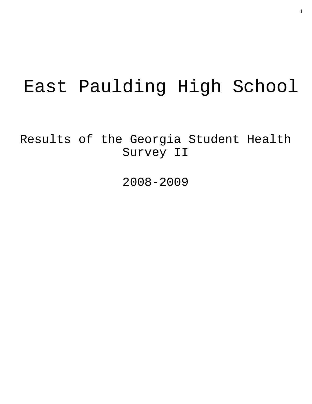# East Paulding High School

Results of the Georgia Student Health Survey II

2008-2009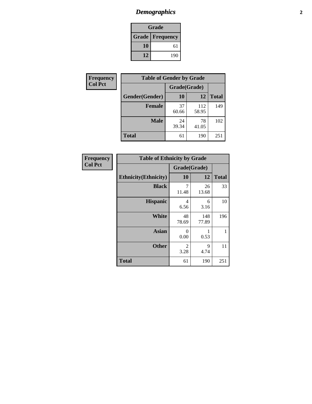### *Demographics* **2**

| Grade                    |     |  |  |
|--------------------------|-----|--|--|
| <b>Grade   Frequency</b> |     |  |  |
| 10                       | 61  |  |  |
| 12                       | 190 |  |  |

| <b>Frequency</b> | <b>Table of Gender by Grade</b> |              |              |              |  |  |
|------------------|---------------------------------|--------------|--------------|--------------|--|--|
| <b>Col Pct</b>   |                                 | Grade(Grade) |              |              |  |  |
|                  | Gender(Gender)                  | 10           | 12           | <b>Total</b> |  |  |
|                  | <b>Female</b>                   | 37<br>60.66  | 112<br>58.95 | 149          |  |  |
|                  | <b>Male</b>                     | 24<br>39.34  | 78<br>41.05  | 102          |  |  |
|                  | <b>Total</b>                    | 61           | 190          | 251          |  |  |

| <b>Frequency</b> |
|------------------|
| <b>Col Pct</b>   |

| <b>Table of Ethnicity by Grade</b> |              |              |              |  |  |  |
|------------------------------------|--------------|--------------|--------------|--|--|--|
|                                    | Grade(Grade) |              |              |  |  |  |
| <b>Ethnicity</b> (Ethnicity)       | 10           | 12           | <b>Total</b> |  |  |  |
| <b>Black</b>                       | 7<br>11.48   | 26<br>13.68  | 33           |  |  |  |
| <b>Hispanic</b>                    | 4<br>6.56    | 6<br>3.16    | 10           |  |  |  |
| White                              | 48<br>78.69  | 148<br>77.89 | 196          |  |  |  |
| <b>Asian</b>                       | 0<br>0.00    | 1<br>0.53    | 1            |  |  |  |
| <b>Other</b>                       | 2<br>3.28    | 9<br>4.74    | 11           |  |  |  |
| <b>Total</b>                       | 61           | 190          | 251          |  |  |  |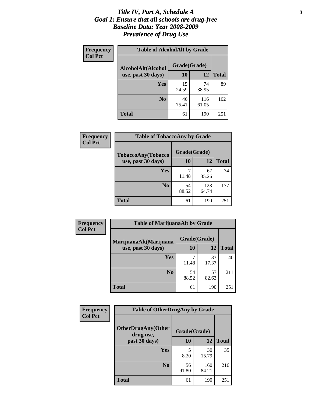#### *Title IV, Part A, Schedule A* **3** *Goal 1: Ensure that all schools are drug-free Baseline Data: Year 2008-2009 Prevalence of Drug Use*

| Frequency<br><b>Col Pct</b> | <b>Table of AlcoholAlt by Grade</b> |              |              |              |  |  |
|-----------------------------|-------------------------------------|--------------|--------------|--------------|--|--|
|                             | AlcoholAlt(Alcohol                  | Grade(Grade) |              |              |  |  |
|                             | use, past 30 days)                  | 10           | 12           | <b>Total</b> |  |  |
|                             | Yes                                 | 15<br>24.59  | 74<br>38.95  | 89           |  |  |
|                             | N <sub>0</sub>                      | 46<br>75.41  | 116<br>61.05 | 162          |  |  |
|                             | <b>Total</b>                        | 61           | 190          | 251          |  |  |

| Frequency      | <b>Table of TobaccoAny by Grade</b> |              |              |              |  |  |
|----------------|-------------------------------------|--------------|--------------|--------------|--|--|
| <b>Col Pct</b> | <b>TobaccoAny(Tobacco</b>           | Grade(Grade) |              |              |  |  |
|                | use, past 30 days)                  | 10           | 12           | <b>Total</b> |  |  |
|                | Yes                                 | 7<br>11.48   | 67<br>35.26  | 74           |  |  |
|                | N <sub>0</sub>                      | 54<br>88.52  | 123<br>64.74 | 177          |  |  |
|                | <b>Total</b>                        | 61           | 190          | 251          |  |  |

| Frequency      | <b>Table of MarijuanaAlt by Grade</b> |              |              |              |  |
|----------------|---------------------------------------|--------------|--------------|--------------|--|
| <b>Col Pct</b> | MarijuanaAlt(Marijuana                | Grade(Grade) |              |              |  |
|                | use, past 30 days)                    | 10           | 12           | <b>Total</b> |  |
|                | Yes                                   | 11.48        | 33<br>17.37  | 40           |  |
|                | N <sub>0</sub>                        | 54<br>88.52  | 157<br>82.63 | 211          |  |
|                | <b>Total</b>                          | 61           | 190          | 251          |  |

| Frequency<br><b>Col Pct</b> | <b>Table of OtherDrugAny by Grade</b>                  |             |              |              |  |
|-----------------------------|--------------------------------------------------------|-------------|--------------|--------------|--|
|                             | <b>OtherDrugAny(Other</b><br>Grade(Grade)<br>drug use, |             |              |              |  |
|                             | past 30 days)                                          | 10          | 12           | <b>Total</b> |  |
|                             | Yes                                                    | 8.20        | 30<br>15.79  | 35           |  |
|                             | N <sub>0</sub>                                         | 56<br>91.80 | 160<br>84.21 | 216          |  |
|                             | <b>Total</b>                                           | 61          | 190          | 251          |  |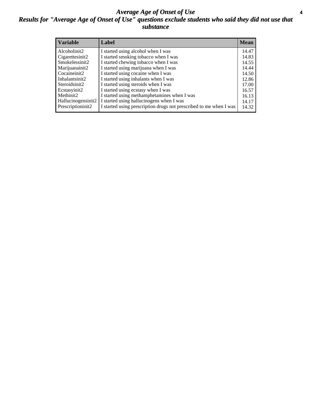#### *Average Age of Onset of Use* **4** *Results for "Average Age of Onset of Use" questions exclude students who said they did not use that substance*

| <b>Variable</b>    | Label                                                              | <b>Mean</b> |
|--------------------|--------------------------------------------------------------------|-------------|
| Alcoholinit2       | I started using alcohol when I was                                 | 14.47       |
| Cigarettesinit2    | I started smoking tobacco when I was                               | 14.83       |
| Smokelessinit2     | I started chewing tobacco when I was                               | 14.55       |
| Marijuanainit2     | I started using marijuana when I was                               | 14.44       |
| Cocaineinit2       | I started using cocaine when I was                                 | 14.50       |
| Inhalantsinit2     | I started using inhalants when I was                               | 12.86       |
| Steroidsinit2      | I started using steroids when I was                                | 17.00       |
| Ecstasyinit2       | I started using ecstasy when I was                                 | 16.57       |
| Methinit2          | I started using methamphetamines when I was                        | 16.13       |
| Hallucinogensinit2 | I started using hallucinogens when I was                           | 14.17       |
| Prescriptioninit2  | I started using prescription drugs not prescribed to me when I was | 14.32       |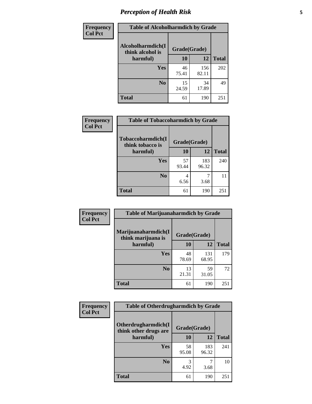### *Perception of Health Risk* **5**

| Frequency      | <b>Table of Alcoholharmdich by Grade</b> |              |              |              |  |
|----------------|------------------------------------------|--------------|--------------|--------------|--|
| <b>Col Pct</b> | Alcoholharmdich(I<br>think alcohol is    | Grade(Grade) |              |              |  |
|                | harmful)                                 | 10           | 12           | <b>Total</b> |  |
|                | <b>Yes</b>                               | 46<br>75.41  | 156<br>82.11 | 202          |  |
|                | N <sub>0</sub>                           | 15<br>24.59  | 34<br>17.89  | 49           |  |
|                | <b>Total</b>                             | 61           | 190          | 251          |  |

| Frequency      | <b>Table of Tobaccoharmdich by Grade</b> |              |              |              |  |
|----------------|------------------------------------------|--------------|--------------|--------------|--|
| <b>Col Pct</b> | Tobaccoharmdich(I<br>think tobacco is    | Grade(Grade) |              |              |  |
|                | harmful)                                 | 10           | 12           | <b>Total</b> |  |
|                | <b>Yes</b>                               | 57<br>93.44  | 183<br>96.32 | 240          |  |
|                | N <sub>0</sub>                           | 4<br>6.56    | 3.68         | 11           |  |
|                | <b>Total</b>                             | 61           | 190          | 251          |  |

| Frequency      | <b>Table of Marijuanaharmdich by Grade</b>                |             |              |              |  |  |
|----------------|-----------------------------------------------------------|-------------|--------------|--------------|--|--|
| <b>Col Pct</b> | Marijuanaharmdich(I<br>Grade(Grade)<br>think marijuana is |             |              |              |  |  |
|                | harmful)                                                  | <b>10</b>   | 12           | <b>Total</b> |  |  |
|                | Yes                                                       | 48<br>78.69 | 131<br>68.95 | 179          |  |  |
|                | N <sub>0</sub>                                            | 13<br>21.31 | 59<br>31.05  | 72           |  |  |
|                | <b>Total</b>                                              | 61          | 190          | 251          |  |  |

| Frequency      | <b>Table of Otherdrugharmdich by Grade</b>   |              |              |              |  |
|----------------|----------------------------------------------|--------------|--------------|--------------|--|
| <b>Col Pct</b> | Otherdrugharmdich(I<br>think other drugs are | Grade(Grade) |              |              |  |
|                | harmful)                                     | <b>10</b>    | 12           | <b>Total</b> |  |
|                | <b>Yes</b>                                   | 58<br>95.08  | 183<br>96.32 | 241          |  |
|                | N <sub>0</sub>                               | 4.92         | 3.68         | 10           |  |
|                | <b>Total</b>                                 | 61           | 190          | 251          |  |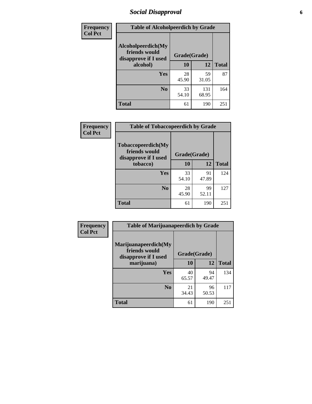### *Social Disapproval* **6**

| Frequency      | <b>Table of Alcoholpeerdich by Grade</b>                    |              |              |              |  |  |
|----------------|-------------------------------------------------------------|--------------|--------------|--------------|--|--|
| <b>Col Pct</b> | Alcoholpeerdich(My<br>friends would<br>disapprove if I used | Grade(Grade) |              |              |  |  |
|                | alcohol)                                                    | 10           | 12           | <b>Total</b> |  |  |
|                | <b>Yes</b>                                                  | 28<br>45.90  | 59<br>31.05  | 87           |  |  |
|                | N <sub>0</sub>                                              | 33<br>54.10  | 131<br>68.95 | 164          |  |  |
|                | <b>Total</b>                                                | 61           | 190          | 251          |  |  |

| <b>Frequency</b> |
|------------------|
| <b>Col Pct</b>   |

| <b>Table of Tobaccopeerdich by Grade</b>                    |              |             |     |  |  |
|-------------------------------------------------------------|--------------|-------------|-----|--|--|
| Tobaccopeerdich(My<br>friends would<br>disapprove if I used | Grade(Grade) |             |     |  |  |
| tobacco)                                                    | 10           | 12          |     |  |  |
| Yes                                                         | 33<br>54.10  | 91<br>47.89 | 124 |  |  |
| N <sub>0</sub>                                              | 28<br>45.90  | 99<br>52.11 | 127 |  |  |
| <b>Total</b>                                                | 61           | 190         | 251 |  |  |

| Frequency      | <b>Table of Marijuanapeerdich by Grade</b>                    |              |             |              |  |
|----------------|---------------------------------------------------------------|--------------|-------------|--------------|--|
| <b>Col Pct</b> | Marijuanapeerdich(My<br>friends would<br>disapprove if I used | Grade(Grade) |             |              |  |
|                | marijuana)                                                    | 10           | 12          | <b>Total</b> |  |
|                | <b>Yes</b>                                                    | 40<br>65.57  | 94<br>49.47 | 134          |  |
|                | N <sub>0</sub>                                                | 21<br>34.43  | 96<br>50.53 | 117          |  |
|                | <b>Total</b>                                                  | 61           | 190         | 251          |  |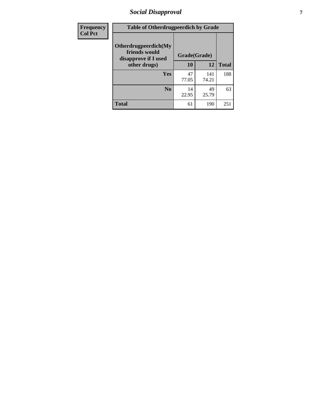### *Social Disapproval* **7**

| Frequency      | <b>Table of Otherdrugpeerdich by Grade</b>                    |              |              |              |  |  |
|----------------|---------------------------------------------------------------|--------------|--------------|--------------|--|--|
| <b>Col Pct</b> | Otherdrugpeerdich(My<br>friends would<br>disapprove if I used | Grade(Grade) |              |              |  |  |
|                | other drugs)                                                  | 10           | 12           | <b>Total</b> |  |  |
|                | <b>Yes</b>                                                    | 47<br>77.05  | 141<br>74.21 | 188          |  |  |
|                | N <sub>0</sub>                                                | 14<br>22.95  | 49<br>25.79  | 63           |  |  |
|                | <b>Total</b>                                                  | 61           | 190          | 251          |  |  |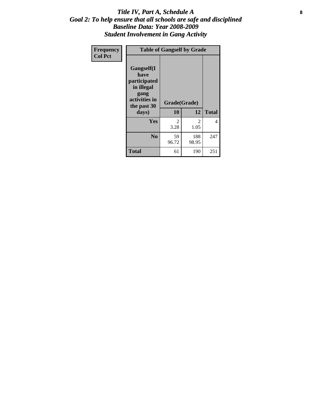#### Title IV, Part A, Schedule A **8** *Goal 2: To help ensure that all schools are safe and disciplined Baseline Data: Year 2008-2009 Student Involvement in Gang Activity*

| Frequency      | <b>Table of Gangself by Grade</b>                                                                 |                    |              |              |  |
|----------------|---------------------------------------------------------------------------------------------------|--------------------|--------------|--------------|--|
| <b>Col Pct</b> | Gangself(I<br>have<br>participated<br>in illegal<br>gang<br>activities in<br>the past 30<br>days) | Grade(Grade)<br>10 | 12           | <b>Total</b> |  |
|                | Yes                                                                                               | 2<br>3.28          | 2<br>1.05    | 4            |  |
|                | N <sub>0</sub>                                                                                    | 59<br>96.72        | 188<br>98.95 | 247          |  |
|                | <b>Total</b>                                                                                      | 61                 | 190          | 251          |  |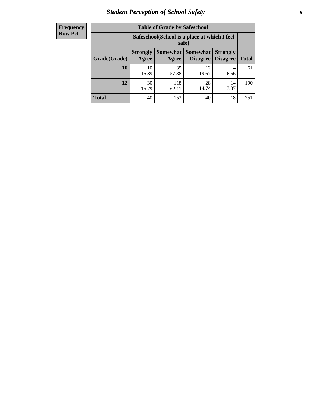### *Student Perception of School Safety* **9**

| <b>Frequency</b><br>Row Pct |
|-----------------------------|
|                             |

| <b>Table of Grade by Safeschool</b> |                                                                                                                                      |                                                        |             |            |     |  |
|-------------------------------------|--------------------------------------------------------------------------------------------------------------------------------------|--------------------------------------------------------|-------------|------------|-----|--|
|                                     |                                                                                                                                      | Safeschool (School is a place at which I feel<br>safe) |             |            |     |  |
| Grade(Grade)                        | Somewhat  <br><b>Somewhat</b><br><b>Strongly</b><br><b>Strongly</b><br><b>Disagree</b><br>Agree<br>Disagree<br><b>Total</b><br>Agree |                                                        |             |            |     |  |
| 10                                  | 10<br>16.39                                                                                                                          | 35<br>57.38                                            | 12<br>19.67 | 4<br>6.56  | 61  |  |
| 12                                  | 30<br>15.79                                                                                                                          | 118<br>62.11                                           | 28<br>14.74 | 14<br>7.37 | 190 |  |
| <b>Total</b>                        | 40                                                                                                                                   | 153                                                    | 40          | 18         | 251 |  |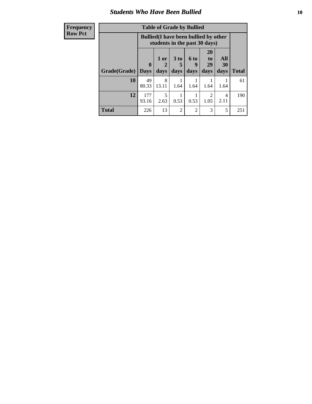#### *Students Who Have Been Bullied* **10**

| <b>Frequency</b> | <b>Table of Grade by Bullied</b> |                                                                               |            |                      |                      |                                     |           |              |
|------------------|----------------------------------|-------------------------------------------------------------------------------|------------|----------------------|----------------------|-------------------------------------|-----------|--------------|
| <b>Row Pct</b>   |                                  | <b>Bullied</b> (I have been bullied by other<br>students in the past 30 days) |            |                      |                      |                                     |           |              |
|                  |                                  | $\mathbf{0}$                                                                  | 1 or       | 3 <sub>to</sub><br>5 | 6 <sup>to</sup><br>9 | <b>20</b><br>to<br>29               | All<br>30 |              |
|                  | Grade(Grade)                     | <b>Days</b>                                                                   | days       | days                 | days                 | days                                | days      | <b>Total</b> |
|                  | 10                               | 49<br>80.33                                                                   | 8<br>13.11 | 1.64                 | 1.64                 | 1.64                                | 1.64      | 61           |
|                  | 12                               | 177<br>93.16                                                                  | 5<br>2.63  | 0.53                 | 0.53                 | $\mathcal{D}_{\mathcal{L}}$<br>1.05 | 4<br>2.11 | 190          |
|                  | <b>Total</b>                     | 226                                                                           | 13         | $\overline{c}$       | 2                    | 3                                   | 5         | 251          |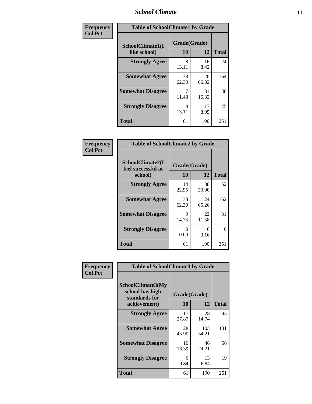#### *School Climate* **11**

| Frequency      | <b>Table of SchoolClimate1 by Grade</b> |                          |              |              |  |  |
|----------------|-----------------------------------------|--------------------------|--------------|--------------|--|--|
| <b>Col Pct</b> | SchoolClimate1(I<br>like school)        | Grade(Grade)<br>10<br>12 |              | <b>Total</b> |  |  |
|                | <b>Strongly Agree</b>                   | 8<br>13.11               | 16<br>8.42   | 24           |  |  |
|                | <b>Somewhat Agree</b>                   | 38<br>62.30              | 126<br>66.32 | 164          |  |  |
|                | <b>Somewhat Disagree</b>                | 7<br>11.48               | 31<br>16.32  | 38           |  |  |
|                | <b>Strongly Disagree</b>                | 8<br>13.11               | 17<br>8.95   | 25           |  |  |
|                | <b>Total</b>                            | 61                       | 190          | 251          |  |  |

| Frequency<br>Col Pct |
|----------------------|

| <b>Table of SchoolClimate2 by Grade</b>           |                    |              |              |  |
|---------------------------------------------------|--------------------|--------------|--------------|--|
| SchoolClimate2(I<br>feel successful at<br>school) | Grade(Grade)<br>10 | 12           | <b>Total</b> |  |
| <b>Strongly Agree</b>                             | 14<br>22.95        | 38<br>20.00  | 52           |  |
| <b>Somewhat Agree</b>                             | 38<br>62.30        | 124<br>65.26 | 162          |  |
| <b>Somewhat Disagree</b>                          | 9<br>14.75         | 22<br>11.58  | 31           |  |
| <b>Strongly Disagree</b>                          | 0.00               | 6<br>3.16    | 6            |  |
| <b>Total</b>                                      | 61                 | 190          | 251          |  |

| Frequency      | <b>Table of SchoolClimate3 by Grade</b>                      |             |              |              |
|----------------|--------------------------------------------------------------|-------------|--------------|--------------|
| <b>Col Pct</b> | <b>SchoolClimate3(My</b><br>school has high<br>standards for |             | Grade(Grade) |              |
|                | achievement)                                                 | 10          | 12           | <b>Total</b> |
|                | <b>Strongly Agree</b>                                        | 17<br>27.87 | 28<br>14.74  | 45           |
|                | <b>Somewhat Agree</b>                                        | 28<br>45.90 | 103<br>54.21 | 131          |
|                | <b>Somewhat Disagree</b>                                     | 10<br>16.39 | 46<br>24.21  | 56           |
|                | <b>Strongly Disagree</b>                                     | 6<br>9.84   | 13<br>6.84   | 19           |
|                | Total                                                        | 61          | 190          | 251          |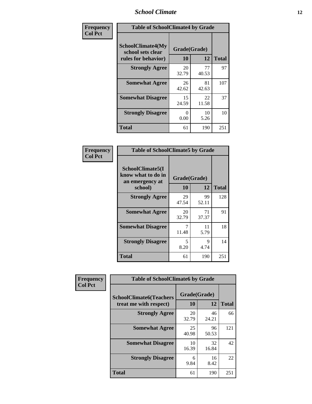### *School Climate* **12**

| Frequency      | <b>Table of SchoolClimate4 by Grade</b>                       |                           |             |              |
|----------------|---------------------------------------------------------------|---------------------------|-------------|--------------|
| <b>Col Pct</b> | SchoolClimate4(My<br>school sets clear<br>rules for behavior) | Grade(Grade)<br>10        | 12          | <b>Total</b> |
|                | <b>Strongly Agree</b>                                         | 20<br>32.79               | 77<br>40.53 | 97           |
|                | <b>Somewhat Agree</b>                                         | 26<br>42.62               | 81<br>42.63 | 107          |
|                | <b>Somewhat Disagree</b>                                      | 15<br>24.59               | 22<br>11.58 | 37           |
|                | <b>Strongly Disagree</b>                                      | $\mathbf{\Omega}$<br>0.00 | 10<br>5.26  | 10           |
|                | <b>Total</b>                                                  | 61                        | 190         | 251          |

| <b>Table of SchoolClimate5 by Grade</b>                              |                    |              |     |  |  |
|----------------------------------------------------------------------|--------------------|--------------|-----|--|--|
| SchoolClimate5(I<br>know what to do in<br>an emergency at<br>school) | Grade(Grade)<br>10 | <b>Total</b> |     |  |  |
| <b>Strongly Agree</b>                                                | 29<br>47.54        | 99<br>52.11  | 128 |  |  |
| <b>Somewhat Agree</b>                                                | 20<br>32.79        | 71<br>37.37  | 91  |  |  |
| <b>Somewhat Disagree</b>                                             | 7<br>11.48         | 11<br>5.79   | 18  |  |  |
| <b>Strongly Disagree</b>                                             | 5<br>8.20          | 9<br>4.74    | 14  |  |  |
| Total                                                                | 61                 | 190          | 251 |  |  |

| Frequency      | <b>Table of SchoolClimate6 by Grade</b>                  |                    |             |              |
|----------------|----------------------------------------------------------|--------------------|-------------|--------------|
| <b>Col Pct</b> | <b>SchoolClimate6(Teachers</b><br>treat me with respect) | Grade(Grade)<br>10 | 12          | <b>Total</b> |
|                | <b>Strongly Agree</b>                                    | 20<br>32.79        | 46<br>24.21 | 66           |
|                | <b>Somewhat Agree</b>                                    | 25<br>40.98        | 96<br>50.53 | 121          |
|                | <b>Somewhat Disagree</b>                                 | 10<br>16.39        | 32<br>16.84 | 42           |
|                | <b>Strongly Disagree</b>                                 | 6<br>9.84          | 16<br>8.42  | 22           |
|                | <b>Total</b>                                             | 61                 | 190         | 251          |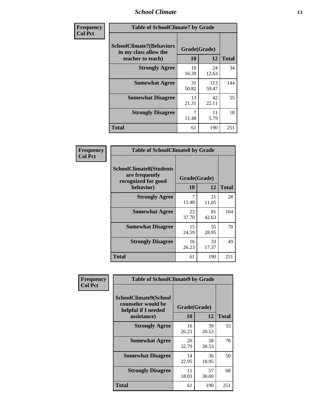### *School Climate* **13**

| Frequency      | <b>Table of SchoolClimate7 by Grade</b>                                       |                           |              |              |
|----------------|-------------------------------------------------------------------------------|---------------------------|--------------|--------------|
| <b>Col Pct</b> | <b>SchoolClimate7(Behaviors</b><br>in my class allow the<br>teacher to teach) | Grade(Grade)<br><b>10</b> | 12           | <b>Total</b> |
|                | <b>Strongly Agree</b>                                                         | 10<br>16.39               | 24<br>12.63  | 34           |
|                | <b>Somewhat Agree</b>                                                         | 31<br>50.82               | 113<br>59.47 | 144          |
|                | <b>Somewhat Disagree</b>                                                      | 13<br>21.31               | 42<br>22.11  | 55           |
|                | <b>Strongly Disagree</b>                                                      | $\overline{7}$<br>11.48   | 11<br>5.79   | 18           |
|                | <b>Total</b>                                                                  | 61                        | 190          | 251          |

| Frequency      | <b>Table of SchoolClimate8 by Grade</b>                                              |                    |             |              |
|----------------|--------------------------------------------------------------------------------------|--------------------|-------------|--------------|
| <b>Col Pct</b> | <b>SchoolClimate8(Students</b><br>are frequently<br>recognized for good<br>behavior) | Grade(Grade)<br>10 | 12          | <b>Total</b> |
|                | <b>Strongly Agree</b>                                                                | 7<br>11.48         | 21<br>11.05 | 28           |
|                | <b>Somewhat Agree</b>                                                                | 23<br>37.70        | 81<br>42.63 | 104          |
|                | <b>Somewhat Disagree</b>                                                             | 15<br>24.59        | 55<br>28.95 | 70           |
|                | <b>Strongly Disagree</b>                                                             | 16<br>26.23        | 33<br>17.37 | 49           |
|                | <b>Total</b>                                                                         | 61                 | 190         | 251          |

| Frequency      | <b>Table of SchoolClimate9 by Grade</b>                                           |                    |             |              |
|----------------|-----------------------------------------------------------------------------------|--------------------|-------------|--------------|
| <b>Col Pct</b> | SchoolClimate9(School<br>counselor would be<br>helpful if I needed<br>assistance) | Grade(Grade)<br>10 | 12          | <b>Total</b> |
|                | <b>Strongly Agree</b>                                                             | 16<br>26.23        | 39<br>20.53 | 55           |
|                | <b>Somewhat Agree</b>                                                             | 20<br>32.79        | 58<br>30.53 | 78           |
|                | <b>Somewhat Disagree</b>                                                          | 14<br>22.95        | 36<br>18.95 | 50           |
|                | <b>Strongly Disagree</b>                                                          | 11<br>18.03        | 57<br>30.00 | 68           |
|                | Total                                                                             | 61                 | 190         | 251          |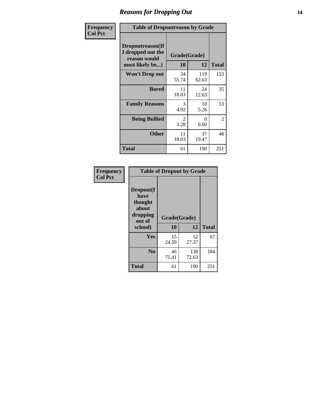### *Reasons for Dropping Out* **14**

| Frequency      |                                                                          | <b>Table of Dropoutreason by Grade</b> |              |              |  |
|----------------|--------------------------------------------------------------------------|----------------------------------------|--------------|--------------|--|
| <b>Col Pct</b> | Dropoutreason(If<br>I dropped out the<br>reason would<br>most likely be) | Grade(Grade)<br>10                     | 12           | <b>Total</b> |  |
|                | Won't Drop out                                                           | 34<br>55.74                            | 119<br>62.63 | 153          |  |
|                | <b>Bored</b>                                                             | 11<br>18.03                            | 24<br>12.63  | 35           |  |
|                | <b>Family Reasons</b>                                                    | 3<br>4.92                              | 10<br>5.26   | 13           |  |
|                | <b>Being Bullied</b>                                                     | 2<br>3.28                              | 0<br>0.00    | 2            |  |
|                | <b>Other</b>                                                             | 11<br>18.03                            | 37<br>19.47  | 48           |  |
|                | <b>Total</b>                                                             | 61                                     | 190          | 251          |  |

| Frequency<br><b>Col Pct</b> | <b>Table of Dropout by Grade</b>                                       |                    |              |              |  |
|-----------------------------|------------------------------------------------------------------------|--------------------|--------------|--------------|--|
|                             | Dropout(I<br>have<br>thought<br>about<br>dropping<br>out of<br>school) | Grade(Grade)<br>10 | 12           | <b>Total</b> |  |
|                             | Yes                                                                    | 15<br>24.59        | 52<br>27.37  | 67           |  |
|                             | N <sub>0</sub>                                                         | 46<br>75.41        | 138<br>72.63 | 184          |  |
|                             | <b>Total</b>                                                           | 61                 | 190          | 251          |  |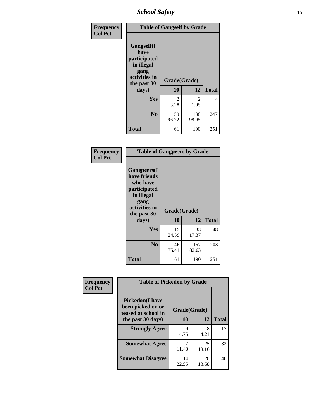*School Safety* **15**

| Frequency      | <b>Table of Gangself by Grade</b>                                                                 |                       |                      |              |
|----------------|---------------------------------------------------------------------------------------------------|-----------------------|----------------------|--------------|
| <b>Col Pct</b> | Gangself(I<br>have<br>participated<br>in illegal<br>gang<br>activities in<br>the past 30<br>days) | Grade(Grade)<br>10    | 12                   | <b>Total</b> |
|                | Yes                                                                                               | $\mathcal{L}$<br>3.28 | 2                    | 4            |
|                | N <sub>0</sub>                                                                                    | 59<br>96.72           | 1.05<br>188<br>98.95 | 247          |
|                | <b>Total</b>                                                                                      | 61                    | 190                  | 251          |

| Frequency<br><b>Col Pct</b> | <b>Table of Gangpeers by Grade</b>                                                                                             |                    |              |              |
|-----------------------------|--------------------------------------------------------------------------------------------------------------------------------|--------------------|--------------|--------------|
|                             | <b>Gangpeers</b> (I<br>have friends<br>who have<br>participated<br>in illegal<br>gang<br>activities in<br>the past 30<br>days) | Grade(Grade)<br>10 | 12           | <b>Total</b> |
|                             | <b>Yes</b>                                                                                                                     | 15<br>24.59        | 33<br>17.37  | 48           |
|                             | N <sub>0</sub>                                                                                                                 | 46<br>75.41        | 157<br>82.63 | 203          |
|                             | <b>Total</b>                                                                                                                   | 61                 | 190          | 251          |

| Frequency      |                                                                    | <b>Table of Pickedon by Grade</b> |             |              |  |  |  |  |
|----------------|--------------------------------------------------------------------|-----------------------------------|-------------|--------------|--|--|--|--|
| <b>Col Pct</b> | <b>Pickedon(I have</b><br>been picked on or<br>teased at school in | Grade(Grade)                      |             |              |  |  |  |  |
|                | the past 30 days)                                                  | 10                                | 12          | <b>Total</b> |  |  |  |  |
|                | <b>Strongly Agree</b>                                              | Q<br>14.75                        | 8<br>4.21   | 17           |  |  |  |  |
|                | <b>Somewhat Agree</b>                                              | 11.48                             | 25<br>13.16 | 32           |  |  |  |  |
|                | <b>Somewhat Disagree</b>                                           | 14<br>22.95                       | 26<br>13.68 | 40           |  |  |  |  |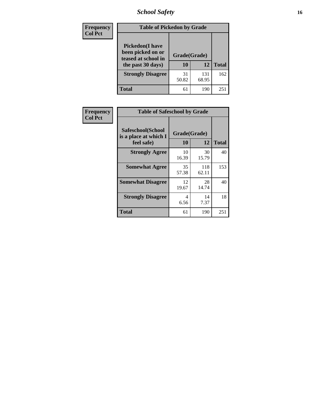### *School Safety* **16**

| <b>Frequency</b> | <b>Table of Pickedon by Grade</b>                                                        |                    |              |                 |
|------------------|------------------------------------------------------------------------------------------|--------------------|--------------|-----------------|
| <b>Col Pct</b>   | <b>Pickedon</b> (I have<br>been picked on or<br>teased at school in<br>the past 30 days) | Grade(Grade)<br>10 | 12           | <b>Total</b>    |
|                  | <b>Strongly Disagree</b>                                                                 | 31<br>50.82        | 131<br>68.95 | 162             |
|                  | Total                                                                                    | 61                 | 190          | 25 <sup>2</sup> |

| Frequency      |                                                          | <b>Table of Safeschool by Grade</b> |              |              |  |  |  |  |  |
|----------------|----------------------------------------------------------|-------------------------------------|--------------|--------------|--|--|--|--|--|
| <b>Col Pct</b> | Safeschool(School<br>is a place at which I<br>feel safe) | Grade(Grade)<br>10                  | 12           | <b>Total</b> |  |  |  |  |  |
|                | <b>Strongly Agree</b>                                    | 10<br>16.39                         | 30<br>15.79  | 40           |  |  |  |  |  |
|                | <b>Somewhat Agree</b>                                    | 35<br>57.38                         | 118<br>62.11 | 153          |  |  |  |  |  |
|                | <b>Somewhat Disagree</b>                                 | 12<br>19.67                         | 28<br>14.74  | 40           |  |  |  |  |  |
|                | <b>Strongly Disagree</b>                                 | 4<br>6.56                           | 14<br>7.37   | 18           |  |  |  |  |  |
|                | <b>Total</b>                                             | 61                                  | 190          | 251          |  |  |  |  |  |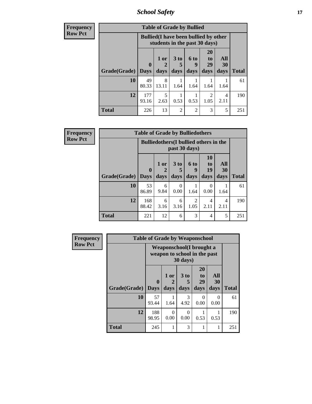*School Safety* **17**

| <b>Frequency</b> | <b>Table of Grade by Bullied</b> |              |                                                                               |                              |                          |                               |                          |              |
|------------------|----------------------------------|--------------|-------------------------------------------------------------------------------|------------------------------|--------------------------|-------------------------------|--------------------------|--------------|
| Row Pct          |                                  |              | <b>Bullied</b> (I have been bullied by other<br>students in the past 30 days) |                              |                          |                               |                          |              |
|                  | <b>Grade</b> (Grade)   Days      | $\mathbf{0}$ | 1 or<br>days                                                                  | 3 <sub>to</sub><br>5<br>days | <b>6 to</b><br>9<br>days | <b>20</b><br>to<br>29<br>days | All<br><b>30</b><br>days | <b>Total</b> |
|                  | 10                               | 49<br>80.33  | 8<br>13.11                                                                    | 1.64                         | 1.64                     | 1.64                          | 1.64                     | 61           |
|                  | 12                               | 177<br>93.16 | 2.63                                                                          | 0.53                         | 0.53                     | 2<br>1.05                     | 4<br>2.11                | 190          |
|                  | <b>Total</b>                     | 226          | 13                                                                            | $\overline{2}$               | $\overline{2}$           | 3                             | 5                        | 251          |

| <b>Frequency</b> | <b>Table of Grade by Bulliedothers</b> |              |                                               |               |                        |                       |           |              |  |  |  |
|------------------|----------------------------------------|--------------|-----------------------------------------------|---------------|------------------------|-----------------------|-----------|--------------|--|--|--|
| <b>Row Pct</b>   |                                        |              | <b>Bulliedothers</b> (I bullied others in the | past 30 days) |                        |                       |           |              |  |  |  |
|                  |                                        | $\mathbf 0$  | 1 or                                          | 3 to          | 6 to<br>9              | <b>10</b><br>to<br>19 | All<br>30 |              |  |  |  |
|                  | Grade(Grade)                           | <b>Days</b>  | days                                          | days          | days                   | days                  | days      | <b>Total</b> |  |  |  |
|                  | 10                                     | 53<br>86.89  | 6<br>9.84                                     | 0<br>0.00     | 1.64                   | 0<br>0.00             | 1.64      | 61           |  |  |  |
|                  | 12                                     | 168<br>88.42 | 6<br>3.16                                     | 6<br>3.16     | $\mathfrak{D}$<br>1.05 | 4<br>2.11             | 4<br>2.11 | 190          |  |  |  |
|                  | <b>Total</b>                           | 221          | 12                                            | 6             | 3                      | 4                     | 5         | 251          |  |  |  |

| Frequency      | <b>Table of Grade by Weaponschool</b> |                         |                                                           |                     |                        |                   |              |  |
|----------------|---------------------------------------|-------------------------|-----------------------------------------------------------|---------------------|------------------------|-------------------|--------------|--|
| <b>Row Pct</b> |                                       |                         | Weaponschool (I brought a<br>weapon to school in the past | 30 days)            |                        |                   |              |  |
|                | <b>Grade(Grade)</b>                   | $\bf{0}$<br><b>Days</b> | 1 or<br>2<br>days                                         | $3$ to<br>5<br>days | 20<br>to<br>29<br>days | All<br>30<br>days | <b>Total</b> |  |
|                | 10                                    | 57<br>93.44             | 1.64                                                      | 3<br>4.92           | 0<br>0.00              | 0<br>0.00         | 61           |  |
|                | 12                                    | 188<br>98.95            | 0<br>0.00                                                 | 0<br>0.00           | 0.53                   | 0.53              | 190          |  |
|                | <b>Total</b>                          | 245                     |                                                           | 3                   |                        | 1                 | 251          |  |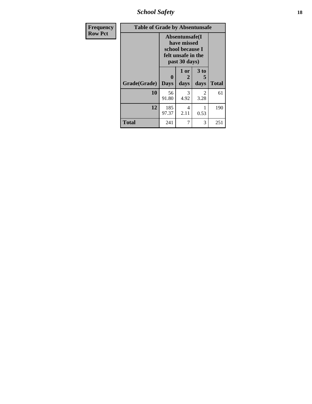*School Safety* **18**

| <b>Frequency</b> | <b>Table of Grade by Absentunsafe</b> |                             |                                                                                          |                   |              |  |  |
|------------------|---------------------------------------|-----------------------------|------------------------------------------------------------------------------------------|-------------------|--------------|--|--|
| <b>Row Pct</b>   |                                       |                             | Absentunsafe(I<br>have missed<br>school because I<br>felt unsafe in the<br>past 30 days) |                   |              |  |  |
|                  | Grade(Grade)                          | $\mathbf{0}$<br><b>Days</b> | 1 or<br>2<br>days                                                                        | 3 to<br>5<br>days | <b>Total</b> |  |  |
|                  | 10                                    | 56<br>91.80                 | 3<br>4.92                                                                                | 2<br>3.28         | 61           |  |  |
|                  | 12                                    | 185<br>97.37                | 4<br>2.11                                                                                | 0.53              | 190          |  |  |
|                  | <b>Total</b>                          | 241                         | 7                                                                                        | 3                 | 251          |  |  |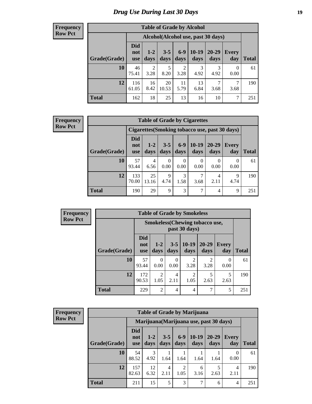### *Drug Use During Last 30 Days* **19**

#### **Frequency Row Pct**

| <b>Table of Grade by Alcohol</b> |                          |                                     |                 |                        |               |               |                  |              |  |  |
|----------------------------------|--------------------------|-------------------------------------|-----------------|------------------------|---------------|---------------|------------------|--------------|--|--|
|                                  |                          | Alcohol (Alcohol use, past 30 days) |                 |                        |               |               |                  |              |  |  |
| Grade(Grade)                     | <b>Did</b><br>not<br>use | $1 - 2$<br>days                     | $3 - 5$<br>days | $6-9$<br>days          | 10-19<br>days | 20-29<br>days | Every<br>day     | <b>Total</b> |  |  |
| 10                               | 46<br>75.41              | $\overline{2}$<br>3.28              | 5<br>8.20       | $\overline{2}$<br>3.28 | 3<br>4.92     | 3<br>4.92     | $\Omega$<br>0.00 | 61           |  |  |
| 12                               | 116<br>61.05             | 16<br>8.42                          | 20<br>10.53     | 11<br>5.79             | 13<br>6.84    | 7<br>3.68     | 7<br>3.68        | 190          |  |  |
| <b>Total</b>                     | 162                      | 18                                  | 25              | 13                     | 16            | 10            | 7                | 251          |  |  |

#### **Frequency Row Pct**

| <b>Table of Grade by Cigarettes</b> |                                 |               |                 |                  |                 |                   |                                                |       |
|-------------------------------------|---------------------------------|---------------|-----------------|------------------|-----------------|-------------------|------------------------------------------------|-------|
|                                     |                                 |               |                 |                  |                 |                   | Cigarettes (Smoking tobacco use, past 30 days) |       |
| Grade(Grade)                        | <b>Did</b><br>not<br><b>use</b> | $1-2$<br>days | $3 - 5$<br>days | $6-9$<br>days    | $10-19$<br>days | $20 - 29$<br>days | Every<br>day                                   | Total |
| 10                                  | 57<br>93.44                     | 4<br>6.56     | 0<br>0.00       | $\Omega$<br>0.00 | 0<br>0.00       | 0.00              | 0<br>0.00                                      | 61    |
| 12                                  | 133<br>70.00                    | 25<br>13.16   | 9<br>4.74       | 3<br>1.58        | 7<br>3.68       | 4<br>2.11         | 9<br>4.74                                      | 190   |
| <b>Total</b>                        | 190                             | 29            | 9               | 3                | 7               | 4                 | 9                                              | 251   |

| <b>Frequency</b><br>Row Pct |
|-----------------------------|

'n

| <b>Table of Grade by Smokeless</b> |                                 |                                                                                                                 |           |                        |                        |                           |     |  |  |
|------------------------------------|---------------------------------|-----------------------------------------------------------------------------------------------------------------|-----------|------------------------|------------------------|---------------------------|-----|--|--|
|                                    |                                 | <b>Smokeless</b> (Chewing tobaccouse,<br>past 30 days)                                                          |           |                        |                        |                           |     |  |  |
| Grade(Grade)                       | <b>Did</b><br>not<br><b>use</b> | $10-19$<br>$20 - 29$<br>$3 - 5$<br>$1-2$<br><b>Every</b><br>days<br><b>Total</b><br>days<br>days<br>day<br>days |           |                        |                        |                           |     |  |  |
| 10                                 | 57<br>93.44                     | $\Omega$<br>0.00                                                                                                | 0.00      | $\mathfrak{D}$<br>3.28 | $\mathfrak{D}$<br>3.28 | $\mathbf{\Omega}$<br>0.00 | 61  |  |  |
| 12                                 | 172<br>90.53                    | $\overline{2}$<br>1.05                                                                                          | 4<br>2.11 | $\overline{c}$<br>1.05 | 5<br>2.63              | 5<br>2.63                 | 190 |  |  |
| <b>Total</b>                       | 229                             | $\overline{2}$                                                                                                  | 4         | 4                      | 7                      | 5                         | 251 |  |  |

| <b>Frequency</b> |
|------------------|
| <b>Row Pct</b>   |

| <b>Table of Grade by Marijuana</b> |                                 |                                         |                 |                        |                 |               |                  |       |  |
|------------------------------------|---------------------------------|-----------------------------------------|-----------------|------------------------|-----------------|---------------|------------------|-------|--|
|                                    |                                 | Marijuana (Marijuana use, past 30 days) |                 |                        |                 |               |                  |       |  |
| Grade(Grade)                       | <b>Did</b><br>not<br><b>use</b> | $1-2$<br>days                           | $3 - 5$<br>days | $6-9$<br>days          | $10-19$<br>days | 20-29<br>days | Every<br>day     | Total |  |
| 10                                 | 54<br>88.52                     | 3<br>4.92                               | 1.64            | 1.64                   | 1.64            | 1.64          | $\theta$<br>0.00 | 61    |  |
| 12                                 | 157<br>82.63                    | 12<br>6.32                              | 4<br>2.11       | $\overline{2}$<br>1.05 | 6<br>3.16       | 2.63          | 4<br>2.11        | 190   |  |
| <b>Total</b>                       | 211                             | 15                                      | 5               | 3                      | 7               | 6             | 4                | 251   |  |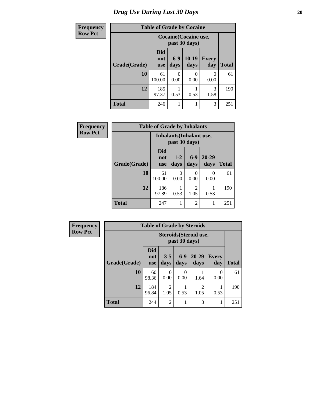### *Drug Use During Last 30 Days* 20

| <b>Frequency</b> | <b>Table of Grade by Cocaine</b> |                          |               |                                        |                  |              |
|------------------|----------------------------------|--------------------------|---------------|----------------------------------------|------------------|--------------|
| <b>Row Pct</b>   |                                  |                          |               | Cocaine (Cocaine use,<br>past 30 days) |                  |              |
|                  | Grade(Grade)                     | Did<br>not<br><b>use</b> | $6-9$<br>days | $10-19$<br>days                        | Every<br>day     | <b>Total</b> |
|                  | 10                               | 61<br>100.00             | 0<br>0.00     | 0<br>0.00                              | $\Omega$<br>0.00 | 61           |
|                  | 12                               | 185<br>97.37             | 0.53          | 0.53                                   | 3<br>1.58        | 190          |
|                  | <b>Total</b>                     | 246                      |               |                                        | 3                | 251          |

| Frequency      | <b>Table of Grade by Inhalants</b> |                          |                                                  |                |                   |              |  |  |
|----------------|------------------------------------|--------------------------|--------------------------------------------------|----------------|-------------------|--------------|--|--|
| <b>Row Pct</b> |                                    |                          | <b>Inhalants</b> (Inhalant use,<br>past 30 days) |                |                   |              |  |  |
|                | Grade(Grade)                       | <b>Did</b><br>not<br>use | $1 - 2$<br>days                                  | $6-9$<br>days  | $20 - 29$<br>days | <b>Total</b> |  |  |
|                | 10                                 | 61<br>100.00             | 0<br>0.00                                        | 0<br>0.00      | 0<br>0.00         | 61           |  |  |
|                | 12                                 | 186<br>97.89             | 0.53                                             | 2<br>1.05      | 0.53              | 190          |  |  |
|                | <b>Total</b>                       | 247                      |                                                  | $\overline{c}$ |                   | 251          |  |  |

| Frequency      |              | <b>Table of Grade by Steroids</b>       |                        |                      |                        |                       |              |
|----------------|--------------|-----------------------------------------|------------------------|----------------------|------------------------|-----------------------|--------------|
| <b>Row Pct</b> |              | Steroids (Steroid use,<br>past 30 days) |                        |                      |                        |                       |              |
|                | Grade(Grade) | Did<br>not<br><b>use</b>                | $3 - 5$<br>days        | $6-9$<br>days        | $20 - 29$<br>days      | Every<br>day          | <b>Total</b> |
|                | 10           | 60<br>98.36                             | 0<br>0.00              | $\mathbf{0}$<br>0.00 | 1.64                   | $\mathcal{O}$<br>0.00 | 61           |
|                | 12           | 184<br>96.84                            | $\overline{2}$<br>1.05 | 0.53                 | $\overline{c}$<br>1.05 | 0.53                  | 190          |
|                | <b>Total</b> | 244                                     | $\overline{2}$         |                      | 3                      |                       | 251          |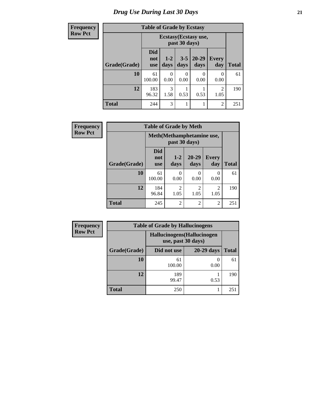#### **Frequency Row Pct**

## **Table of Grade by Ecstasy**

| equency | Table of Grade by Ecstasy |                                 |                                        |                 |                   |                        |              |  |
|---------|---------------------------|---------------------------------|----------------------------------------|-----------------|-------------------|------------------------|--------------|--|
| w Pct   |                           |                                 | Ecstasy (Ecstasy use,<br>past 30 days) |                 |                   |                        |              |  |
|         | Grade(Grade)              | <b>Did</b><br>not<br><b>use</b> | $1 - 2$<br>days                        | $3 - 5$<br>days | $20 - 29$<br>days | Every<br>day           | <b>Total</b> |  |
|         | 10                        | 61<br>100.00                    | 0<br>0.00                              | 0<br>0.00       | 0.00              | $\Omega$<br>0.00       | 61           |  |
|         | 12                        | 183<br>96.32                    | 3<br>1.58                              | 0.53            | 0.53              | $\overline{2}$<br>1.05 | 190          |  |
|         | <b>Total</b>              | 244                             | 3                                      |                 |                   | $\overline{c}$         | 251          |  |

| <b>Frequency</b> |              | <b>Table of Grade by Meth</b>   |                                            |                        |                        |              |  |  |
|------------------|--------------|---------------------------------|--------------------------------------------|------------------------|------------------------|--------------|--|--|
| <b>Row Pct</b>   |              |                                 | Meth(Methamphetamine use,<br>past 30 days) |                        |                        |              |  |  |
|                  | Grade(Grade) | <b>Did</b><br>not<br><b>use</b> | $1-2$<br>days                              | 20-29<br>days          | <b>Every</b><br>day    | <b>Total</b> |  |  |
|                  | 10           | 61<br>100.00                    | 0<br>0.00                                  | 0<br>0.00              | 0<br>0.00              | 61           |  |  |
|                  | 12           | 184<br>96.84                    | $\mathfrak{D}$<br>1.05                     | $\overline{2}$<br>1.05 | $\mathfrak{D}$<br>1.05 | 190          |  |  |
|                  | <b>Total</b> | 245                             | $\overline{2}$                             | $\overline{2}$         | $\overline{c}$         | 251          |  |  |

| <b>Frequency</b> | <b>Table of Grade by Hallucinogens</b> |                                                   |            |              |  |  |  |
|------------------|----------------------------------------|---------------------------------------------------|------------|--------------|--|--|--|
| <b>Row Pct</b>   |                                        | Hallucinogens (Hallucinogen<br>use, past 30 days) |            |              |  |  |  |
|                  | Grade(Grade)                           | Did not use                                       | 20-29 days | <b>Total</b> |  |  |  |
|                  | 10                                     | 61<br>100.00                                      | 0.00       | 61           |  |  |  |
|                  | 12                                     | 189<br>99.47                                      | 0.53       | 190          |  |  |  |
|                  | <b>Total</b>                           | 250                                               |            | 251          |  |  |  |

٦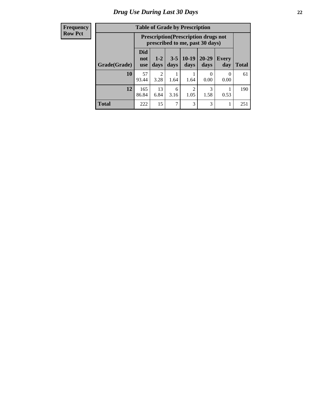#### **Frequency Row Pct**

| <b>Table of Grade by Prescription</b> |                                                                                                                        |                                                                                |           |                        |           |                  |              |
|---------------------------------------|------------------------------------------------------------------------------------------------------------------------|--------------------------------------------------------------------------------|-----------|------------------------|-----------|------------------|--------------|
|                                       |                                                                                                                        | <b>Prescription</b> (Prescription drugs not<br>prescribed to me, past 30 days) |           |                        |           |                  |              |
| Grade(Grade)                          | Did<br>$20 - 29$<br>$10-19$<br>$1 - 2$<br>$3 - 5$<br>Every<br>not<br>days<br>days<br>day<br>days<br>days<br><b>use</b> |                                                                                |           |                        |           |                  | <b>Total</b> |
| 10                                    | 57<br>93.44                                                                                                            | 2<br>3.28                                                                      | 1.64      | 1.64                   | 0<br>0.00 | $\Omega$<br>0.00 | 61           |
| 12                                    | 165<br>86.84                                                                                                           | 13<br>6.84                                                                     | 6<br>3.16 | $\mathfrak{D}$<br>1.05 | 3<br>1.58 | 0.53             | 190          |
| <b>Total</b>                          | 222                                                                                                                    | 15                                                                             | 7         | 3                      | 3         |                  | 251          |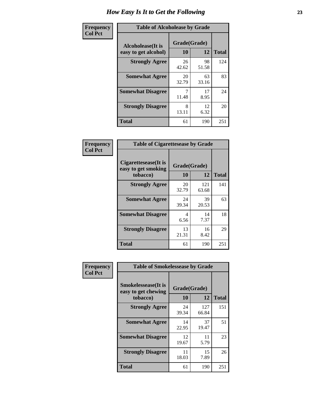| Frequency      | <b>Table of Alcoholease by Grade</b>              |                    |             |              |  |  |
|----------------|---------------------------------------------------|--------------------|-------------|--------------|--|--|
| <b>Col Pct</b> | <b>Alcoholease</b> (It is<br>easy to get alcohol) | Grade(Grade)<br>10 | 12          | <b>Total</b> |  |  |
|                | <b>Strongly Agree</b>                             | 26<br>42.62        | 98<br>51.58 | 124          |  |  |
|                | <b>Somewhat Agree</b>                             | 20<br>32.79        | 63<br>33.16 | 83           |  |  |
|                | <b>Somewhat Disagree</b>                          | 7<br>11.48         | 17<br>8.95  | 24           |  |  |
|                | <b>Strongly Disagree</b>                          | 8<br>13.11         | 12<br>6.32  | 20           |  |  |
|                | <b>Total</b>                                      | 61                 | 190         | 251          |  |  |

| Frequency      |                                                          | <b>Table of Cigarettesease by Grade</b> |              |              |  |  |  |
|----------------|----------------------------------------------------------|-----------------------------------------|--------------|--------------|--|--|--|
| <b>Col Pct</b> | Cigarettesease (It is<br>easy to get smoking<br>tobacco) | Grade(Grade)<br>10                      | 12           | <b>Total</b> |  |  |  |
|                | <b>Strongly Agree</b>                                    | 20<br>32.79                             | 121<br>63.68 | 141          |  |  |  |
|                | <b>Somewhat Agree</b>                                    | 24<br>39.34                             | 39<br>20.53  | 63           |  |  |  |
|                | <b>Somewhat Disagree</b>                                 | 4<br>6.56                               | 14<br>7.37   | 18           |  |  |  |
|                | <b>Strongly Disagree</b>                                 | 13<br>21.31                             | 16<br>8.42   | 29           |  |  |  |
|                | <b>Total</b>                                             | 61                                      | 190          | 251          |  |  |  |

| Frequency      | <b>Table of Smokelessease by Grade</b>             |                    |              |              |
|----------------|----------------------------------------------------|--------------------|--------------|--------------|
| <b>Col Pct</b> | <b>Smokelessease</b> (It is<br>easy to get chewing | Grade(Grade)<br>10 | 12           |              |
|                | tobacco)                                           |                    |              | <b>Total</b> |
|                | <b>Strongly Agree</b>                              | 24<br>39.34        | 127<br>66.84 | 151          |
|                | <b>Somewhat Agree</b>                              | 14<br>22.95        | 37<br>19.47  | 51           |
|                | <b>Somewhat Disagree</b>                           | 12<br>19.67        | 11<br>5.79   | 23           |
|                | <b>Strongly Disagree</b>                           | 11<br>18.03        | 15<br>7.89   | 26           |
|                | <b>Total</b>                                       | 61                 | 190          | 251          |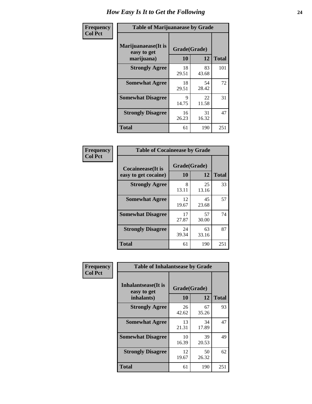| Frequency      | <b>Table of Marijuanaease by Grade</b>           |                    |             |              |  |  |
|----------------|--------------------------------------------------|--------------------|-------------|--------------|--|--|
| <b>Col Pct</b> | Marijuanaease(It is<br>easy to get<br>marijuana) | Grade(Grade)<br>10 | 12          | <b>Total</b> |  |  |
|                | <b>Strongly Agree</b>                            | 18<br>29.51        | 83<br>43.68 | 101          |  |  |
|                | <b>Somewhat Agree</b>                            | 18<br>29.51        | 54<br>28.42 | 72           |  |  |
|                | <b>Somewhat Disagree</b>                         | 9<br>14.75         | 22<br>11.58 | 31           |  |  |
|                | <b>Strongly Disagree</b>                         | 16<br>26.23        | 31<br>16.32 | 47           |  |  |
|                | <b>Total</b>                                     | 61                 | 190         | 251          |  |  |

| <b>Table of Cocaineease by Grade</b>      |                    |              |     |  |  |  |  |  |  |  |
|-------------------------------------------|--------------------|--------------|-----|--|--|--|--|--|--|--|
| Cocaineease(It is<br>easy to get cocaine) | Grade(Grade)<br>10 | <b>Total</b> |     |  |  |  |  |  |  |  |
| <b>Strongly Agree</b>                     | 8<br>13.11         | 25<br>13.16  | 33  |  |  |  |  |  |  |  |
| <b>Somewhat Agree</b>                     | 12<br>19.67        | 45<br>23.68  | 57  |  |  |  |  |  |  |  |
| <b>Somewhat Disagree</b>                  | 17<br>27.87        | 57<br>30.00  | 74  |  |  |  |  |  |  |  |
| <b>Strongly Disagree</b>                  | 24<br>39.34        | 63<br>33.16  | 87  |  |  |  |  |  |  |  |
| <b>Total</b>                              | 61                 | 190          | 251 |  |  |  |  |  |  |  |

| Frequency      | <b>Table of Inhalantsease by Grade</b>           |                    |             |              |
|----------------|--------------------------------------------------|--------------------|-------------|--------------|
| <b>Col Pct</b> | Inhalantsease(It is<br>easy to get<br>inhalants) | Grade(Grade)<br>10 | 12          | <b>Total</b> |
|                | <b>Strongly Agree</b>                            | 26<br>42.62        | 67<br>35.26 | 93           |
|                | <b>Somewhat Agree</b>                            | 13<br>21.31        | 34<br>17.89 | 47           |
|                | <b>Somewhat Disagree</b>                         | 10<br>16.39        | 39<br>20.53 | 49           |
|                | <b>Strongly Disagree</b>                         | 12<br>19.67        | 50<br>26.32 | 62           |
|                | <b>Total</b>                                     | 61                 | 190         | 251          |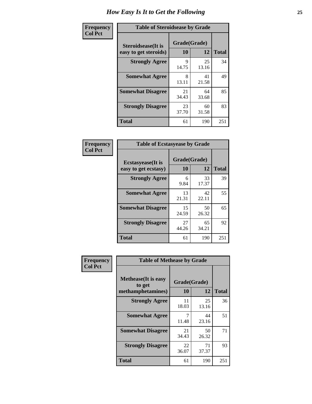| Frequency      | <b>Table of Steroidsease by Grade</b>               |                    |             |              |  |  |  |  |  |  |  |
|----------------|-----------------------------------------------------|--------------------|-------------|--------------|--|--|--|--|--|--|--|
| <b>Col Pct</b> | <b>Steroidsease</b> (It is<br>easy to get steroids) | Grade(Grade)<br>10 | 12          | <b>Total</b> |  |  |  |  |  |  |  |
|                | <b>Strongly Agree</b>                               | 9<br>14.75         | 25<br>13.16 | 34           |  |  |  |  |  |  |  |
|                | <b>Somewhat Agree</b>                               | 8<br>13.11         | 41<br>21.58 | 49           |  |  |  |  |  |  |  |
|                | <b>Somewhat Disagree</b>                            | 21<br>34.43        | 64<br>33.68 | 85           |  |  |  |  |  |  |  |
|                | <b>Strongly Disagree</b>                            | 23<br>37.70        | 60<br>31.58 | 83           |  |  |  |  |  |  |  |
|                | <b>Total</b>                                        | 61                 | 190         | 251          |  |  |  |  |  |  |  |

| Frequency      |                                                   | <b>Table of Ecstasyease by Grade</b> |             |              |  |  |  |  |  |  |  |
|----------------|---------------------------------------------------|--------------------------------------|-------------|--------------|--|--|--|--|--|--|--|
| <b>Col Pct</b> | <b>Ecstasyease</b> (It is<br>easy to get ecstasy) | Grade(Grade)<br><b>10</b>            | 12          | <b>Total</b> |  |  |  |  |  |  |  |
|                | <b>Strongly Agree</b>                             | 6<br>9.84                            | 33<br>17.37 | 39           |  |  |  |  |  |  |  |
|                | <b>Somewhat Agree</b>                             | 13<br>21.31                          | 42<br>22.11 | 55           |  |  |  |  |  |  |  |
|                | <b>Somewhat Disagree</b>                          | 15<br>24.59                          | 50<br>26.32 | 65           |  |  |  |  |  |  |  |
|                | <b>Strongly Disagree</b>                          | 27<br>44.26                          | 65<br>34.21 | 92           |  |  |  |  |  |  |  |
|                | <b>Total</b>                                      | 61                                   | 190         | 251          |  |  |  |  |  |  |  |

| Frequency      |                                                            | <b>Table of Methease by Grade</b> |             |              |  |  |  |  |  |  |  |  |
|----------------|------------------------------------------------------------|-----------------------------------|-------------|--------------|--|--|--|--|--|--|--|--|
| <b>Col Pct</b> | <b>Methease</b> (It is easy<br>to get<br>methamphetamines) | Grade(Grade)<br>10                | 12          | <b>Total</b> |  |  |  |  |  |  |  |  |
|                | <b>Strongly Agree</b>                                      | 11<br>18.03                       | 25<br>13.16 | 36           |  |  |  |  |  |  |  |  |
|                | <b>Somewhat Agree</b>                                      | 7<br>11.48                        | 44<br>23.16 | 51           |  |  |  |  |  |  |  |  |
|                | <b>Somewhat Disagree</b>                                   | 21<br>34.43                       | 50<br>26.32 | 71           |  |  |  |  |  |  |  |  |
|                | <b>Strongly Disagree</b>                                   | 22<br>36.07                       | 71<br>37.37 | 93           |  |  |  |  |  |  |  |  |
|                | Total                                                      | 61                                | 190         | 251          |  |  |  |  |  |  |  |  |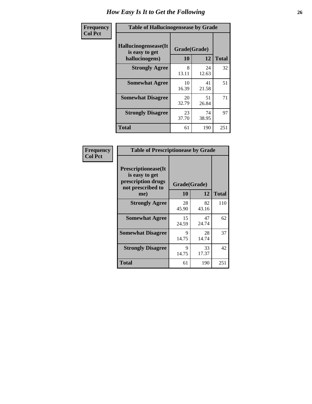| <b>Frequency</b> |                                                          | <b>Table of Hallucinogensease by Grade</b> |             |              |  |  |  |  |  |  |  |
|------------------|----------------------------------------------------------|--------------------------------------------|-------------|--------------|--|--|--|--|--|--|--|
| <b>Col Pct</b>   | Hallucinogensease(It<br>is easy to get<br>hallucinogens) | Grade(Grade)<br>10                         | 12          | <b>Total</b> |  |  |  |  |  |  |  |
|                  | <b>Strongly Agree</b>                                    | 8<br>13.11                                 | 24<br>12.63 | 32           |  |  |  |  |  |  |  |
|                  | <b>Somewhat Agree</b>                                    | 10<br>16.39                                | 41<br>21.58 | 51           |  |  |  |  |  |  |  |
|                  | <b>Somewhat Disagree</b>                                 | 20<br>32.79                                | 51<br>26.84 | 71           |  |  |  |  |  |  |  |
|                  | <b>Strongly Disagree</b>                                 | 23<br>37.70                                | 74<br>38.95 | 97           |  |  |  |  |  |  |  |
|                  | <b>Total</b>                                             | 61                                         | 190         | 251          |  |  |  |  |  |  |  |

| Frequency<br>Col Pct |
|----------------------|
|                      |

| <b>Table of Prescriptionease by Grade</b>                                                |              |             |              |
|------------------------------------------------------------------------------------------|--------------|-------------|--------------|
| <b>Prescriptionease</b> (It<br>is easy to get<br>prescription drugs<br>not prescribed to | Grade(Grade) |             |              |
| me)                                                                                      | 10           | 12          | <b>Total</b> |
| <b>Strongly Agree</b>                                                                    | 28<br>45.90  | 82<br>43.16 | 110          |
| <b>Somewhat Agree</b>                                                                    | 15<br>24.59  | 47<br>24.74 | 62           |
| <b>Somewhat Disagree</b>                                                                 | Q<br>14.75   | 28<br>14.74 | 37           |
| <b>Strongly Disagree</b>                                                                 | 9<br>14.75   | 33<br>17.37 | 42           |
| Total                                                                                    | 61           | 190         | 251          |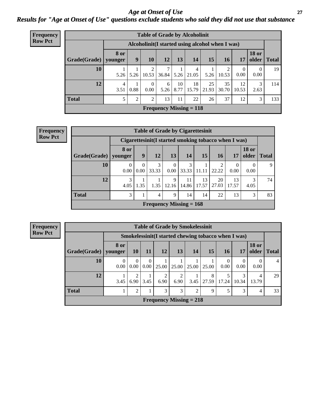*Age at Onset of Use* **27** *Results for "Age at Onset of Use" questions exclude students who said they did not use that substance*

| <b>Frequency</b> | <b>Table of Grade by Alcoholinit</b> |           |                                                  |                  |                                |            |             |             |             |             |                       |              |  |
|------------------|--------------------------------------|-----------|--------------------------------------------------|------------------|--------------------------------|------------|-------------|-------------|-------------|-------------|-----------------------|--------------|--|
| <b>Row Pct</b>   |                                      |           | Alcoholinit (I started using alcohol when I was) |                  |                                |            |             |             |             |             |                       |              |  |
|                  | Grade(Grade)   younger               | 8 or      | 9                                                | <b>10</b>        | 12                             | 13         | 14          | 15          | <b>16</b>   | 17          | <b>18 or</b><br>older | <b>Total</b> |  |
|                  | 10                                   | 5.26      | 5.26                                             | ↑<br>10.53       | 36.84                          | 5.26       | 4<br>21.05  | 5.26        | 10.53       | 0<br>0.00   | 0<br>0.00             | 19           |  |
|                  | 12                                   | 4<br>3.51 | 0.88                                             | $\Omega$<br>0.00 | 6<br>5.26                      | 10<br>8.77 | 18<br>15.79 | 25<br>21.93 | 35<br>30.70 | 12<br>10.53 | 3<br>2.63             | 114          |  |
|                  | <b>Total</b>                         |           | 2                                                | 2                | 13                             | 11         | 22          | 26          | 37          | 12          | 3                     | 133          |  |
|                  |                                      |           |                                                  |                  | <b>Frequency Missing = 118</b> |            |             |             |             |             |                       |              |  |

| Frequency      | <b>Table of Grade by Cigarettesinit</b> |                  |      |                                                       |                  |             |             |             |             |                       |              |  |  |
|----------------|-----------------------------------------|------------------|------|-------------------------------------------------------|------------------|-------------|-------------|-------------|-------------|-----------------------|--------------|--|--|
| <b>Row Pct</b> |                                         |                  |      | Cigarettesinit (I started smoking tobacco when I was) |                  |             |             |             |             |                       |              |  |  |
|                | Grade(Grade)   younger                  | 8 or             | 9    | 12                                                    | 13               | 14          | 15          | 16          | 17          | <b>18 or</b><br>older | <b>Total</b> |  |  |
|                | 10                                      | $\Omega$<br>0.00 | 0.00 | 3<br>33.33                                            | $\Omega$<br>0.00 | 3<br>33.33  | 11.11       | 2<br>22.22  | 0<br>0.00   | $\Omega$<br>0.00      | 9            |  |  |
|                | 12                                      | 3<br>4.05        | 1.35 | 1.35                                                  | 9<br>12.16       | 11<br>14.86 | 13<br>17.57 | 20<br>27.03 | 13<br>17.57 | 3<br>4.05             | 74           |  |  |
|                | <b>Total</b>                            | 3                |      | 4                                                     | 9                | 14          | 14          | 22          | 13          | 3                     | 83           |  |  |
|                |                                         |                  |      | Frequency Missing $= 168$                             |                  |             |             |             |             |                       |              |  |  |

**Frequency Row Pct**

|              | <b>Table of Grade by Smokelessinit</b> |                                                     |                  |                           |           |       |            |                               |       |                       |       |  |  |  |
|--------------|----------------------------------------|-----------------------------------------------------|------------------|---------------------------|-----------|-------|------------|-------------------------------|-------|-----------------------|-------|--|--|--|
|              |                                        | Smokelessinit(I started chewing tobacco when I was) |                  |                           |           |       |            |                               |       |                       |       |  |  |  |
| Grade(Grade) | 8 or<br>younger                        | <b>10</b>                                           | <b>11</b>        | 12                        | 13        | 14    | 15         | <b>16</b>                     | 17    | <b>18 or</b><br>older | Total |  |  |  |
| 10           | $\theta$<br>0.00                       | $\Omega$<br>0.00                                    | $\Omega$<br>0.00 | 25.00                     | 25.00     | 25.00 | 25.00      | $\Omega$<br>0.00 <sub>1</sub> | 0.00  | 0.00                  |       |  |  |  |
| 12           | 3.45                                   | 2<br>6.90                                           | 3.45             | 2<br>6.90                 | 2<br>6.90 | 3.45  | 8<br>27.59 | 5<br>17.24                    | 10.34 | 4<br>13.79            | 29    |  |  |  |
| <b>Total</b> |                                        | 2                                                   |                  | 3                         | 3         | 2     | 9          | 5                             | 3     | 4                     | 33    |  |  |  |
|              |                                        |                                                     |                  | Frequency Missing $= 218$ |           |       |            |                               |       |                       |       |  |  |  |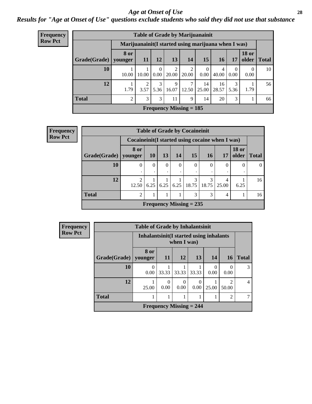#### *Age at Onset of Use* **28**

*Results for "Age at Onset of Use" questions exclude students who said they did not use that substance*

| <b>Frequency</b> | <b>Table of Grade by Marijuanainit</b> |                             |                                                      |           |                           |                         |                  |             |                  |                       |              |  |
|------------------|----------------------------------------|-----------------------------|------------------------------------------------------|-----------|---------------------------|-------------------------|------------------|-------------|------------------|-----------------------|--------------|--|
| <b>Row Pct</b>   |                                        |                             | Marijuanainit (I started using marijuana when I was) |           |                           |                         |                  |             |                  |                       |              |  |
|                  | Grade(Grade)                           | <b>8 or</b><br>younger      | 11                                                   | 12        | 13                        | 14                      | 15               | 16          | 17               | <b>18 or</b><br>older | <b>Total</b> |  |
|                  | 10                                     | 10.00                       | 10.00                                                | 0<br>0.00 | 20.00                     | $\overline{2}$<br>20.00 | $\Omega$<br>0.00 | 4<br>40.00  | $\Omega$<br>0.00 | $\Omega$<br>0.00      | 10           |  |
|                  | 12                                     | 1.79                        | 3.57                                                 | 3<br>5.36 | 9<br>16.07                | 7<br>12.50              | 14<br>25.00      | 16<br>28.57 | 3<br>5.36        | 1.79                  | 56           |  |
|                  | <b>Total</b>                           | $\mathcal{D}_{\mathcal{A}}$ | 3                                                    | 3         | 11                        | 9                       | 14               | 20          | 3                |                       | 66           |  |
|                  |                                        |                             |                                                      |           | Frequency Missing $= 185$ |                         |                  |             |                  |                       |              |  |

| Frequency                                    | <b>Table of Grade by Cocaineinit</b> |                         |                                                    |          |          |                                                   |           |            |                       |              |
|----------------------------------------------|--------------------------------------|-------------------------|----------------------------------------------------|----------|----------|---------------------------------------------------|-----------|------------|-----------------------|--------------|
| <b>Row Pct</b>                               |                                      |                         | Cocaine in it (I started using cocaine when I was) |          |          |                                                   |           |            |                       |              |
|                                              | Grade(Grade)   younger               | 8 or                    | <b>10</b>                                          | 13       | 14       | 15                                                | <b>16</b> | 17         | <b>18 or</b><br>older | <b>Total</b> |
|                                              | 10                                   | 0                       | $\theta$                                           | $\Omega$ | $\Omega$ |                                                   | $\theta$  | $\theta$   | $\theta$              | $\Omega$     |
|                                              | 12                                   | $\mathfrak{D}$<br>12.50 |                                                    |          |          | 3<br>$6.25$   $6.25$   $6.25$   $18.75$   $18.75$ | 3         | 4<br>25.00 | 6.25                  | 16           |
| <b>Total</b><br>3<br>$\mathcal{D}$<br>3<br>4 |                                      |                         |                                                    |          |          |                                                   |           |            | 16                    |              |
|                                              |                                      |                         |                                                    |          |          | Frequency Missing $= 235$                         |           |            |                       |              |

| Frequency      | <b>Table of Grade by Inhalantsinit</b> |                  |                                                         |           |                                |                  |                  |                |  |
|----------------|----------------------------------------|------------------|---------------------------------------------------------|-----------|--------------------------------|------------------|------------------|----------------|--|
| <b>Row Pct</b> |                                        |                  | Inhalantsinit (I started using inhalants<br>when I was) |           |                                |                  |                  |                |  |
|                | Grade(Grade)                           | 8 or<br>younger  | <b>11</b>                                               | <b>12</b> | 13                             | 14               | <b>16</b>        | <b>Total</b>   |  |
|                | <b>10</b>                              | $\Omega$<br>0.00 | 33.33                                                   | 33.33     | 33.33                          | $\Omega$<br>0.00 | $\Omega$<br>0.00 | 3              |  |
|                | 12                                     | 25.00            | $\Omega$<br>0.00                                        | 0.00      | 0.00                           | 25.00            | 50.00            | $\overline{4}$ |  |
|                | <b>Total</b>                           |                  | 2                                                       | ┑         |                                |                  |                  |                |  |
|                |                                        |                  |                                                         |           | <b>Frequency Missing = 244</b> |                  |                  |                |  |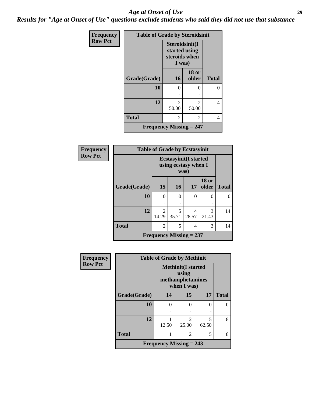#### *Age at Onset of Use* **29**

*Results for "Age at Onset of Use" questions exclude students who said they did not use that substance*

| Frequency      | <b>Table of Grade by Steroidsinit</b> |                                                            |                         |              |  |  |  |
|----------------|---------------------------------------|------------------------------------------------------------|-------------------------|--------------|--|--|--|
| <b>Row Pct</b> |                                       | Steroidsinit(I<br>started using<br>steroids when<br>I was) |                         |              |  |  |  |
|                | Grade(Grade)                          | 16                                                         | <b>18 or</b><br>older   | <b>Total</b> |  |  |  |
|                | 10                                    | 0                                                          | 0                       | 0            |  |  |  |
|                | 12                                    | $\mathfrak{D}$<br>50.00                                    | $\mathfrak{D}$<br>50.00 | 4            |  |  |  |
|                | <b>Total</b>                          | 2                                                          | 2                       | 4            |  |  |  |
|                | <b>Frequency Missing = 247</b>        |                                                            |                         |              |  |  |  |

| <b>Frequency</b> | <b>Table of Grade by Ecstasyinit</b>                         |                         |                           |            |                       |              |  |  |  |
|------------------|--------------------------------------------------------------|-------------------------|---------------------------|------------|-----------------------|--------------|--|--|--|
| <b>Row Pct</b>   | <b>Ecstasyinit(I started</b><br>using ecstasy when I<br>was) |                         |                           |            |                       |              |  |  |  |
|                  | Grade(Grade)                                                 | 15                      | 16                        | <b>17</b>  | <b>18 or</b><br>older | <b>Total</b> |  |  |  |
|                  | 10                                                           | $\Omega$                | $\Omega$                  | 0          | 0                     | 0            |  |  |  |
|                  | 12                                                           | $\mathfrak{D}$<br>14.29 | 5<br>35.71                | 4<br>28.57 | 3<br>21.43            | 14           |  |  |  |
|                  | <b>Total</b>                                                 | $\overline{2}$          | 14                        |            |                       |              |  |  |  |
|                  |                                                              |                         | Frequency Missing $= 237$ |            |                       |              |  |  |  |

| Frequency      | <b>Table of Grade by Methinit</b> |                                |                                                                       |            |              |  |  |
|----------------|-----------------------------------|--------------------------------|-----------------------------------------------------------------------|------------|--------------|--|--|
| <b>Row Pct</b> |                                   |                                | <b>Methinit(I started</b><br>using<br>methamphetamines<br>when I was) |            |              |  |  |
|                | Grade(Grade)                      | 14                             | 15                                                                    | 17         | <b>Total</b> |  |  |
|                | 10                                | 0                              | 0                                                                     | 0          |              |  |  |
|                |                                   | ٠                              |                                                                       |            |              |  |  |
|                | 12                                | 12.50                          | $\mathfrak{D}$<br>25.00                                               | 5<br>62.50 | 8            |  |  |
|                | <b>Total</b>                      |                                | 2                                                                     | 5          | 8            |  |  |
|                |                                   | <b>Frequency Missing = 243</b> |                                                                       |            |              |  |  |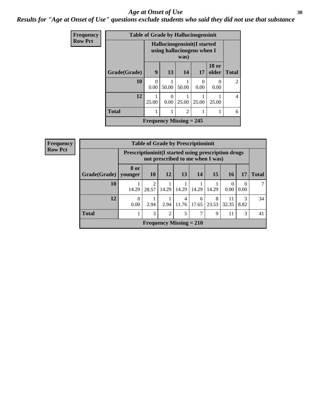#### Age at Onset of Use **30**

*Results for "Age at Onset of Use" questions exclude students who said they did not use that substance*

| <b>Frequency</b> | <b>Table of Grade by Hallucinogensinit</b>                         |                  |                           |       |                           |                           |                             |  |  |
|------------------|--------------------------------------------------------------------|------------------|---------------------------|-------|---------------------------|---------------------------|-----------------------------|--|--|
| <b>Row Pct</b>   | Hallucinogensinit (I started<br>using hallucinogens when I<br>was) |                  |                           |       |                           |                           |                             |  |  |
|                  | Grade(Grade)                                                       | 9                | 13                        | 14    | 17                        | <b>18 or</b><br>older     | <b>Total</b>                |  |  |
|                  | 10                                                                 | $\Omega$<br>0.00 | 50.00                     | 50.00 | $\mathbf{\Omega}$<br>0.00 | $\mathbf{\Omega}$<br>0.00 | $\mathcal{D}_{\mathcal{A}}$ |  |  |
|                  | 12                                                                 | 25.00            | $\Omega$<br>0.00          | 25.00 | 25.00                     | 25.00                     | $\overline{4}$              |  |  |
|                  | <b>Total</b><br>$\overline{2}$                                     |                  |                           |       |                           |                           |                             |  |  |
|                  |                                                                    |                  | Frequency Missing $= 245$ |       |                           |                           |                             |  |  |

| Frequency      | <b>Table of Grade by Prescriptioninit</b>                                                        |                  |                                   |                           |                         |            |            |             |           |              |
|----------------|--------------------------------------------------------------------------------------------------|------------------|-----------------------------------|---------------------------|-------------------------|------------|------------|-------------|-----------|--------------|
| <b>Row Pct</b> | <b>Prescriptioninit (I started using prescription drugs)</b><br>not prescribed to me when I was) |                  |                                   |                           |                         |            |            |             |           |              |
|                | Grade(Grade)                                                                                     | 8 or<br>younger  | <b>10</b>                         | 12                        | <b>13</b>               | 14         | 15         | <b>16</b>   | 17        | <b>Total</b> |
|                | 10                                                                                               | 14.29            | $\overline{\mathcal{L}}$<br>28.57 | 14.29                     | 14.29                   | 14.29      | 14.29      | 0.00        | 0.00      |              |
|                | 12                                                                                               | $\Omega$<br>0.00 | 2.94                              | 2.94                      | $\overline{4}$<br>11.76 | 6<br>17.65 | 8<br>23.53 | 11<br>32.35 | 3<br>8.82 | 34           |
|                | <b>Total</b>                                                                                     |                  | 3                                 | $\overline{c}$            | 5                       | 7          | 9          | 11          | 3         | 41           |
|                |                                                                                                  |                  |                                   | Frequency Missing $= 210$ |                         |            |            |             |           |              |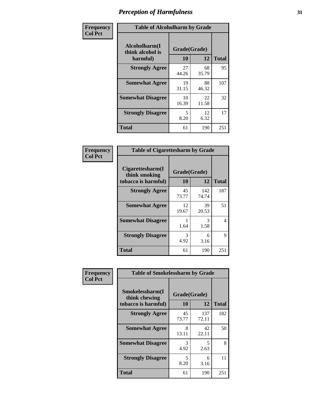| Frequency      | <b>Table of Alcoholharm by Grade</b>          |                    |             |              |  |  |
|----------------|-----------------------------------------------|--------------------|-------------|--------------|--|--|
| <b>Col Pct</b> | Alcoholharm(I<br>think alcohol is<br>harmful) | Grade(Grade)<br>10 | 12          | <b>Total</b> |  |  |
|                | <b>Strongly Agree</b>                         | 27<br>44.26        | 68<br>35.79 | 95           |  |  |
|                | <b>Somewhat Agree</b>                         | 19<br>31.15        | 88<br>46.32 | 107          |  |  |
|                | <b>Somewhat Disagree</b>                      | 10<br>16.39        | 22<br>11.58 | 32           |  |  |
|                | <b>Strongly Disagree</b>                      | 5<br>8.20          | 12<br>6.32  | 17           |  |  |
|                | <b>Total</b>                                  | 61                 | 190         | 251          |  |  |

| <b>Table of Cigarettesharm by Grade</b>                  |                    |              |              |  |  |  |  |  |
|----------------------------------------------------------|--------------------|--------------|--------------|--|--|--|--|--|
| Cigarettesharm(I<br>think smoking<br>tobacco is harmful) | Grade(Grade)<br>10 | 12           | <b>Total</b> |  |  |  |  |  |
| <b>Strongly Agree</b>                                    | 45<br>73.77        | 142<br>74.74 | 187          |  |  |  |  |  |
| <b>Somewhat Agree</b>                                    | 12<br>19.67        | 39<br>20.53  | 51           |  |  |  |  |  |
| <b>Somewhat Disagree</b>                                 | 1<br>1.64          | 3<br>1.58    | 4            |  |  |  |  |  |
| <b>Strongly Disagree</b>                                 | 3<br>4.92          | 6<br>3.16    | 9            |  |  |  |  |  |
| <b>Total</b>                                             | 61                 | 190          | 251          |  |  |  |  |  |

| Frequency      | <b>Table of Smokelessharm by Grade</b>                  |                    |              |              |
|----------------|---------------------------------------------------------|--------------------|--------------|--------------|
| <b>Col Pct</b> | Smokelessharm(I<br>think chewing<br>tobacco is harmful) | Grade(Grade)<br>10 | 12           | <b>Total</b> |
|                | <b>Strongly Agree</b>                                   | 45<br>73.77        | 137<br>72.11 | 182          |
|                | <b>Somewhat Agree</b>                                   | 8<br>13.11         | 42<br>22.11  | 50           |
|                | <b>Somewhat Disagree</b>                                | 3<br>4.92          | 5<br>2.63    | 8            |
|                | <b>Strongly Disagree</b>                                | 5<br>8.20          | 6<br>3.16    | 11           |
|                | <b>Total</b>                                            | 61                 | 190          | 251          |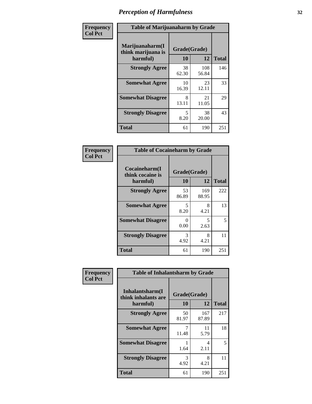| Frequency      |                                                   | <b>Table of Marijuanaharm by Grade</b> |              |              |  |  |  |  |
|----------------|---------------------------------------------------|----------------------------------------|--------------|--------------|--|--|--|--|
| <b>Col Pct</b> | Marijuanaharm(I<br>think marijuana is<br>harmful) | Grade(Grade)<br>10                     | 12           | <b>Total</b> |  |  |  |  |
|                | <b>Strongly Agree</b>                             | 38<br>62.30                            | 108<br>56.84 | 146          |  |  |  |  |
|                | <b>Somewhat Agree</b>                             | 10<br>16.39                            | 23<br>12.11  | 33           |  |  |  |  |
|                | <b>Somewhat Disagree</b>                          | 8<br>13.11                             | 21<br>11.05  | 29           |  |  |  |  |
|                | <b>Strongly Disagree</b>                          | 5<br>8.20                              | 38<br>20.00  | 43           |  |  |  |  |
|                | <b>Total</b>                                      | 61                                     | 190          | 251          |  |  |  |  |

| <b>Table of Cocaineharm by Grade</b>          |                    |              |              |  |  |  |  |  |
|-----------------------------------------------|--------------------|--------------|--------------|--|--|--|--|--|
| Cocaineharm(I<br>think cocaine is<br>harmful) | Grade(Grade)<br>10 | 12           | <b>Total</b> |  |  |  |  |  |
| <b>Strongly Agree</b>                         | 53<br>86.89        | 169<br>88.95 | 222          |  |  |  |  |  |
| <b>Somewhat Agree</b>                         | 5<br>8.20          | 8<br>4.21    | 13           |  |  |  |  |  |
| <b>Somewhat Disagree</b>                      | 0<br>0.00          | 5<br>2.63    | 5            |  |  |  |  |  |
| <b>Strongly Disagree</b>                      | 3<br>4.92          | 8<br>4.21    | 11           |  |  |  |  |  |
| <b>Total</b>                                  | 61                 | 190          | 251          |  |  |  |  |  |

| Frequency      | <b>Table of Inhalantsharm by Grade</b>             |                    |              |              |
|----------------|----------------------------------------------------|--------------------|--------------|--------------|
| <b>Col Pct</b> | Inhalantsharm(I<br>think inhalants are<br>harmful) | Grade(Grade)<br>10 | 12           | <b>Total</b> |
|                | <b>Strongly Agree</b>                              | 50<br>81.97        | 167<br>87.89 | 217          |
|                | <b>Somewhat Agree</b>                              | 7<br>11.48         | 11<br>5.79   | 18           |
|                | <b>Somewhat Disagree</b>                           | 1.64               | 4<br>2.11    | 5            |
|                | <b>Strongly Disagree</b>                           | 3<br>4.92          | 8<br>4.21    | 11           |
|                | <b>Total</b>                                       | 61                 | 190          | 251          |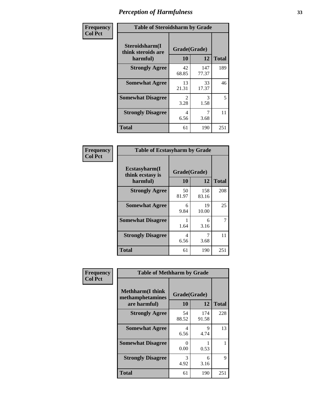| Frequency      | <b>Table of Steroidsharm by Grade</b>            |                               |              |              |
|----------------|--------------------------------------------------|-------------------------------|--------------|--------------|
| <b>Col Pct</b> | Steroidsharm(I<br>think steroids are<br>harmful) | Grade(Grade)<br>10            | 12           | <b>Total</b> |
|                | <b>Strongly Agree</b>                            | 42<br>68.85                   | 147<br>77.37 | 189          |
|                | <b>Somewhat Agree</b>                            | 13<br>21.31                   | 33<br>17.37  | 46           |
|                | <b>Somewhat Disagree</b>                         | $\mathcal{D}_{\cdot}$<br>3.28 | 3<br>1.58    | 5            |
|                | <b>Strongly Disagree</b>                         | 4<br>6.56                     | 3.68         | 11           |
|                | <b>Total</b>                                     | 61                            | 190          | 251          |

| <b>Table of Ecstasyharm by Grade</b>                |                    |              |     |  |  |
|-----------------------------------------------------|--------------------|--------------|-----|--|--|
| $E$ cstasyharm $(I$<br>think ecstasy is<br>harmful) | Grade(Grade)<br>10 | <b>Total</b> |     |  |  |
| <b>Strongly Agree</b>                               | 50<br>81.97        | 158<br>83.16 | 208 |  |  |
| <b>Somewhat Agree</b>                               | 6<br>9.84          | 19<br>10.00  | 25  |  |  |
| <b>Somewhat Disagree</b>                            | 1<br>1.64          | 6<br>3.16    | 7   |  |  |
| <b>Strongly Disagree</b>                            | 4<br>6.56          | 7<br>3.68    | 11  |  |  |
| Total                                               | 61                 | 190          | 251 |  |  |

| Frequency      | <b>Table of Methharm by Grade</b>                            |                    |              |              |  |
|----------------|--------------------------------------------------------------|--------------------|--------------|--------------|--|
| <b>Col Pct</b> | <b>Methharm</b> (I think<br>methamphetamines<br>are harmful) | Grade(Grade)<br>10 | 12           | <b>Total</b> |  |
|                | <b>Strongly Agree</b>                                        | 54<br>88.52        | 174<br>91.58 | 228          |  |
|                | <b>Somewhat Agree</b>                                        | 4<br>6.56          | 9<br>4.74    | 13           |  |
|                | <b>Somewhat Disagree</b>                                     | 0<br>0.00          | 0.53         |              |  |
|                | <b>Strongly Disagree</b>                                     | 3<br>4.92          | 6<br>3.16    | 9            |  |
|                | <b>Total</b>                                                 | 61                 | 190          | 251          |  |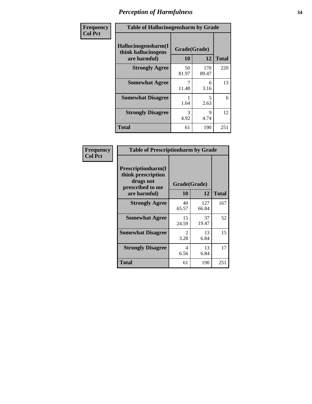| Frequency      | <b>Table of Hallucinogensharm by Grade</b>                 |                    |                                  |              |
|----------------|------------------------------------------------------------|--------------------|----------------------------------|--------------|
| <b>Col Pct</b> | Hallucinogensharm(I<br>think hallucinogens<br>are harmful) | Grade(Grade)<br>10 | 12                               | <b>Total</b> |
|                | <b>Strongly Agree</b>                                      | 50<br>81.97        | 170<br>89.47                     | 220          |
|                | <b>Somewhat Agree</b>                                      | 11.48              | 6<br>3.16                        | 13           |
|                | <b>Somewhat Disagree</b>                                   | 1.64               | $\overline{\phantom{0}}$<br>2.63 | 6            |
|                | <b>Strongly Disagree</b>                                   | 3<br>4.92          | 9<br>4.74                        | 12           |
|                | <b>Total</b>                                               | 61                 | 190                              | 251          |

| <b>Table of Prescriptionharm by Grade</b>                                 |                        |              |              |  |  |
|---------------------------------------------------------------------------|------------------------|--------------|--------------|--|--|
| Prescriptionharm(I<br>think prescription<br>drugs not<br>prescribed to me | Grade(Grade)           |              |              |  |  |
| are harmful)                                                              | 10                     | 12           | <b>Total</b> |  |  |
| <b>Strongly Agree</b>                                                     | 40<br>65.57            | 127<br>66.84 | 167          |  |  |
| <b>Somewhat Agree</b>                                                     | 15<br>24.59            | 37<br>19.47  | 52           |  |  |
| <b>Somewhat Disagree</b>                                                  | $\mathfrak{D}$<br>3.28 | 13<br>6.84   | 15           |  |  |
| <b>Strongly Disagree</b>                                                  | 4<br>6.56              | 13<br>6.84   | 17           |  |  |
| Total                                                                     | 61                     | 190          | 251          |  |  |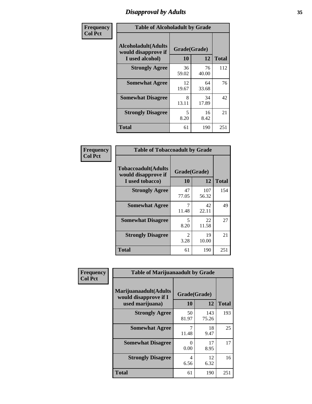### *Disapproval by Adults* **35**

| Frequency      | <b>Table of Alcoholadult by Grade</b>                                 |                    |             |              |
|----------------|-----------------------------------------------------------------------|--------------------|-------------|--------------|
| <b>Col Pct</b> | <b>Alcoholadult</b> (Adults<br>would disapprove if<br>I used alcohol) | Grade(Grade)<br>10 | 12          | <b>Total</b> |
|                | <b>Strongly Agree</b>                                                 | 36<br>59.02        | 76<br>40.00 | 112          |
|                | <b>Somewhat Agree</b>                                                 | 12<br>19.67        | 64<br>33.68 | 76           |
|                | <b>Somewhat Disagree</b>                                              | 8<br>13.11         | 34<br>17.89 | 42           |
|                | <b>Strongly Disagree</b>                                              | 5<br>8.20          | 16<br>8.42  | 21           |
|                | <b>Total</b>                                                          | 61                 | 190         | 251          |

| <b>Table of Tobaccoadult by Grade</b>                                 |                       |              |     |  |
|-----------------------------------------------------------------------|-----------------------|--------------|-----|--|
| <b>Tobaccoadult</b> (Adults<br>would disapprove if<br>I used tobacco) | Grade(Grade)<br>10    | <b>Total</b> |     |  |
| <b>Strongly Agree</b>                                                 | 47<br>77.05           | 107<br>56.32 | 154 |  |
| <b>Somewhat Agree</b>                                                 | 11.48                 | 42<br>22.11  | 49  |  |
| <b>Somewhat Disagree</b>                                              | 5<br>8.20             | 22<br>11.58  | 27  |  |
| <b>Strongly Disagree</b>                                              | $\mathcal{L}$<br>3.28 | 19<br>10.00  | 21  |  |
| <b>Total</b>                                                          | 61                    | 190          | 251 |  |

| Frequency<br><b>Col Pct</b> | <b>Table of Marijuanaadult by Grade</b>                           |                    |              |              |  |
|-----------------------------|-------------------------------------------------------------------|--------------------|--------------|--------------|--|
|                             | Marijuanaadult(Adults<br>would disapprove if I<br>used marijuana) | Grade(Grade)<br>10 | 12           | <b>Total</b> |  |
|                             | <b>Strongly Agree</b>                                             | 50<br>81.97        | 143<br>75.26 | 193          |  |
|                             | <b>Somewhat Agree</b>                                             | 11.48              | 18<br>9.47   | 25           |  |
|                             | <b>Somewhat Disagree</b>                                          | 0<br>0.00          | 17<br>8.95   | 17           |  |
|                             | <b>Strongly Disagree</b>                                          | 4<br>6.56          | 12<br>6.32   | 16           |  |
|                             | <b>Total</b>                                                      | 61                 | 190          | 251          |  |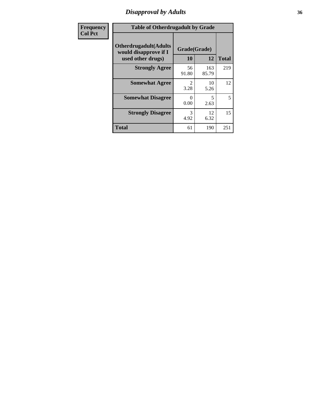### *Disapproval by Adults* **36**

| Frequency      | <b>Table of Otherdrugadult by Grade</b>                                     |                                     |              |              |
|----------------|-----------------------------------------------------------------------------|-------------------------------------|--------------|--------------|
| <b>Col Pct</b> | <b>Otherdrugadult</b> (Adults<br>would disapprove if I<br>used other drugs) | Grade(Grade)<br>10                  | 12           | <b>Total</b> |
|                | <b>Strongly Agree</b>                                                       | 56<br>91.80                         | 163<br>85.79 | 219          |
|                | <b>Somewhat Agree</b>                                                       | $\mathcal{D}_{\mathcal{L}}$<br>3.28 | 10<br>5.26   | 12           |
|                | <b>Somewhat Disagree</b>                                                    | 0<br>0.00                           | 5<br>2.63    | 5            |
|                | <b>Strongly Disagree</b>                                                    | 3<br>4.92                           | 12<br>6.32   | 15           |
|                | <b>Total</b>                                                                | 61                                  | 190          | 251          |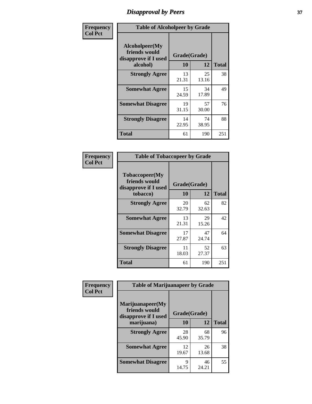# *Disapproval by Peers* **37**

| Frequency      | <b>Table of Alcoholpeer by Grade</b>                    |              |             |              |  |
|----------------|---------------------------------------------------------|--------------|-------------|--------------|--|
| <b>Col Pct</b> | Alcoholpeer(My<br>friends would<br>disapprove if I used | Grade(Grade) |             |              |  |
|                | alcohol)                                                | 10           | 12          | <b>Total</b> |  |
|                | <b>Strongly Agree</b>                                   | 13<br>21.31  | 25<br>13.16 | 38           |  |
|                | <b>Somewhat Agree</b>                                   | 15<br>24.59  | 34<br>17.89 | 49           |  |
|                | <b>Somewhat Disagree</b>                                | 19<br>31.15  | 57<br>30.00 | 76           |  |
|                | <b>Strongly Disagree</b>                                | 14<br>22.95  | 74<br>38.95 | 88           |  |
|                | Total                                                   | 61           | 190         | 251          |  |

| Frequency      | <b>Table of Tobaccopeer by Grade</b>                                |                    |             |              |  |
|----------------|---------------------------------------------------------------------|--------------------|-------------|--------------|--|
| <b>Col Pct</b> | Tobaccopeer(My<br>friends would<br>disapprove if I used<br>tobacco) | Grade(Grade)<br>10 | 12          | <b>Total</b> |  |
|                | <b>Strongly Agree</b>                                               | 20<br>32.79        | 62<br>32.63 | 82           |  |
|                | <b>Somewhat Agree</b>                                               | 13<br>21.31        | 29<br>15.26 | 42           |  |
|                | <b>Somewhat Disagree</b>                                            | 17<br>27.87        | 47<br>24.74 | 64           |  |
|                | <b>Strongly Disagree</b>                                            | 11<br>18.03        | 52<br>27.37 | 63           |  |
|                | Total                                                               | 61                 | 190         | 251          |  |

| Frequency<br><b>Col Pct</b> | <b>Table of Marijuanapeer by Grade</b>                    |              |             |              |
|-----------------------------|-----------------------------------------------------------|--------------|-------------|--------------|
|                             | Marijuanapeer(My<br>friends would<br>disapprove if I used | Grade(Grade) |             |              |
|                             | marijuana)                                                | <b>10</b>    | 12          | <b>Total</b> |
|                             | <b>Strongly Agree</b>                                     | 28<br>45.90  | 68<br>35.79 | 96           |
|                             | <b>Somewhat Agree</b>                                     | 12<br>19.67  | 26<br>13.68 | 38           |
|                             | <b>Somewhat Disagree</b>                                  | 9<br>14.75   | 46<br>24.21 | 55           |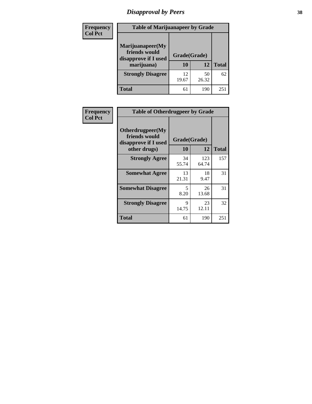# *Disapproval by Peers* **38**

| <b>Frequency</b> | <b>Table of Marijuanapeer by Grade</b>                                  |                           |             |              |  |
|------------------|-------------------------------------------------------------------------|---------------------------|-------------|--------------|--|
| <b>Col Pct</b>   | Marijuanapeer(My<br>friends would<br>disapprove if I used<br>marijuana) | Grade(Grade)<br><b>10</b> | 12          | <b>Total</b> |  |
|                  | <b>Strongly Disagree</b>                                                | 12<br>19.67               | 50<br>26.32 | 62           |  |
|                  | <b>Total</b>                                                            | 61                        | 190         | $25^{\circ}$ |  |

| <b>Frequency</b> | <b>Table of Otherdrugpeer by Grade</b>                                    |                    |              |              |
|------------------|---------------------------------------------------------------------------|--------------------|--------------|--------------|
| <b>Col Pct</b>   | Otherdrugpeer(My<br>friends would<br>disapprove if I used<br>other drugs) | Grade(Grade)<br>10 | 12           | <b>Total</b> |
|                  |                                                                           |                    |              |              |
|                  | <b>Strongly Agree</b>                                                     | 34<br>55.74        | 123<br>64.74 | 157          |
|                  | <b>Somewhat Agree</b>                                                     | 13<br>21.31        | 18<br>9.47   | 31           |
|                  | <b>Somewhat Disagree</b>                                                  | 5<br>8.20          | 26<br>13.68  | 31           |
|                  | <b>Strongly Disagree</b>                                                  | 9<br>14.75         | 23<br>12.11  | 32           |
|                  | Total                                                                     | 61                 | 190          | 251          |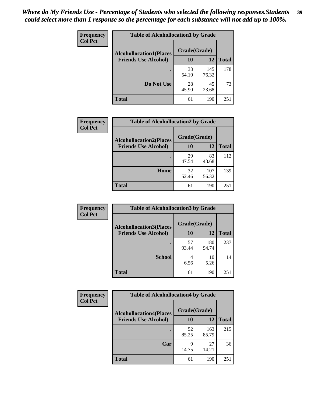| Frequency      | <b>Table of Alcohollocation1 by Grade</b> |              |              |              |
|----------------|-------------------------------------------|--------------|--------------|--------------|
| <b>Col Pct</b> | <b>Alcohollocation1(Places</b>            | Grade(Grade) |              |              |
|                | <b>Friends Use Alcohol)</b>               | 10           | 12           | <b>Total</b> |
|                |                                           | 33<br>54.10  | 145<br>76.32 | 178          |
|                | Do Not Use                                | 28<br>45.90  | 45<br>23.68  | 73           |
|                | <b>Total</b>                              | 61           | 190          | 251          |

| <b>Frequency</b> | <b>Table of Alcohollocation2 by Grade</b>                     |                    |              |              |
|------------------|---------------------------------------------------------------|--------------------|--------------|--------------|
| <b>Col Pct</b>   | <b>Alcohollocation2(Places</b><br><b>Friends Use Alcohol)</b> | Grade(Grade)<br>10 | 12           | <b>Total</b> |
|                  |                                                               | 29<br>47.54        | 83<br>43.68  | 112          |
|                  | Home                                                          | 32<br>52.46        | 107<br>56.32 | 139          |
|                  | <b>Total</b>                                                  | 61                 | 190          | 251          |

| Frequency<br><b>Col Pct</b> | <b>Table of Alcohollocation 3 by Grade</b>                    |                    |              |              |
|-----------------------------|---------------------------------------------------------------|--------------------|--------------|--------------|
|                             | <b>Alcohollocation3(Places</b><br><b>Friends Use Alcohol)</b> | Grade(Grade)<br>10 | 12           | <b>Total</b> |
|                             |                                                               | 57<br>93.44        | 180<br>94.74 | 237          |
|                             | <b>School</b>                                                 | 4<br>6.56          | 10<br>5.26   | 14           |
|                             | <b>Total</b>                                                  | 61                 | 190          | 251          |

| <b>Frequency</b> | <b>Table of Alcohollocation4 by Grade</b> |              |              |              |
|------------------|-------------------------------------------|--------------|--------------|--------------|
| <b>Col Pct</b>   | <b>Alcohollocation4(Places</b>            | Grade(Grade) |              |              |
|                  | <b>Friends Use Alcohol)</b>               | 10           | 12           | <b>Total</b> |
|                  |                                           | 52<br>85.25  | 163<br>85.79 | 215          |
|                  | Car                                       | 9<br>14.75   | 27<br>14.21  | 36           |
|                  | <b>Total</b>                              | 61           | 190          | 251          |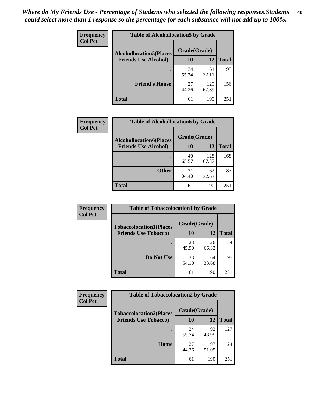| Frequency      | <b>Table of Alcohollocation5 by Grade</b> |              |              |              |  |
|----------------|-------------------------------------------|--------------|--------------|--------------|--|
| <b>Col Pct</b> | <b>Alcohollocation5(Places</b>            | Grade(Grade) |              |              |  |
|                | <b>Friends Use Alcohol)</b>               | 10           | 12           | <b>Total</b> |  |
|                |                                           | 34<br>55.74  | 61<br>32.11  | 95           |  |
|                | <b>Friend's House</b>                     | 27<br>44.26  | 129<br>67.89 | 156          |  |
|                | <b>Total</b>                              | 61           | 190          | 251          |  |

| <b>Frequency</b> | <b>Table of Alcohollocation6 by Grade</b> |              |              |              |
|------------------|-------------------------------------------|--------------|--------------|--------------|
| <b>Col Pct</b>   | <b>Alcohollocation6(Places</b>            | Grade(Grade) |              |              |
|                  | <b>Friends Use Alcohol)</b>               | 10           | 12           | <b>Total</b> |
|                  |                                           | 40<br>65.57  | 128<br>67.37 | 168          |
|                  | <b>Other</b>                              | 21<br>34.43  | 62<br>32.63  | 83           |
|                  | <b>Total</b>                              | 61           | 190          | 251          |

| Frequency      | <b>Table of Tobaccolocation1 by Grade</b> |              |              |              |
|----------------|-------------------------------------------|--------------|--------------|--------------|
| <b>Col Pct</b> | <b>Tobaccolocation1(Places</b>            | Grade(Grade) |              |              |
|                | <b>Friends Use Tobacco)</b>               | 10           | <b>12</b>    | <b>Total</b> |
|                |                                           | 28<br>45.90  | 126<br>66.32 | 154          |
|                | <b>Do Not Use</b>                         | 33<br>54.10  | 64<br>33.68  | 97           |
|                | <b>Total</b>                              | 61           | 190          | 251          |

| <b>Frequency</b> | <b>Table of Tobaccolocation2 by Grade</b> |              |             |              |  |
|------------------|-------------------------------------------|--------------|-------------|--------------|--|
| <b>Col Pct</b>   | <b>Tobaccolocation2(Places</b>            | Grade(Grade) |             |              |  |
|                  | <b>Friends Use Tobacco)</b>               | 10           | 12          | <b>Total</b> |  |
|                  |                                           | 34<br>55.74  | 93<br>48.95 | 127          |  |
|                  | Home                                      | 27<br>44.26  | 97<br>51.05 | 124          |  |
|                  | <b>Total</b>                              | 61           | 190         | 251          |  |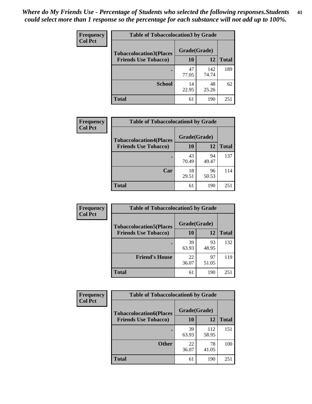| Frequency      | <b>Table of Tobaccolocation 3 by Grade</b> |              |              |              |
|----------------|--------------------------------------------|--------------|--------------|--------------|
| <b>Col Pct</b> | <b>Tobaccolocation3(Places</b>             | Grade(Grade) |              |              |
|                | <b>Friends Use Tobacco)</b>                | 10           | <b>12</b>    | <b>Total</b> |
|                | ٠                                          | 47<br>77.05  | 142<br>74.74 | 189          |
|                | <b>School</b>                              | 14<br>22.95  | 48<br>25.26  | 62           |
|                | <b>Total</b>                               | 61           | 190          | 251          |

| Frequency      | <b>Table of Tobaccolocation4 by Grade</b> |              |             |              |
|----------------|-------------------------------------------|--------------|-------------|--------------|
| <b>Col Pct</b> | <b>Tobaccolocation4(Places</b>            | Grade(Grade) |             |              |
|                | <b>Friends Use Tobacco)</b>               | 10           | 12          | <b>Total</b> |
|                |                                           | 43<br>70.49  | 94<br>49.47 | 137          |
|                | Car                                       | 18<br>29.51  | 96<br>50.53 | 114          |
|                | <b>Total</b>                              | 61           | 190         | 251          |

| Frequency      | <b>Table of Tobaccolocation5 by Grade</b> |              |             |              |
|----------------|-------------------------------------------|--------------|-------------|--------------|
| <b>Col Pct</b> | <b>Tobaccolocation5(Places</b>            | Grade(Grade) |             |              |
|                | <b>Friends Use Tobacco)</b>               | 10           | <b>12</b>   | <b>Total</b> |
|                |                                           | 39<br>63.93  | 93<br>48.95 | 132          |
|                | <b>Friend's House</b>                     | 22<br>36.07  | 97<br>51.05 | 119          |
|                | <b>Total</b>                              | 61           | 190         | 251          |

| Frequency      | <b>Table of Tobaccolocation6 by Grade</b> |              |              |              |  |
|----------------|-------------------------------------------|--------------|--------------|--------------|--|
| <b>Col Pct</b> | <b>Tobaccolocation6(Places</b>            | Grade(Grade) |              |              |  |
|                | <b>Friends Use Tobacco)</b>               | 10           | 12           | <b>Total</b> |  |
|                |                                           | 39<br>63.93  | 112<br>58.95 | 151          |  |
|                | <b>Other</b>                              | 22<br>36.07  | 78<br>41.05  | 100          |  |
|                | <b>Total</b>                              | 61           | 190          | 251          |  |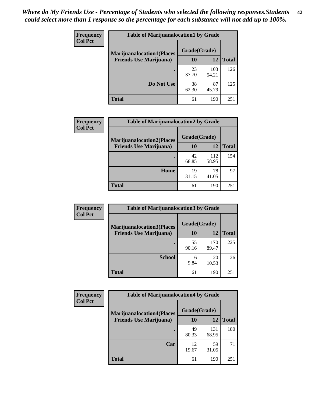| <b>Frequency</b> | <b>Table of Marijuanalocation1 by Grade</b> |              |              |              |
|------------------|---------------------------------------------|--------------|--------------|--------------|
| <b>Col Pct</b>   | <b>Marijuanalocation1(Places</b>            | Grade(Grade) |              |              |
|                  | <b>Friends Use Marijuana</b> )              | 10           | 12           | <b>Total</b> |
|                  |                                             | 23<br>37.70  | 103<br>54.21 | 126          |
|                  | Do Not Use                                  | 38<br>62.30  | 87<br>45.79  | 125          |
|                  | Total                                       | 61           | 190          | 251          |

| <b>Frequency</b> | <b>Table of Marijuanalocation2 by Grade</b>                        |                           |              |              |
|------------------|--------------------------------------------------------------------|---------------------------|--------------|--------------|
| <b>Col Pct</b>   | <b>Marijuanalocation2(Places</b><br><b>Friends Use Marijuana</b> ) | Grade(Grade)<br><b>10</b> | 12           | <b>Total</b> |
|                  |                                                                    | 42<br>68.85               | 112<br>58.95 | 154          |
|                  | Home                                                               | 19<br>31.15               | 78<br>41.05  | 97           |
|                  | <b>Total</b>                                                       | 61                        | 190          | 251          |

| <b>Frequency</b> | <b>Table of Marijuanalocation3 by Grade</b> |              |              |              |
|------------------|---------------------------------------------|--------------|--------------|--------------|
| <b>Col Pct</b>   | <b>Marijuanalocation3(Places</b>            | Grade(Grade) |              |              |
|                  | <b>Friends Use Marijuana</b> )              | 10           | 12           | <b>Total</b> |
|                  |                                             | 55<br>90.16  | 170<br>89.47 | 225          |
|                  | <b>School</b>                               | 6<br>9.84    | 20<br>10.53  | 26           |
|                  | <b>Total</b>                                | 61           | 190          | 251          |

| <b>Frequency</b> | <b>Table of Marijuanalocation4 by Grade</b> |              |              |              |  |
|------------------|---------------------------------------------|--------------|--------------|--------------|--|
| <b>Col Pct</b>   | <b>Marijuanalocation4(Places</b>            | Grade(Grade) |              |              |  |
|                  | <b>Friends Use Marijuana</b> )              | <b>10</b>    | 12           | <b>Total</b> |  |
|                  |                                             | 49<br>80.33  | 131<br>68.95 | 180          |  |
|                  | Car                                         | 12<br>19.67  | 59<br>31.05  | 71           |  |
|                  | <b>Total</b>                                | 61           | 190          | 251          |  |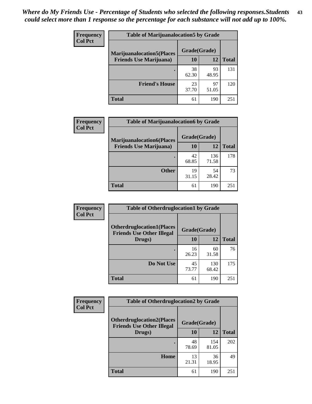| <b>Frequency</b> | <b>Table of Marijuanalocation5 by Grade</b> |              |             |              |
|------------------|---------------------------------------------|--------------|-------------|--------------|
| <b>Col Pct</b>   | <b>Marijuanalocation5(Places)</b>           | Grade(Grade) |             |              |
|                  | <b>Friends Use Marijuana</b> )              | 10           | 12          | <b>Total</b> |
|                  |                                             | 38<br>62.30  | 93<br>48.95 | 131          |
|                  | <b>Friend's House</b>                       | 23<br>37.70  | 97<br>51.05 | 120          |
|                  | <b>Total</b>                                | 61           | 190         | 251          |

| <b>Frequency</b> | <b>Table of Marijuanalocation6 by Grade</b>                        |                    |              |              |
|------------------|--------------------------------------------------------------------|--------------------|--------------|--------------|
| <b>Col Pct</b>   | <b>Marijuanalocation6(Places</b><br><b>Friends Use Marijuana</b> ) | Grade(Grade)<br>10 | 12           | <b>Total</b> |
|                  |                                                                    | 42<br>68.85        | 136<br>71.58 | 178          |
|                  | <b>Other</b>                                                       | 19<br>31.15        | 54<br>28.42  | 73           |
|                  | <b>Total</b>                                                       | 61                 | 190          | 251          |

| <b>Frequency</b> | <b>Table of Otherdruglocation1 by Grade</b>                          |              |              |              |
|------------------|----------------------------------------------------------------------|--------------|--------------|--------------|
| <b>Col Pct</b>   | <b>Otherdruglocation1(Places</b><br><b>Friends Use Other Illegal</b> | Grade(Grade) |              |              |
|                  | Drugs)                                                               | 10           | 12           | <b>Total</b> |
|                  |                                                                      | 16<br>26.23  | 60<br>31.58  | 76           |
|                  | Do Not Use                                                           | 45<br>73.77  | 130<br>68.42 | 175          |
|                  | <b>Total</b>                                                         | 61           | 190          | 251          |

| <b>Frequency</b> | <b>Table of Otherdruglocation2 by Grade</b>                          |              |              |              |
|------------------|----------------------------------------------------------------------|--------------|--------------|--------------|
| <b>Col Pct</b>   | <b>Otherdruglocation2(Places</b><br><b>Friends Use Other Illegal</b> | Grade(Grade) |              |              |
|                  | Drugs)                                                               | 10           | 12           | <b>Total</b> |
|                  |                                                                      | 48<br>78.69  | 154<br>81.05 | 202          |
|                  | Home                                                                 | 13<br>21.31  | 36<br>18.95  | 49           |
|                  | <b>Total</b>                                                         | 61           | 190          | 251          |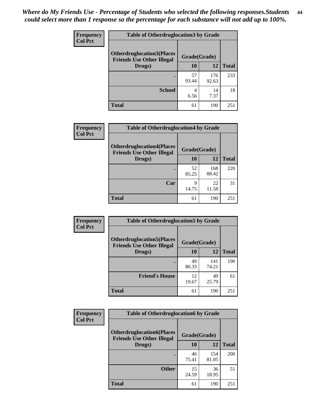| <b>Frequency</b> | <b>Table of Otherdruglocation 3 by Grade</b>                         |              |              |              |
|------------------|----------------------------------------------------------------------|--------------|--------------|--------------|
| <b>Col Pct</b>   | <b>Otherdruglocation3(Places</b><br><b>Friends Use Other Illegal</b> | Grade(Grade) |              |              |
|                  | Drugs)                                                               | <b>10</b>    | 12           | <b>Total</b> |
|                  |                                                                      | 57<br>93.44  | 176<br>92.63 | 233          |
|                  | <b>School</b>                                                        | 4<br>6.56    | 14<br>7.37   | 18           |
|                  | <b>Total</b>                                                         | 61           | 190          | 251          |

| <b>Frequency</b> | <b>Table of Otherdruglocation4 by Grade</b>                          |              |              |              |
|------------------|----------------------------------------------------------------------|--------------|--------------|--------------|
| <b>Col Pct</b>   | <b>Otherdruglocation4(Places</b><br><b>Friends Use Other Illegal</b> | Grade(Grade) |              |              |
|                  | Drugs)                                                               | 10           | 12           | <b>Total</b> |
|                  |                                                                      | 52<br>85.25  | 168<br>88.42 | 220          |
|                  | Car                                                                  | 9<br>14.75   | 22<br>11.58  | 31           |
|                  | <b>Total</b>                                                         | 61           | 190          | 251          |

| Frequency      | <b>Table of Otherdruglocation5 by Grade</b>                          |              |              |              |
|----------------|----------------------------------------------------------------------|--------------|--------------|--------------|
| <b>Col Pct</b> | <b>Otherdruglocation5(Places</b><br><b>Friends Use Other Illegal</b> | Grade(Grade) |              |              |
|                | Drugs)                                                               | 10           | 12           | <b>Total</b> |
|                |                                                                      | 49<br>80.33  | 141<br>74.21 | 190          |
|                | <b>Friend's House</b>                                                | 12<br>19.67  | 49<br>25.79  | 61           |
|                | <b>Total</b>                                                         | 61           | 190          | 251          |

| <b>Frequency</b> | <b>Table of Otherdruglocation6 by Grade</b>                          |              |              |              |
|------------------|----------------------------------------------------------------------|--------------|--------------|--------------|
| <b>Col Pct</b>   | <b>Otherdruglocation6(Places</b><br><b>Friends Use Other Illegal</b> | Grade(Grade) |              |              |
|                  | Drugs)                                                               | <b>10</b>    | 12           | <b>Total</b> |
|                  |                                                                      | 46<br>75.41  | 154<br>81.05 | 200          |
|                  | <b>Other</b>                                                         | 15<br>24.59  | 36<br>18.95  | 51           |
|                  | <b>Total</b>                                                         | 61           | 190          | 251          |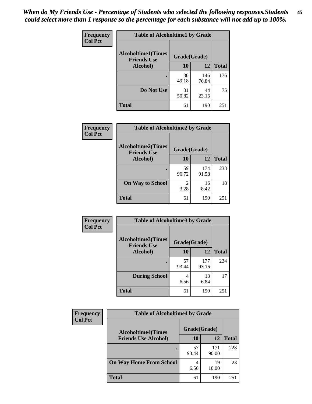| Frequency      | <b>Table of Alcoholtime1 by Grade</b>           |              |              |              |
|----------------|-------------------------------------------------|--------------|--------------|--------------|
| <b>Col Pct</b> | <b>Alcoholtime1(Times</b><br><b>Friends Use</b> | Grade(Grade) |              |              |
|                | Alcohol)                                        | 10           | <b>12</b>    | <b>Total</b> |
|                |                                                 | 30<br>49.18  | 146<br>76.84 | 176          |
|                | Do Not Use                                      | 31<br>50.82  | 44<br>23.16  | 75           |
|                | <b>Total</b>                                    | 61           | 190          | 251          |

| Frequency      | <b>Table of Alcoholtime2 by Grade</b>           |              |              |              |
|----------------|-------------------------------------------------|--------------|--------------|--------------|
| <b>Col Pct</b> | <b>Alcoholtime2(Times</b><br><b>Friends Use</b> | Grade(Grade) |              |              |
|                | Alcohol)                                        | 10           | 12           | <b>Total</b> |
|                |                                                 | 59<br>96.72  | 174<br>91.58 | 233          |
|                | <b>On Way to School</b>                         | 3.28         | 16<br>8.42   | 18           |
|                | <b>Total</b>                                    | 61           | 190          | 251          |

| Frequency      | <b>Table of Alcoholtime3 by Grade</b>                           |             |              |              |
|----------------|-----------------------------------------------------------------|-------------|--------------|--------------|
| <b>Col Pct</b> | <b>Alcoholtime3(Times</b><br>Grade(Grade)<br><b>Friends Use</b> |             |              |              |
|                | <b>Alcohol</b> )                                                | 10          | 12           | <b>Total</b> |
|                |                                                                 | 57<br>93.44 | 177<br>93.16 | 234          |
|                | <b>During School</b>                                            | 4<br>6.56   | 13<br>6.84   | 17           |
|                | <b>Total</b>                                                    | 61          | 190          | 251          |

| <b>Frequency</b><br><b>Col Pct</b> | <b>Table of Alcoholtime4 by Grade</b> |              |              |              |
|------------------------------------|---------------------------------------|--------------|--------------|--------------|
|                                    | <b>Alcoholtime4(Times</b>             | Grade(Grade) |              |              |
|                                    | <b>Friends Use Alcohol)</b>           | 10           | 12           | <b>Total</b> |
|                                    |                                       | 57<br>93.44  | 171<br>90.00 | 228          |
|                                    | <b>On Way Home From School</b>        | 6.56         | 19<br>10.00  | 23           |
|                                    | <b>Total</b>                          | 61           | 190          | 251          |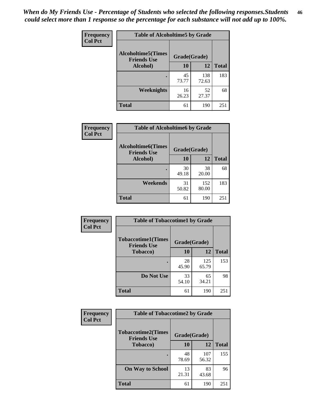*When do My Friends Use - Percentage of Students who selected the following responses.Students could select more than 1 response so the percentage for each substance will not add up to 100%.* **46**

| Frequency      | <b>Table of Alcoholtime5 by Grade</b>           |              |              |              |
|----------------|-------------------------------------------------|--------------|--------------|--------------|
| <b>Col Pct</b> | <b>Alcoholtime5(Times</b><br><b>Friends Use</b> | Grade(Grade) |              |              |
|                | Alcohol)                                        | 10           | 12           | <b>Total</b> |
|                |                                                 | 45<br>73.77  | 138<br>72.63 | 183          |
|                | Weeknights                                      | 16<br>26.23  | 52<br>27.37  | 68           |
|                | <b>Total</b>                                    | 61           | 190          | 251          |

| <b>Frequency</b> | <b>Table of Alcoholtime6 by Grade</b>           |              |              |              |
|------------------|-------------------------------------------------|--------------|--------------|--------------|
| <b>Col Pct</b>   | <b>Alcoholtime6(Times</b><br><b>Friends Use</b> | Grade(Grade) |              |              |
|                  | <b>Alcohol</b> )                                | 10           | 12           | <b>Total</b> |
|                  |                                                 | 30<br>49.18  | 38<br>20.00  | 68           |
|                  | Weekends                                        | 31<br>50.82  | 152<br>80.00 | 183          |
|                  | <b>Total</b>                                    | 61           | 190          | 251          |

| Frequency      | <b>Table of Tobaccotime1 by Grade</b>           |              |              |              |
|----------------|-------------------------------------------------|--------------|--------------|--------------|
| <b>Col Pct</b> | <b>Tobaccotime1(Times</b><br><b>Friends Use</b> | Grade(Grade) |              |              |
|                | <b>Tobacco</b> )                                | 10           | 12           | <b>Total</b> |
|                | ٠                                               | 28<br>45.90  | 125<br>65.79 | 153          |
|                | Do Not Use                                      | 33<br>54.10  | 65<br>34.21  | 98           |
|                | <b>Total</b>                                    | 61           | 190          | 251          |

| <b>Frequency</b> | <b>Table of Tobaccotime2 by Grade</b>           |              |              |              |
|------------------|-------------------------------------------------|--------------|--------------|--------------|
| <b>Col Pct</b>   | <b>Tobaccotime2(Times</b><br><b>Friends Use</b> | Grade(Grade) |              |              |
|                  | <b>Tobacco</b> )                                | 10           | 12           | <b>Total</b> |
|                  | $\bullet$                                       | 48<br>78.69  | 107<br>56.32 | 155          |
|                  | <b>On Way to School</b>                         | 13<br>21.31  | 83<br>43.68  | 96           |
|                  | <b>Total</b>                                    | 61           | 190          | 251          |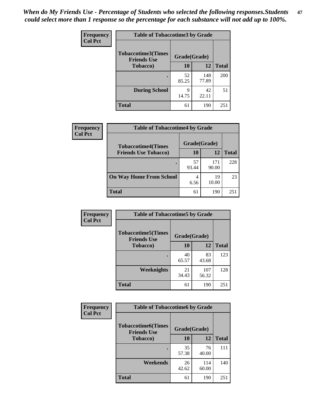*When do My Friends Use - Percentage of Students who selected the following responses.Students could select more than 1 response so the percentage for each substance will not add up to 100%.* **47**

| <b>Frequency</b> | <b>Table of Tobaccotime3 by Grade</b>           |              |              |              |  |
|------------------|-------------------------------------------------|--------------|--------------|--------------|--|
| <b>Col Pct</b>   | <b>Tobaccotime3(Times</b><br><b>Friends Use</b> | Grade(Grade) |              |              |  |
|                  | <b>Tobacco</b> )                                | 10           | 12           | <b>Total</b> |  |
|                  |                                                 | 52<br>85.25  | 148<br>77.89 | 200          |  |
|                  | <b>During School</b>                            | 9<br>14.75   | 42<br>22.11  | 51           |  |
|                  | <b>Total</b>                                    | 61           | 190          | 251          |  |

| <b>Frequency</b> | <b>Table of Tobaccotime4 by Grade</b> |              |              |              |
|------------------|---------------------------------------|--------------|--------------|--------------|
| <b>Col Pct</b>   | <b>Tobaccotime4(Times</b>             | Grade(Grade) |              |              |
|                  | <b>Friends Use Tobacco)</b>           | 10           | 12           | <b>Total</b> |
|                  |                                       | 57<br>93.44  | 171<br>90.00 | 228          |
|                  | <b>On Way Home From School</b>        | 4<br>6.56    | 19<br>10.00  | 23           |
|                  | <b>Total</b>                          | 61           | 190          | 251          |

| <b>Frequency</b> | <b>Table of Tobaccotime5 by Grade</b>           |              |              |              |
|------------------|-------------------------------------------------|--------------|--------------|--------------|
| <b>Col Pct</b>   | <b>Tobaccotime5(Times</b><br><b>Friends Use</b> | Grade(Grade) |              |              |
|                  | <b>Tobacco</b> )                                | 10           | 12           | <b>Total</b> |
|                  |                                                 | 40<br>65.57  | 83<br>43.68  | 123          |
|                  | Weeknights                                      | 21<br>34.43  | 107<br>56.32 | 128          |
|                  | <b>Total</b>                                    | 61           | 190          | 251          |

| Frequency<br><b>Col Pct</b> | <b>Table of Tobaccotime6 by Grade</b>                           |             |              |              |
|-----------------------------|-----------------------------------------------------------------|-------------|--------------|--------------|
|                             | <b>Tobaccotime6(Times</b><br>Grade(Grade)<br><b>Friends Use</b> |             |              |              |
|                             | <b>Tobacco</b> )                                                | 10          | 12           | <b>Total</b> |
|                             |                                                                 | 35<br>57.38 | 76<br>40.00  | 111          |
|                             | Weekends                                                        | 26<br>42.62 | 114<br>60.00 | 140          |
|                             | <b>Total</b>                                                    | 61          | 190          | 251          |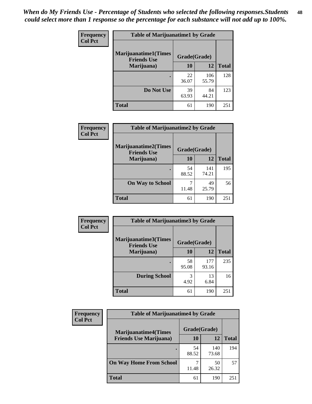| Frequency      | <b>Table of Marijuanatime1 by Grade</b>           |              |              |              |
|----------------|---------------------------------------------------|--------------|--------------|--------------|
| <b>Col Pct</b> | <b>Marijuanatime1(Times</b><br><b>Friends Use</b> | Grade(Grade) |              |              |
|                | Marijuana)                                        | 10           | 12           | <b>Total</b> |
|                |                                                   | 22<br>36.07  | 106<br>55.79 | 128          |
|                | Do Not Use                                        | 39<br>63.93  | 84<br>44.21  | 123          |
|                | <b>Total</b>                                      | 61           | 190          | 251          |

| <b>Frequency</b> | <b>Table of Marijuanatime2 by Grade</b>           |              |              |              |
|------------------|---------------------------------------------------|--------------|--------------|--------------|
| <b>Col Pct</b>   | <b>Marijuanatime2(Times</b><br><b>Friends Use</b> | Grade(Grade) |              |              |
|                  | Marijuana)                                        | 10           | 12           | <b>Total</b> |
|                  |                                                   | 54<br>88.52  | 141<br>74.21 | 195          |
|                  | <b>On Way to School</b>                           | 11.48        | 49<br>25.79  | 56           |
|                  | <b>Total</b>                                      | 61           | 190          | 251          |

| Frequency      | <b>Table of Marijuanatime3 by Grade</b>    |              |              |              |  |
|----------------|--------------------------------------------|--------------|--------------|--------------|--|
| <b>Col Pct</b> | Marijuanatime3(Times<br><b>Friends Use</b> | Grade(Grade) |              |              |  |
|                | Marijuana)                                 | 10           | 12           | <b>Total</b> |  |
|                |                                            | 58<br>95.08  | 177<br>93.16 | 235          |  |
|                | <b>During School</b>                       | 3<br>4.92    | 13<br>6.84   | 16           |  |
|                | <b>Total</b>                               | 61           | 190          | 251          |  |

| <b>Frequency</b><br><b>Col Pct</b> | <b>Table of Marijuanatime4 by Grade</b> |              |              |       |
|------------------------------------|-----------------------------------------|--------------|--------------|-------|
|                                    | <b>Marijuanatime4</b> (Times            | Grade(Grade) |              |       |
|                                    | <b>Friends Use Marijuana</b> )          | 10           | 12           | Total |
|                                    |                                         | 54<br>88.52  | 140<br>73.68 | 194   |
|                                    | <b>On Way Home From School</b>          | 11.48        | 50<br>26.32  | 57    |
|                                    | <b>Total</b>                            | 61           | 190          | 251   |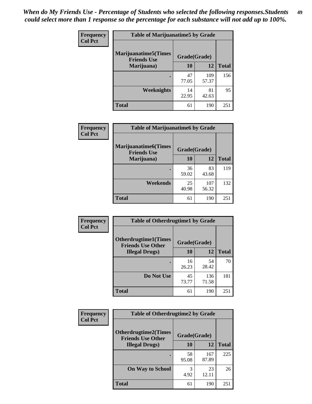| Frequency      | <b>Table of Marijuanatime5 by Grade</b>            |              |              |              |
|----------------|----------------------------------------------------|--------------|--------------|--------------|
| <b>Col Pct</b> | <b>Marijuanatime5</b> (Times<br><b>Friends Use</b> | Grade(Grade) |              |              |
|                | Marijuana)                                         | 10           | 12           | <b>Total</b> |
|                |                                                    | 47<br>77.05  | 109<br>57.37 | 156          |
|                | Weeknights                                         | 14<br>22.95  | 81<br>42.63  | 95           |
|                | <b>Total</b>                                       | 61           | 190          | 251          |

| <b>Frequency</b> | <b>Table of Marijuanatime6 by Grade</b>            |              |              |              |
|------------------|----------------------------------------------------|--------------|--------------|--------------|
| <b>Col Pct</b>   | <b>Marijuanatime6</b> (Times<br><b>Friends Use</b> | Grade(Grade) |              |              |
|                  | Marijuana)                                         | 10           | 12           | <b>Total</b> |
|                  |                                                    | 36<br>59.02  | 83<br>43.68  | 119          |
|                  | Weekends                                           | 25<br>40.98  | 107<br>56.32 | 132          |
|                  | <b>Total</b>                                       | 61           | 190          | 251          |

| <b>Frequency</b> | <b>Table of Otherdrugtime1 by Grade</b>                 |              |              |              |  |
|------------------|---------------------------------------------------------|--------------|--------------|--------------|--|
| <b>Col Pct</b>   | <b>Otherdrugtime1(Times</b><br><b>Friends Use Other</b> | Grade(Grade) |              |              |  |
|                  | <b>Illegal Drugs</b> )                                  | 10           | 12           | <b>Total</b> |  |
|                  |                                                         | 16<br>26.23  | 54<br>28.42  | 70           |  |
|                  | Do Not Use                                              | 45<br>73.77  | 136<br>71.58 | 181          |  |
|                  | <b>Total</b>                                            | 61           | 190          | 251          |  |

| Frequency      | <b>Table of Otherdrugtime2 by Grade</b>                 |              |              |              |  |  |
|----------------|---------------------------------------------------------|--------------|--------------|--------------|--|--|
| <b>Col Pct</b> | <b>Otherdrugtime2(Times</b><br><b>Friends Use Other</b> | Grade(Grade) |              |              |  |  |
|                | <b>Illegal Drugs</b> )                                  | 10           | 12           | <b>Total</b> |  |  |
|                |                                                         | 58<br>95.08  | 167<br>87.89 | 225          |  |  |
|                | <b>On Way to School</b>                                 | 3<br>4.92    | 23<br>12.11  | 26           |  |  |
|                | Total                                                   | 61           | 190          | 251          |  |  |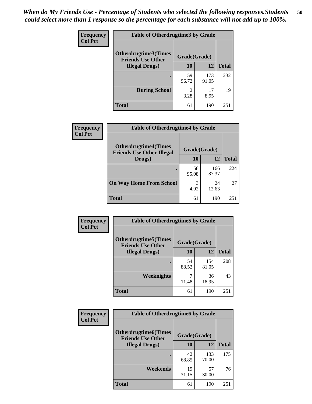| <b>Frequency</b> | <b>Table of Otherdrugtime3 by Grade</b>                 |                        |              |              |  |  |
|------------------|---------------------------------------------------------|------------------------|--------------|--------------|--|--|
| <b>Col Pct</b>   | <b>Otherdrugtime3(Times</b><br><b>Friends Use Other</b> | Grade(Grade)           |              |              |  |  |
|                  | <b>Illegal Drugs</b> )                                  | 10                     | 12           | <b>Total</b> |  |  |
|                  |                                                         | 59<br>96.72            | 173<br>91.05 | 232          |  |  |
|                  | <b>During School</b>                                    | $\mathfrak{D}$<br>3.28 | 17<br>8.95   | 19           |  |  |
|                  | <b>Total</b>                                            | 61                     | 190          | 251          |  |  |

| <b>Frequency</b> | <b>Table of Otherdrugtime4 by Grade</b>                         |              |              |              |  |  |  |
|------------------|-----------------------------------------------------------------|--------------|--------------|--------------|--|--|--|
| <b>Col Pct</b>   | <b>Otherdrugtime4(Times</b><br><b>Friends Use Other Illegal</b> | Grade(Grade) |              |              |  |  |  |
|                  | Drugs)                                                          | 10           | 12           | <b>Total</b> |  |  |  |
|                  | $\bullet$                                                       | 58<br>95.08  | 166<br>87.37 | 224          |  |  |  |
|                  | <b>On Way Home From School</b>                                  | 3<br>4.92    | 24<br>12.63  | 27           |  |  |  |
|                  | <b>Total</b>                                                    | 61           | 190          | 251          |  |  |  |

| <b>Frequency</b> | <b>Table of Otherdrugtime5 by Grade</b>                  |              |              |              |  |  |  |
|------------------|----------------------------------------------------------|--------------|--------------|--------------|--|--|--|
| <b>Col Pct</b>   | <b>Otherdrugtime5</b> (Times<br><b>Friends Use Other</b> | Grade(Grade) |              |              |  |  |  |
|                  | <b>Illegal Drugs</b> )                                   | 10           | 12           | <b>Total</b> |  |  |  |
|                  |                                                          | 54<br>88.52  | 154<br>81.05 | 208          |  |  |  |
|                  | Weeknights                                               | 11.48        | 36<br>18.95  | 43           |  |  |  |
|                  | Total                                                    | 61           | 190          | 251          |  |  |  |

| Frequency      | <b>Table of Otherdrugtime6 by Grade</b>                 |              |              |              |  |  |
|----------------|---------------------------------------------------------|--------------|--------------|--------------|--|--|
| <b>Col Pct</b> | <b>Otherdrugtime6(Times</b><br><b>Friends Use Other</b> | Grade(Grade) |              |              |  |  |
|                | <b>Illegal Drugs</b> )                                  | 10           | 12           | <b>Total</b> |  |  |
|                |                                                         | 42<br>68.85  | 133<br>70.00 | 175          |  |  |
|                | Weekends                                                | 19<br>31.15  | 57<br>30.00  | 76           |  |  |
|                | <b>Total</b>                                            | 61           | 190          | 251          |  |  |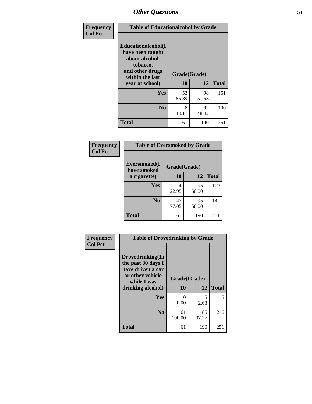| Frequency      | <b>Table of Educationalcohol by Grade</b>                                                                  |              |             |              |  |  |
|----------------|------------------------------------------------------------------------------------------------------------|--------------|-------------|--------------|--|--|
| <b>Col Pct</b> | Educationalcohol(I<br>have been taught<br>about alcohol,<br>tobacco,<br>and other drugs<br>within the last | Grade(Grade) |             |              |  |  |
|                | year at school)                                                                                            | 10           | 12          | <b>Total</b> |  |  |
|                | Yes                                                                                                        | 53<br>86.89  | 98<br>51.58 | 151          |  |  |
|                | N <sub>0</sub>                                                                                             | 8<br>13.11   | 92<br>48.42 | 100          |  |  |
|                | <b>Total</b>                                                                                               | 61           | 190         | 251          |  |  |

| Frequency      | <b>Table of Eversmoked by Grade</b> |              |             |              |  |  |  |
|----------------|-------------------------------------|--------------|-------------|--------------|--|--|--|
| <b>Col Pct</b> | Eversmoked(I<br>have smoked         | Grade(Grade) |             |              |  |  |  |
|                | a cigarette)                        | 10           | 12          | <b>Total</b> |  |  |  |
|                | <b>Yes</b>                          | 14<br>22.95  | 95<br>50.00 | 109          |  |  |  |
|                | N <sub>0</sub>                      | 47<br>77.05  | 95<br>50.00 | 142          |  |  |  |
|                | <b>Total</b>                        | 61           | 190         | 251          |  |  |  |

| Frequency      | <b>Table of Drovedrinking by Grade</b>                                                                              |                      |              |              |  |  |  |
|----------------|---------------------------------------------------------------------------------------------------------------------|----------------------|--------------|--------------|--|--|--|
| <b>Col Pct</b> | Drovedrinking(In<br>the past 30 days I<br>have driven a car<br>or other vehicle<br>while I was<br>drinking alcohol) | Grade(Grade)<br>10   | 12           | <b>Total</b> |  |  |  |
|                | <b>Yes</b>                                                                                                          | $\mathbf{0}$<br>0.00 | 5<br>2.63    | 5            |  |  |  |
|                | N <sub>0</sub>                                                                                                      | 61<br>100.00         | 185<br>97.37 | 246          |  |  |  |
|                | <b>Total</b>                                                                                                        | 61                   | 190          | 251          |  |  |  |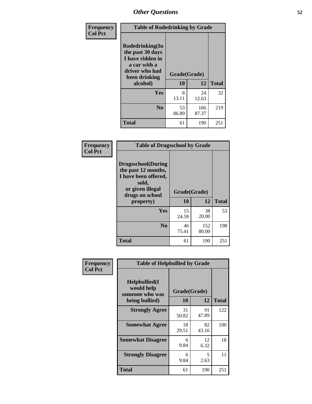| Frequency      | <b>Table of Rodedrinking by Grade</b>                                                                      |                          |              |              |  |  |  |
|----------------|------------------------------------------------------------------------------------------------------------|--------------------------|--------------|--------------|--|--|--|
| <b>Col Pct</b> | Rodedrinking(In<br>the past 30 days<br>I have ridden in<br>a car with a<br>driver who had<br>been drinking | Grade(Grade)<br>10<br>12 |              |              |  |  |  |
|                | alcohol)                                                                                                   |                          |              | <b>Total</b> |  |  |  |
|                | <b>Yes</b>                                                                                                 | 8<br>13.11               | 24<br>12.63  | 32           |  |  |  |
|                | N <sub>0</sub>                                                                                             | 53<br>86.89              | 166<br>87.37 | 219          |  |  |  |
|                | <b>Total</b>                                                                                               | 61                       | 190          | 251          |  |  |  |

#### **Frequency Col Pct**

| <b>Table of Drugsschool by Grade</b>                                                                                      |              |              |              |  |  |  |  |
|---------------------------------------------------------------------------------------------------------------------------|--------------|--------------|--------------|--|--|--|--|
| <b>Drugsschool</b> (During<br>the past 12 months,<br>I have been offered,<br>sold,<br>or given illegal<br>drugs on school | Grade(Grade) |              |              |  |  |  |  |
| property)                                                                                                                 | 10           | 12           | <b>Total</b> |  |  |  |  |
| Yes                                                                                                                       | 15<br>24.59  | 38<br>20.00  | 53           |  |  |  |  |
| N <sub>0</sub>                                                                                                            | 46<br>75.41  | 152<br>80.00 | 198          |  |  |  |  |
| <b>Total</b>                                                                                                              | 61           | 190          | 251          |  |  |  |  |

| Frequency      | <b>Table of Helpbullied by Grade</b>            |              |             |              |  |  |  |  |
|----------------|-------------------------------------------------|--------------|-------------|--------------|--|--|--|--|
| <b>Col Pct</b> | Helpbullied(I)<br>would help<br>someone who was | Grade(Grade) |             |              |  |  |  |  |
|                | being bullied)                                  | <b>10</b>    | 12          | <b>Total</b> |  |  |  |  |
|                | <b>Strongly Agree</b>                           | 31<br>50.82  | 91<br>47.89 | 122          |  |  |  |  |
|                | <b>Somewhat Agree</b>                           | 18<br>29.51  | 82<br>43.16 | 100          |  |  |  |  |
|                | <b>Somewhat Disagree</b>                        | 6<br>9.84    | 12<br>6.32  | 18           |  |  |  |  |
|                | <b>Strongly Disagree</b>                        | 6<br>9.84    | 5<br>2.63   | 11           |  |  |  |  |
|                | <b>Total</b>                                    | 61           | 190         | 251          |  |  |  |  |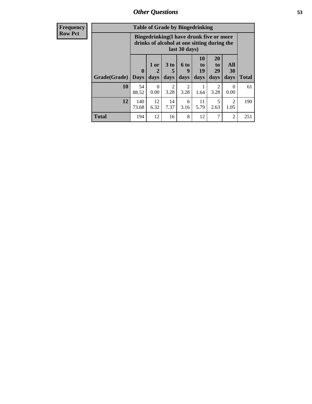| <b>Frequency</b> |              | <b>Table of Grade by Bingedrinking</b>                                                                  |                  |                   |                          |                        |                               |                        |              |
|------------------|--------------|---------------------------------------------------------------------------------------------------------|------------------|-------------------|--------------------------|------------------------|-------------------------------|------------------------|--------------|
| <b>Row Pct</b>   |              | Bingedrinking(I have drunk five or more<br>drinks of alcohol at one sitting during the<br>last 30 days) |                  |                   |                          |                        |                               |                        |              |
|                  | Grade(Grade) | $\mathbf 0$<br><b>Days</b>                                                                              | $1$ or<br>days   | 3 to<br>5<br>days | <b>6 to</b><br>9<br>days | 10<br>to<br>19<br>days | <b>20</b><br>to<br>29<br>days | All<br>30<br>days      | <b>Total</b> |
|                  | 10           | 54<br>88.52                                                                                             | $\Omega$<br>0.00 | 2<br>3.28         | $\mathfrak{D}$<br>3.28   | 1.64                   | $\mathcal{D}$<br>3.28         | 0<br>0.00              | 61           |
|                  | 12           | 140<br>73.68                                                                                            | 12<br>6.32       | 14<br>7.37        | 6<br>3.16                | 11<br>5.79             | 5<br>2.63                     | $\overline{2}$<br>1.05 | 190          |
|                  | Total        | 194                                                                                                     | 12               | 16                | 8                        | 12                     | 7                             | $\overline{2}$         | 251          |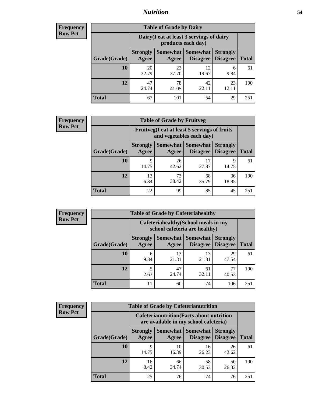### *Nutrition* **54**

| <b>Frequency</b> |
|------------------|
| <b>Row Pct</b>   |

| <b>Table of Grade by Dairy</b> |                          |                                                                 |                                    |              |     |  |  |  |
|--------------------------------|--------------------------|-----------------------------------------------------------------|------------------------------------|--------------|-----|--|--|--|
|                                |                          | Dairy (I eat at least 3 servings of dairy<br>products each day) |                                    |              |     |  |  |  |
| Grade(Grade)                   | <b>Strongly</b><br>Agree | <b>Somewhat</b><br>Disagree                                     | <b>Strongly</b><br><b>Disagree</b> | <b>Total</b> |     |  |  |  |
| 10                             | 20<br>32.79              | 23<br>37.70                                                     | 12<br>19.67                        | 6<br>9.84    | 61  |  |  |  |
| 12                             | 47<br>24.74              | 78<br>41.05                                                     | 42<br>22.11                        | 23<br>12.11  | 190 |  |  |  |
| <b>Total</b>                   | 67                       | 101                                                             | 54                                 | 29           | 251 |  |  |  |

| <b>Frequency</b> |  |
|------------------|--|
| <b>Row Pct</b>   |  |

| y | <b>Table of Grade by Fruitveg</b> |                          |                                                                          |                                    |                                    |              |  |  |
|---|-----------------------------------|--------------------------|--------------------------------------------------------------------------|------------------------------------|------------------------------------|--------------|--|--|
|   |                                   |                          | Fruitveg(I eat at least 5 servings of fruits<br>and vegetables each day) |                                    |                                    |              |  |  |
|   | Grade(Grade)                      | <b>Strongly</b><br>Agree | Somewhat  <br>Agree                                                      | <b>Somewhat</b><br><b>Disagree</b> | <b>Strongly</b><br><b>Disagree</b> | <b>Total</b> |  |  |
|   | <b>10</b>                         | 9<br>14.75               | 26<br>42.62                                                              | 17<br>27.87                        | 9<br>14.75                         | 61           |  |  |
|   | 12                                | 13<br>6.84               | 73<br>38.42                                                              | 68<br>35.79                        | 36<br>18.95                        | 190          |  |  |
|   | <b>Total</b>                      | 22                       | 99                                                                       | 85                                 | 45                                 | 251          |  |  |

| <b>Frequency</b> | <b>Table of Grade by Cafeteriahealthy</b> |                                                                       |             |                                      |                                    |              |  |
|------------------|-------------------------------------------|-----------------------------------------------------------------------|-------------|--------------------------------------|------------------------------------|--------------|--|
| <b>Row Pct</b>   |                                           | Cafeteriahealthy (School meals in my<br>school cafeteria are healthy) |             |                                      |                                    |              |  |
|                  | Grade(Grade)                              | <b>Strongly</b><br>Agree                                              | Agree       | Somewhat Somewhat<br><b>Disagree</b> | <b>Strongly</b><br><b>Disagree</b> | <b>Total</b> |  |
|                  | 10                                        | 6<br>9.84                                                             | 13<br>21.31 | 13<br>21.31                          | 29<br>47.54                        | 61           |  |
|                  | 12                                        | 2.63                                                                  | 47<br>24.74 | 61<br>32.11                          | 77<br>40.53                        | 190          |  |
|                  | Total                                     | 11                                                                    | 60          | 74                                   | 106                                | 251          |  |

| Frequency      |
|----------------|
| <b>Row Pct</b> |

| <b>Table of Grade by Cafeterianutrition</b>                                               |                          |             |                                        |                                    |              |  |  |
|-------------------------------------------------------------------------------------------|--------------------------|-------------|----------------------------------------|------------------------------------|--------------|--|--|
| <b>Cafeterianutrition</b> (Facts about nutrition<br>are available in my school cafeteria) |                          |             |                                        |                                    |              |  |  |
| Grade(Grade)                                                                              | <b>Strongly</b><br>Agree | Agree       | Somewhat   Somewhat<br><b>Disagree</b> | <b>Strongly</b><br><b>Disagree</b> | <b>Total</b> |  |  |
| 10                                                                                        | q<br>14.75               | 10<br>16.39 | 16<br>26.23                            | 26<br>42.62                        | 61           |  |  |
| 12                                                                                        | 16<br>8.42               | 66<br>34.74 | 58<br>30.53                            | 50<br>26.32                        | 190          |  |  |
| <b>Total</b>                                                                              | 25                       | 76          | 74                                     | 76                                 | 251          |  |  |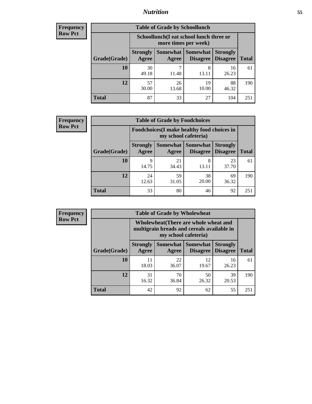### *Nutrition* **55**

| Frequency |
|-----------|
| Row Pct   |

| <b>Table of Grade by Schoollunch</b> |                                                                                                                          |                                                                 |             |             |     |  |  |  |
|--------------------------------------|--------------------------------------------------------------------------------------------------------------------------|-----------------------------------------------------------------|-------------|-------------|-----|--|--|--|
|                                      |                                                                                                                          | Schoollunch(I eat school lunch three or<br>more times per week) |             |             |     |  |  |  |
| Grade(Grade)                         | Somewhat Somewhat<br><b>Strongly</b><br><b>Strongly</b><br><b>Disagree</b><br>Agree<br>Disagree<br><b>Total</b><br>Agree |                                                                 |             |             |     |  |  |  |
| 10                                   | 30<br>49.18                                                                                                              | ┑<br>11.48                                                      | 8<br>13.11  | 16<br>26.23 | 61  |  |  |  |
| 12                                   | 57<br>30.00                                                                                                              | 26<br>13.68                                                     | 19<br>10.00 | 88<br>46.32 | 190 |  |  |  |
| <b>Total</b>                         | 87                                                                                                                       | 33                                                              | 27          | 104         | 251 |  |  |  |

| <b>Frequency</b> |  |
|------------------|--|
| <b>Row Pct</b>   |  |

| <b>Table of Grade by Foodchoices</b>                                |                          |                     |                             |                                    |              |  |  |  |
|---------------------------------------------------------------------|--------------------------|---------------------|-----------------------------|------------------------------------|--------------|--|--|--|
| Foodchoices (I make healthy food choices in<br>my school cafeteria) |                          |                     |                             |                                    |              |  |  |  |
| Grade(Grade)                                                        | <b>Strongly</b><br>Agree | Somewhat  <br>Agree | <b>Somewhat</b><br>Disagree | <b>Strongly</b><br><b>Disagree</b> | <b>Total</b> |  |  |  |
| 10                                                                  | 9<br>14.75               | 21<br>34.43         | 8<br>13.11                  | 23<br>37.70                        | 61           |  |  |  |
| 12                                                                  | 24<br>12.63              | 59<br>31.05         | 38<br>20.00                 | 69<br>36.32                        | 190          |  |  |  |
| <b>Total</b>                                                        | 33                       | 80                  | 46                          | 92                                 | 251          |  |  |  |

| Frequency      | <b>Table of Grade by Wholewheat</b> |                                                                                                             |             |                                        |                                    |              |  |  |  |
|----------------|-------------------------------------|-------------------------------------------------------------------------------------------------------------|-------------|----------------------------------------|------------------------------------|--------------|--|--|--|
| <b>Row Pct</b> |                                     | Wholewheat (There are whole wheat and<br>multigrain breads and cereals available in<br>my school cafeteria) |             |                                        |                                    |              |  |  |  |
|                | Grade(Grade)                        | <b>Strongly</b><br>Agree                                                                                    | Agree       | Somewhat   Somewhat<br><b>Disagree</b> | <b>Strongly</b><br><b>Disagree</b> | <b>Total</b> |  |  |  |
|                | 10                                  | 11<br>18.03                                                                                                 | 22<br>36.07 | 12<br>19.67                            | 16<br>26.23                        | 61           |  |  |  |
|                | 12                                  | 31<br>16.32                                                                                                 | 70<br>36.84 | 50<br>26.32                            | 39<br>20.53                        | 190          |  |  |  |
|                | <b>Total</b>                        | 42                                                                                                          | 92          | 62                                     | 55                                 | 251          |  |  |  |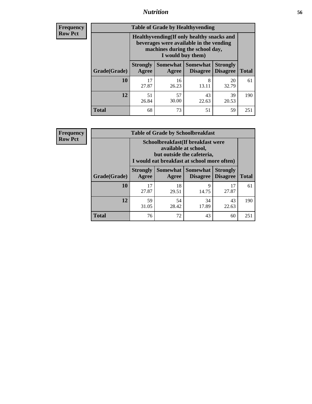### *Nutrition* **56**

**Frequency Row Pct**

| <b>Table of Grade by Healthyvending</b> |                                                                                                                                               |                          |                                    |                                    |              |  |
|-----------------------------------------|-----------------------------------------------------------------------------------------------------------------------------------------------|--------------------------|------------------------------------|------------------------------------|--------------|--|
|                                         | Healthyvending (If only healthy snacks and<br>beverages were available in the vending<br>machines during the school day,<br>I would buy them) |                          |                                    |                                    |              |  |
| Grade(Grade)                            | <b>Strongly</b><br>Agree                                                                                                                      | <b>Somewhat</b><br>Agree | <b>Somewhat</b><br><b>Disagree</b> | <b>Strongly</b><br><b>Disagree</b> | <b>Total</b> |  |
| 10                                      | 17<br>27.87                                                                                                                                   | 16<br>26.23              | 8<br>13.11                         | 20<br>32.79                        | 61           |  |
| 12                                      | 51<br>26.84                                                                                                                                   | 57<br>30.00              | 43<br>22.63                        | 39<br>20.53                        | 190          |  |
| <b>Total</b>                            | 68                                                                                                                                            | 73                       | 51                                 | 59                                 | 251          |  |

**Frequency Row Pct**

| <b>Table of Grade by Schoolbreakfast</b> |                                                                                                                            |                                                                                                                                        |             |             |     |  |
|------------------------------------------|----------------------------------------------------------------------------------------------------------------------------|----------------------------------------------------------------------------------------------------------------------------------------|-------------|-------------|-----|--|
|                                          |                                                                                                                            | Schoolbreakfast(If breakfast were<br>available at school,<br>but outside the cafeteria,<br>I would eat breakfast at school more often) |             |             |     |  |
| Grade(Grade)                             | Somewhat   Somewhat<br><b>Strongly</b><br><b>Strongly</b><br><b>Disagree</b><br>Agree<br>Disagree<br><b>Total</b><br>Agree |                                                                                                                                        |             |             |     |  |
| 10                                       | 17<br>27.87                                                                                                                | 18<br>29.51                                                                                                                            | 9<br>14.75  | 17<br>27.87 | 61  |  |
| 12                                       | 59<br>31.05                                                                                                                | 54<br>28.42                                                                                                                            | 34<br>17.89 | 43<br>22.63 | 190 |  |
| <b>Total</b>                             | 76                                                                                                                         | 72                                                                                                                                     | 43          | 60          | 251 |  |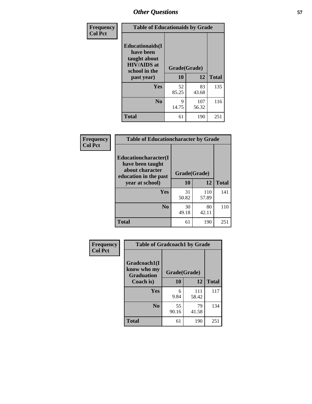| Frequency<br><b>Col Pct</b> | <b>Table of Educationaids by Grade</b>                                                                    |                    |              |              |
|-----------------------------|-----------------------------------------------------------------------------------------------------------|--------------------|--------------|--------------|
|                             | <b>Educationaids</b> (I<br>have been<br>taught about<br><b>HIV/AIDS</b> at<br>school in the<br>past year) | Grade(Grade)<br>10 | 12           | <b>Total</b> |
|                             | Yes                                                                                                       | 52<br>85.25        | 83<br>43.68  | 135          |
|                             | N <sub>0</sub>                                                                                            | 9<br>14.75         | 107<br>56.32 | 116          |
|                             | <b>Total</b>                                                                                              | 61                 | 190          | 251          |

| Frequency<br><b>Col Pct</b> |                                                                     | <b>Table of Educationcharacter by Grade</b> |              |              |  |
|-----------------------------|---------------------------------------------------------------------|---------------------------------------------|--------------|--------------|--|
|                             | <b>Educationcharacter(I)</b><br>have been taught<br>about character | Grade(Grade)                                |              |              |  |
|                             | education in the past<br>year at school)                            | 10                                          | 12           | <b>Total</b> |  |
|                             | <b>Yes</b>                                                          | 31<br>50.82                                 | 110<br>57.89 | 141          |  |
|                             | N <sub>0</sub>                                                      | 30<br>49.18                                 | 80<br>42.11  | 110          |  |
|                             | <b>Total</b>                                                        | 61                                          | 190          | 251          |  |

| Frequency      | <b>Table of Gradcoach1 by Grade</b> |              |              |              |
|----------------|-------------------------------------|--------------|--------------|--------------|
| <b>Col Pct</b> | Gradcoach1(I<br>know who my         | Grade(Grade) |              |              |
|                | <b>Graduation</b><br>Coach is)      | 10           | 12           | <b>Total</b> |
|                | <b>Yes</b>                          | 6<br>9.84    | 111<br>58.42 | 117          |
|                | N <sub>0</sub>                      | 55<br>90.16  | 79<br>41.58  | 134          |
|                | <b>Total</b>                        | 61           | 190          | 251          |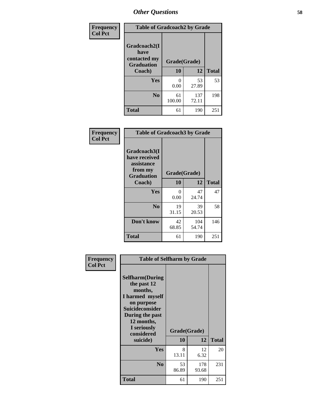| Frequency      | <b>Table of Gradcoach2 by Grade</b> |              |              |              |
|----------------|-------------------------------------|--------------|--------------|--------------|
| <b>Col Pct</b> | Gradcoach2(I<br>have                |              |              |              |
|                | contacted my<br><b>Graduation</b>   | Grade(Grade) |              |              |
|                | Coach)                              | 10           | 12           | <b>Total</b> |
|                | Yes                                 | 0<br>0.00    | 53<br>27.89  | 53           |
|                | N <sub>0</sub>                      | 61<br>100.00 | 137<br>72.11 | 198          |
|                | <b>Total</b>                        | 61           | 190          | 251          |

| Frequency<br><b>Col Pct</b> | <b>Table of Gradcoach3 by Grade</b>                                         |              |              |              |  |
|-----------------------------|-----------------------------------------------------------------------------|--------------|--------------|--------------|--|
|                             | Gradcoach3(I<br>have received<br>assistance<br>from my<br><b>Graduation</b> | Grade(Grade) |              |              |  |
|                             | Coach)                                                                      | 10           | 12           | <b>Total</b> |  |
|                             | Yes                                                                         | 0<br>0.00    | 47<br>24.74  | 47           |  |
|                             | N <sub>0</sub>                                                              | 19<br>31.15  | 39<br>20.53  | 58           |  |
|                             | Don't know                                                                  | 42<br>68.85  | 104<br>54.74 | 146          |  |
|                             | <b>Total</b>                                                                | 61           | 190          | 251          |  |

| Frequency<br><b>Col Pct</b> | <b>Table of Selfharm by Grade</b>                                                                                                                                          |              |              |              |
|-----------------------------|----------------------------------------------------------------------------------------------------------------------------------------------------------------------------|--------------|--------------|--------------|
|                             | <b>Selfharm</b> (During<br>the past 12<br>months,<br>I harmed myself<br>on purpose<br><b>Suicideconsider</b><br>During the past<br>12 months,<br>I seriously<br>considered | Grade(Grade) |              |              |
|                             | suicide)                                                                                                                                                                   | 10           | 12           | <b>Total</b> |
|                             | Yes                                                                                                                                                                        | 8<br>13.11   | 12<br>6.32   | 20           |
|                             | N <sub>0</sub>                                                                                                                                                             | 53<br>86.89  | 178<br>93.68 | 231          |
|                             | <b>Total</b>                                                                                                                                                               | 61           | 190          | 251          |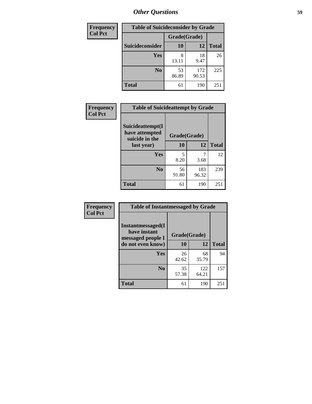| <b>Frequency</b> |                 | <b>Table of Suicideconsider by Grade</b> |              |              |  |
|------------------|-----------------|------------------------------------------|--------------|--------------|--|
| <b>Col Pct</b>   |                 | Grade(Grade)                             |              |              |  |
|                  | Suicideconsider | <b>10</b>                                | 12           | <b>Total</b> |  |
|                  | <b>Yes</b>      | 8<br>13.11                               | 18<br>9.47   | 26           |  |
|                  | N <sub>0</sub>  | 53<br>86.89                              | 172<br>90.53 | 225          |  |
|                  | <b>Total</b>    | 61                                       | 190          | 251          |  |

| Frequency      | <b>Table of Suicideattempt by Grade</b>              |              |              |              |
|----------------|------------------------------------------------------|--------------|--------------|--------------|
| <b>Col Pct</b> | Suicideattempt(I<br>have attempted<br>suicide in the | Grade(Grade) |              |              |
|                | last year)                                           | 10           | 12           | <b>Total</b> |
|                | Yes                                                  | 5<br>8.20    | 3.68         | 12           |
|                | N <sub>0</sub>                                       | 56<br>91.80  | 183<br>96.32 | 239          |
|                | <b>Total</b>                                         | 61           | 190          | 251          |

| Frequency      | <b>Table of Instantmessaged by Grade</b>                       |              |              |              |
|----------------|----------------------------------------------------------------|--------------|--------------|--------------|
| <b>Col Pct</b> | <b>Instantmessaged</b> (I<br>have instant<br>messaged people I | Grade(Grade) |              |              |
|                | do not even know)                                              | 10           | 12           | <b>Total</b> |
|                | Yes                                                            | 26<br>42.62  | 68<br>35.79  | 94           |
|                | N <sub>0</sub>                                                 | 35<br>57.38  | 122<br>64.21 | 157          |
|                | <b>Total</b>                                                   | 61           | 190          | 251          |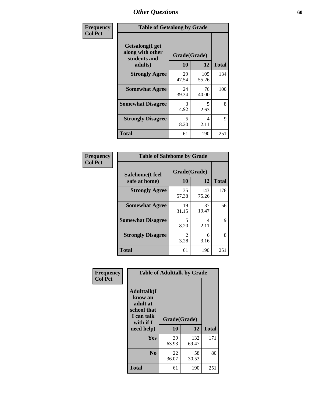| Frequency<br><b>Col Pct</b> | <b>Table of Getsalong by Grade</b>                                     |             |                    |              |
|-----------------------------|------------------------------------------------------------------------|-------------|--------------------|--------------|
|                             | <b>Getsalong</b> (I get<br>along with other<br>students and<br>adults) | 10          | Grade(Grade)<br>12 | <b>Total</b> |
|                             | <b>Strongly Agree</b>                                                  | 29<br>47.54 | 105<br>55.26       | 134          |
|                             | <b>Somewhat Agree</b>                                                  | 24<br>39.34 | 76<br>40.00        | 100          |
|                             | <b>Somewhat Disagree</b>                                               | 3<br>4.92   | 5<br>2.63          | 8            |
|                             | <b>Strongly Disagree</b>                                               | 5<br>8.20   | 4<br>2.11          | 9            |
|                             | <b>Total</b>                                                           | 61          | 190                | 251          |

| Frequency      | <b>Table of Safehome by Grade</b> |                    |              |              |
|----------------|-----------------------------------|--------------------|--------------|--------------|
| <b>Col Pct</b> | Safehome(I feel<br>safe at home)  | Grade(Grade)<br>10 | 12           | <b>Total</b> |
|                | <b>Strongly Agree</b>             | 35<br>57.38        | 143<br>75.26 | 178          |
|                | <b>Somewhat Agree</b>             | 19<br>31.15        | 37<br>19.47  | 56           |
|                | <b>Somewhat Disagree</b>          | 5<br>8.20          | 4<br>2.11    | 9            |
|                | <b>Strongly Disagree</b>          | 2<br>3.28          | 6<br>3.16    | 8            |
|                | <b>Total</b>                      | 61                 | 190          | 251          |

| Frequency      |                                                                                                   |                    | <b>Table of Adulttalk by Grade</b> |              |  |  |  |
|----------------|---------------------------------------------------------------------------------------------------|--------------------|------------------------------------|--------------|--|--|--|
| <b>Col Pct</b> | <b>Adulttalk(I</b><br>know an<br>adult at<br>school that<br>I can talk<br>with if I<br>need help) | Grade(Grade)<br>10 | 12                                 | <b>Total</b> |  |  |  |
|                | <b>Yes</b>                                                                                        | 39<br>63.93        | 132<br>69.47                       | 171          |  |  |  |
|                | N <sub>0</sub>                                                                                    | 22<br>36.07        | 58<br>30.53                        | 80           |  |  |  |
|                | <b>Total</b>                                                                                      | 61                 | 190                                | 251          |  |  |  |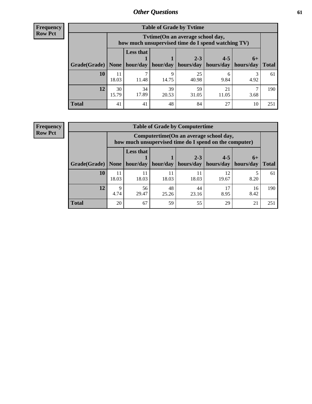**Frequency Row Pct**

| <b>Table of Grade by Tvtime</b> |             |                                                                                        |                     |             |                       |      |              |  |  |  |
|---------------------------------|-------------|----------------------------------------------------------------------------------------|---------------------|-------------|-----------------------|------|--------------|--|--|--|
|                                 |             | Tvtime(On an average school day,<br>how much unsupervised time do I spend watching TV) |                     |             |                       |      |              |  |  |  |
|                                 |             | <b>Less that</b><br>$2 - 3$<br>$4 - 5$<br>$6+$                                         |                     |             |                       |      |              |  |  |  |
| Grade(Grade)   None             |             |                                                                                        | hour/day   hour/day | hours/day   | hours/day   hours/day |      | <b>Total</b> |  |  |  |
| <b>10</b>                       | 18.03       | 11.48                                                                                  | q<br>14.75          | 25<br>40.98 | 6<br>9.84             | 4.92 | 61           |  |  |  |
| 12                              | 30<br>15.79 | 34<br>17.89                                                                            | 39<br>20.53         | 59<br>31.05 | 21<br>11.05           | 3.68 | 190          |  |  |  |
| <b>Total</b>                    | 41          | 41                                                                                     | 48                  | 84          | 27                    | 10   | 251          |  |  |  |

**Frequency Row Pct**

| <b>Table of Grade by Computertime</b> |             |                                                                                                                               |             |             |             |            |     |  |  |
|---------------------------------------|-------------|-------------------------------------------------------------------------------------------------------------------------------|-------------|-------------|-------------|------------|-----|--|--|
|                                       |             | Computertime (On an average school day,<br>how much unsupervised time do I spend on the computer)                             |             |             |             |            |     |  |  |
| Grade(Grade)                          | None        | <b>Less that</b><br>$4 - 5$<br>$2 - 3$<br>$6+$<br>hour/day<br>hours/day<br>hour/day<br>hours/day<br>hours/day<br><b>Total</b> |             |             |             |            |     |  |  |
| 10                                    | 11<br>18.03 | 11<br>18.03                                                                                                                   | 11<br>18.03 | 11<br>18.03 | 12<br>19.67 | 8.20       | 61  |  |  |
| 12                                    | Q<br>4.74   | 56<br>29.47                                                                                                                   | 48<br>25.26 | 44<br>23.16 | 17<br>8.95  | 16<br>8.42 | 190 |  |  |
| <b>Total</b>                          | 20          | 67                                                                                                                            | 59          | 55          | 29          | 21         | 251 |  |  |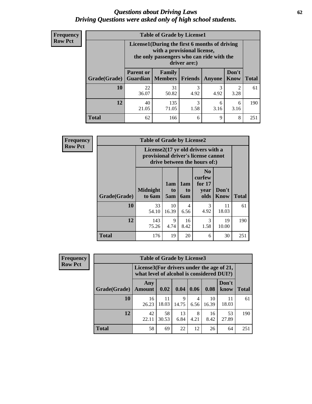#### *Questions about Driving Laws* **62** *Driving Questions were asked only of high school students.*

| <b>Frequency</b> |
|------------------|
| <b>Row Pct</b>   |

| <b>Table of Grade by License1</b> |                                                                    |                                                                                                                                           |           |           |                        |              |  |  |  |
|-----------------------------------|--------------------------------------------------------------------|-------------------------------------------------------------------------------------------------------------------------------------------|-----------|-----------|------------------------|--------------|--|--|--|
|                                   |                                                                    | License1(During the first 6 months of driving<br>with a provisional license,<br>the only passengers who can ride with the<br>driver are:) |           |           |                        |              |  |  |  |
| Grade(Grade)                      | <b>Parent or</b><br>Guardian                                       | Family<br>  Members                                                                                                                       | Friends   | Anyone    | Don't<br>Know          | <b>Total</b> |  |  |  |
| 10                                | 22<br>36.07                                                        | 31<br>50.82                                                                                                                               | 3<br>4.92 | 3<br>4.92 | $\overline{2}$<br>3.28 | 61           |  |  |  |
| 12                                | 3<br>40<br>135<br>6<br>6<br>71.05<br>1.58<br>21.05<br>3.16<br>3.16 |                                                                                                                                           |           |           |                        |              |  |  |  |
| Total                             | 62                                                                 | 166                                                                                                                                       | 6         | 9         | 8                      | 251          |  |  |  |

| Frequency      |              | <b>Table of Grade by License2</b>                                                                        |                  |                  |                                                      |                      |              |  |  |  |
|----------------|--------------|----------------------------------------------------------------------------------------------------------|------------------|------------------|------------------------------------------------------|----------------------|--------------|--|--|--|
| <b>Row Pct</b> |              | License2(17 yr old drivers with a<br>provisional driver's license cannot<br>drive between the hours of:) |                  |                  |                                                      |                      |              |  |  |  |
|                | Grade(Grade) | <b>Midnight</b><br>to 6am                                                                                | 1am<br>to<br>5am | 1am<br>to<br>6am | N <sub>0</sub><br>curfew<br>for $17$<br>year<br>olds | Don't<br><b>Know</b> | <b>Total</b> |  |  |  |
|                | 10           | 33<br>54.10                                                                                              | 10<br>16.39      | 4<br>6.56        | 3<br>4.92                                            | 11<br>18.03          | 61           |  |  |  |
|                | 12           | 143<br>75.26                                                                                             | 9<br>4.74        | 16<br>8.42       | 3<br>1.58                                            | 19<br>10.00          | 190          |  |  |  |
|                | <b>Total</b> | 176                                                                                                      | 19               | 20               | 6                                                    | 30                   | 251          |  |  |  |

| Frequency      |              | <b>Table of Grade by License3</b> |                                                                                        |            |           |             |               |              |
|----------------|--------------|-----------------------------------|----------------------------------------------------------------------------------------|------------|-----------|-------------|---------------|--------------|
| <b>Row Pct</b> |              |                                   | License3(For drivers under the age of 21,<br>what level of alcohol is considered DUI?) |            |           |             |               |              |
|                | Grade(Grade) | Any<br><b>Amount</b>              | 0.02                                                                                   | 0.04       | 0.06      | 0.08        | Don't<br>know | <b>Total</b> |
|                | <b>10</b>    | 16<br>26.23                       | -11<br>18.03                                                                           | 9<br>14.75 | 4<br>6.56 | 10<br>16.39 | 11<br>18.03   | 61           |
|                | 12           | 42<br>22.11                       | 58<br>30.53                                                                            | 13<br>6.84 | 8<br>4.21 | 16<br>8.42  | 53<br>27.89   | 190          |
|                | <b>Total</b> | 58                                | 69                                                                                     | 22         | 12        | 26          | 64            | 251          |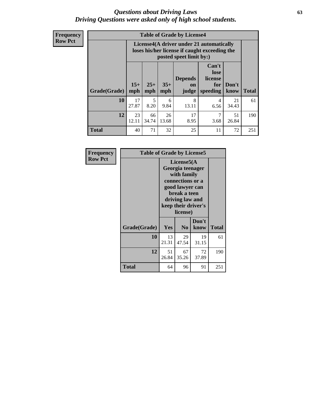#### *Questions about Driving Laws* **63** *Driving Questions were asked only of high school students.*

**Frequency Row Pct**

|              |              |                                                                                                                                                      |             | <b>Table of Grade by License4</b> |           |             |     |  |
|--------------|--------------|------------------------------------------------------------------------------------------------------------------------------------------------------|-------------|-----------------------------------|-----------|-------------|-----|--|
|              |              | License4(A driver under 21 automatically<br>loses his/her license if caught exceeding the<br>posted speet limit by:)                                 |             |                                   |           |             |     |  |
| Grade(Grade) | $15+$<br>mph | Can't<br>lose<br><b>Depends</b><br>license<br>$25+$<br>$35+$<br>Don't<br>for<br><b>on</b><br><b>Total</b><br>speeding<br>mph<br>mph<br>know<br>judge |             |                                   |           |             |     |  |
| 10           | 17<br>27.87  | 5<br>8.20                                                                                                                                            | 6<br>9.84   | 8<br>13.11                        | 4<br>6.56 | 21<br>34.43 | 61  |  |
| 12           | 23<br>12.11  | 66<br>34.74                                                                                                                                          | 26<br>13.68 | 17<br>8.95                        | 7<br>3.68 | 51<br>26.84 | 190 |  |
| <b>Total</b> | 40           | 71                                                                                                                                                   | 32          | 25                                | 11        | 72          | 251 |  |

| Frequency      | <b>Table of Grade by License5</b> |             |                                                                                                                                      |                     |              |  |  |
|----------------|-----------------------------------|-------------|--------------------------------------------------------------------------------------------------------------------------------------|---------------------|--------------|--|--|
| <b>Row Pct</b> |                                   |             | License5(A)<br>Georgia teenager<br>with family<br>connections or a<br>good lawyer can<br>break a teen<br>driving law and<br>license) | keep their driver's |              |  |  |
|                | Grade(Grade)                      | Yes         | N <sub>0</sub>                                                                                                                       | Don't<br>know       | <b>Total</b> |  |  |
|                | 10                                | 13<br>21.31 | 29<br>47.54                                                                                                                          | 19<br>31.15         | 61           |  |  |
|                | 12                                | 51<br>26.84 | 67<br>35.26                                                                                                                          | 72<br>37.89         | 190          |  |  |
|                | <b>Total</b>                      | 64          | 96                                                                                                                                   | 91                  | 251          |  |  |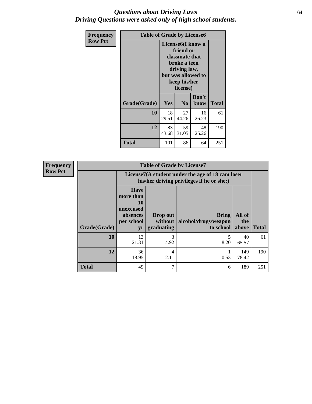#### *Questions about Driving Laws* **64** *Driving Questions were asked only of high school students.*

| <b>Frequency</b> | <b>Table of Grade by License6</b> |             |                                                                                                                           |                    |              |  |
|------------------|-----------------------------------|-------------|---------------------------------------------------------------------------------------------------------------------------|--------------------|--------------|--|
| <b>Row Pct</b>   |                                   |             | License <sub>6</sub> (I know a<br>friend or<br>classmate that<br>broke a teen<br>driving law,<br>keep his/her<br>license) | but was allowed to |              |  |
|                  | Grade(Grade)                      | Yes         | N <sub>0</sub>                                                                                                            | Don't<br>know      | <b>Total</b> |  |
|                  | 10                                | 18<br>29.51 | 27<br>44.26                                                                                                               | 16<br>26.23        | 61           |  |
|                  | 12                                | 83<br>43.68 | 59<br>31.05                                                                                                               | 48<br>25.26        | 190          |  |
|                  | <b>Total</b>                      | 101         | 86                                                                                                                        | 64                 | 251          |  |

| <b>Frequency</b> | <b>Table of Grade by License7</b> |                                                                             |                                     |                                                                                               |                        |              |  |  |
|------------------|-----------------------------------|-----------------------------------------------------------------------------|-------------------------------------|-----------------------------------------------------------------------------------------------|------------------------|--------------|--|--|
| <b>Row Pct</b>   |                                   |                                                                             |                                     | License7(A student under the age of 18 cam loser<br>his/her driving privileges if he or she:) |                        |              |  |  |
|                  | Grade(Grade)                      | <b>Have</b><br>more than<br>10<br>unexcused<br>absences<br>per school<br>yr | Drop out<br>without  <br>graduating | <b>Bring</b><br>alcohol/drugs/weapon<br>to school                                             | All of<br>the<br>above | <b>Total</b> |  |  |
|                  | 10                                | 13<br>21.31                                                                 | 3<br>4.92                           | 8.20                                                                                          | 40<br>65.57            | 61           |  |  |
|                  | 12                                | 36<br>18.95                                                                 | 4<br>2.11                           | 0.53                                                                                          | 149<br>78.42           | 190          |  |  |
|                  | <b>Total</b>                      | 49                                                                          | 7                                   | 6                                                                                             | 189                    | 251          |  |  |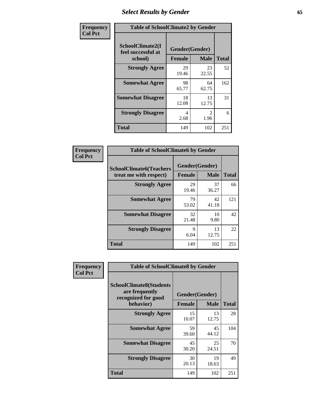# *Select Results by Gender* **65**

| Frequency      | <b>Table of SchoolClimate2 by Gender</b>          |                                 |                       |              |
|----------------|---------------------------------------------------|---------------------------------|-----------------------|--------------|
| <b>Col Pct</b> | SchoolClimate2(I<br>feel successful at<br>school) | Gender(Gender)<br><b>Female</b> | <b>Male</b>           | <b>Total</b> |
|                | <b>Strongly Agree</b>                             | 29<br>19.46                     | 23<br>22.55           | 52           |
|                | <b>Somewhat Agree</b>                             | 98<br>65.77                     | 64<br>62.75           | 162          |
|                | <b>Somewhat Disagree</b>                          | 18<br>12.08                     | 13<br>12.75           | 31           |
|                | <b>Strongly Disagree</b>                          | 4<br>2.68                       | $\mathcal{L}$<br>1.96 | 6            |
|                | <b>Total</b>                                      | 149                             | 102                   | 251          |

| <b>Frequency</b> | <b>Table of SchoolClimate6 by Gender</b>                 |                                 |             |              |
|------------------|----------------------------------------------------------|---------------------------------|-------------|--------------|
| <b>Col Pct</b>   | <b>SchoolClimate6(Teachers</b><br>treat me with respect) | Gender(Gender)<br><b>Female</b> | <b>Male</b> | <b>Total</b> |
|                  | <b>Strongly Agree</b>                                    | 29<br>19.46                     | 37<br>36.27 | 66           |
|                  | <b>Somewhat Agree</b>                                    | 79<br>53.02                     | 42<br>41.18 | 121          |
|                  | <b>Somewhat Disagree</b>                                 | 32<br>21.48                     | 10<br>9.80  | 42           |
|                  | <b>Strongly Disagree</b>                                 | 9<br>6.04                       | 13<br>12.75 | 22           |
|                  | <b>Total</b>                                             | 149                             | 102         | 251          |

| <b>Frequency</b> | <b>Table of SchoolClimate8 by Gender</b>                                |               |                |              |
|------------------|-------------------------------------------------------------------------|---------------|----------------|--------------|
| <b>Col Pct</b>   | <b>SchoolClimate8(Students</b><br>are frequently<br>recognized for good |               | Gender(Gender) |              |
|                  | behavior)                                                               | <b>Female</b> | <b>Male</b>    | <b>Total</b> |
|                  | <b>Strongly Agree</b>                                                   | 15<br>10.07   | 13<br>12.75    | 28           |
|                  | <b>Somewhat Agree</b>                                                   | 59<br>39.60   | 45<br>44.12    | 104          |
|                  | <b>Somewhat Disagree</b>                                                | 45<br>30.20   | 25<br>24.51    | 70           |
|                  | <b>Strongly Disagree</b>                                                | 30<br>20.13   | 19<br>18.63    | 49           |
|                  | Total                                                                   | 149           | 102            | 251          |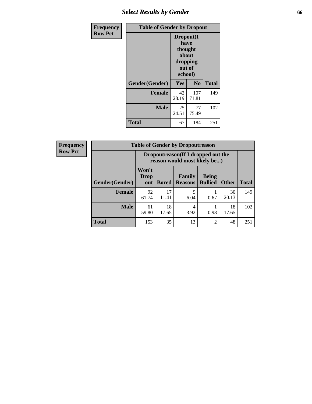# *Select Results by Gender* **66**

| <b>Frequency</b> | <b>Table of Gender by Dropout</b> |                                                                        |                |              |
|------------------|-----------------------------------|------------------------------------------------------------------------|----------------|--------------|
| <b>Row Pct</b>   |                                   | Dropout(I<br>have<br>thought<br>about<br>dropping<br>out of<br>school) |                |              |
|                  | Gender(Gender)                    | <b>Yes</b>                                                             | N <sub>0</sub> | <b>Total</b> |
|                  | <b>Female</b>                     | 42<br>28.19                                                            | 107<br>71.81   | 149          |
|                  | <b>Male</b>                       | 25<br>24.51                                                            | 77<br>75.49    | 102          |
|                  | <b>Total</b>                      | 67                                                                     | 184            | 251          |

| <b>Frequency</b> |                       | <b>Table of Gender by Dropoutreason</b>                             |              |                                 |                                |              |              |
|------------------|-----------------------|---------------------------------------------------------------------|--------------|---------------------------------|--------------------------------|--------------|--------------|
| <b>Row Pct</b>   |                       | Dropoutreason (If I dropped out the<br>reason would most likely be) |              |                                 |                                |              |              |
|                  | <b>Gender(Gender)</b> | Won't<br>Drop<br>out                                                | <b>Bored</b> | <b>Family</b><br><b>Reasons</b> | <b>Being</b><br><b>Bullied</b> | <b>Other</b> | <b>Total</b> |
|                  | <b>Female</b>         | 92<br>61.74                                                         | 17<br>11.41  | 9<br>6.04                       | 0.67                           | 30<br>20.13  | 149          |
|                  | <b>Male</b>           | 61<br>59.80                                                         | 18<br>17.65  | 4<br>3.92                       | 0.98                           | 18<br>17.65  | 102          |
|                  | <b>Total</b>          | 153                                                                 | 35           | 13                              | $\mathfrak{D}$                 | 48           | 251          |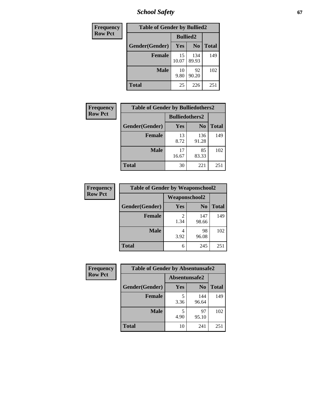*School Safety* **67**

| Frequency      | <b>Table of Gender by Bullied2</b> |                 |                |              |
|----------------|------------------------------------|-----------------|----------------|--------------|
| <b>Row Pct</b> |                                    | <b>Bullied2</b> |                |              |
|                | Gender(Gender)                     | <b>Yes</b>      | N <sub>0</sub> | <b>Total</b> |
|                | <b>Female</b>                      | 15<br>10.07     | 134<br>89.93   | 149          |
|                | <b>Male</b>                        | 10<br>9.80      | 92<br>90.20    | 102          |
|                | <b>Total</b>                       | 25              | 226            | 251          |

| Frequency      | <b>Table of Gender by Bulliedothers2</b> |                       |                |              |
|----------------|------------------------------------------|-----------------------|----------------|--------------|
| <b>Row Pct</b> |                                          | <b>Bulliedothers2</b> |                |              |
|                | Gender(Gender)                           | <b>Yes</b>            | N <sub>0</sub> | <b>Total</b> |
|                | <b>Female</b>                            | 13<br>8.72            | 136<br>91.28   | 149          |
|                | <b>Male</b>                              | 17<br>16.67           | 85<br>83.33    | 102          |
|                | <b>Total</b>                             | 30                    | 221            | 251          |

| Frequency      | <b>Table of Gender by Weaponschool2</b> |                      |                |              |
|----------------|-----------------------------------------|----------------------|----------------|--------------|
| <b>Row Pct</b> |                                         | <b>Weaponschool2</b> |                |              |
|                | Gender(Gender)                          | Yes                  | N <sub>0</sub> | <b>Total</b> |
|                | <b>Female</b>                           | 1.34                 | 147<br>98.66   | 149          |
|                | <b>Male</b>                             | 3.92                 | 98<br>96.08    | 102          |
|                | <b>Total</b>                            | 6                    | 245            | 251          |

| Frequency      | <b>Table of Gender by Absentunsafe2</b> |               |                |              |
|----------------|-----------------------------------------|---------------|----------------|--------------|
| <b>Row Pct</b> |                                         | Absentunsafe2 |                |              |
|                | Gender(Gender)                          | Yes           | N <sub>0</sub> | <b>Total</b> |
|                | <b>Female</b>                           | 3.36          | 144<br>96.64   | 149          |
|                | <b>Male</b>                             | 4.90          | 97<br>95.10    | 102          |
|                | <b>Total</b>                            | 10            | 241            | 251          |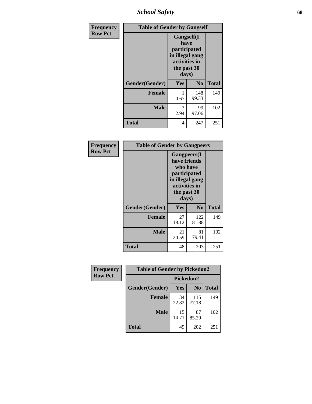*School Safety* **68**

| Frequency      | <b>Table of Gender by Gangself</b> |                                                                                                        |                |              |
|----------------|------------------------------------|--------------------------------------------------------------------------------------------------------|----------------|--------------|
| <b>Row Pct</b> |                                    | <b>Gangself</b> (I<br>have<br>participated<br>in illegal gang<br>activities in<br>the past 30<br>days) |                |              |
|                | Gender(Gender)                     | Yes                                                                                                    | N <sub>0</sub> | <b>Total</b> |
|                | <b>Female</b>                      | 0.67                                                                                                   | 148<br>99.33   | 149          |
|                | <b>Male</b>                        | 3<br>2.94                                                                                              | 99<br>97.06    | 102          |
|                | <b>Total</b>                       | 4                                                                                                      | 247            | 251          |

| Frequency      | <b>Table of Gender by Gangpeers</b> |                                                                                                                             |                |              |
|----------------|-------------------------------------|-----------------------------------------------------------------------------------------------------------------------------|----------------|--------------|
| <b>Row Pct</b> |                                     | <b>Gangpeers</b> (I<br>have friends<br>who have<br>participated<br>in illegal gang<br>activities in<br>the past 30<br>days) |                |              |
|                | Gender(Gender)                      | <b>Yes</b>                                                                                                                  | N <sub>0</sub> | <b>Total</b> |
|                | <b>Female</b>                       | 27<br>18.12                                                                                                                 | 122<br>81.88   | 149          |
|                | <b>Male</b>                         | 21<br>20.59                                                                                                                 | 81<br>79.41    | 102          |
|                | Total                               | 48                                                                                                                          | 203            | 251          |

| Frequency      | <b>Table of Gender by Pickedon2</b> |             |                |              |
|----------------|-------------------------------------|-------------|----------------|--------------|
| <b>Row Pct</b> |                                     | Pickedon2   |                |              |
|                | Gender(Gender)                      | Yes         | N <sub>0</sub> | <b>Total</b> |
|                | <b>Female</b>                       | 34<br>22.82 | 115<br>77.18   | 149          |
|                | <b>Male</b>                         | 15<br>14.71 | 87<br>85.29    | 102          |
|                | <b>Total</b>                        | 49          | 202            | 251          |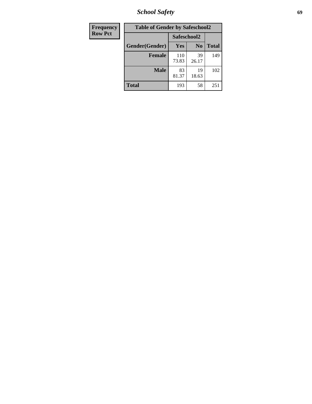*School Safety* **69**

| Frequency      | <b>Table of Gender by Safeschool2</b> |              |                |              |  |
|----------------|---------------------------------------|--------------|----------------|--------------|--|
| <b>Row Pct</b> |                                       | Safeschool2  |                |              |  |
|                | Gender(Gender)                        | Yes          | N <sub>0</sub> | <b>Total</b> |  |
|                | <b>Female</b>                         | 110<br>73.83 | 39<br>26.17    | 149          |  |
|                | <b>Male</b>                           | 83<br>81.37  | 19<br>18.63    | 102          |  |
|                | <b>Total</b>                          | 193          | 58             | 251          |  |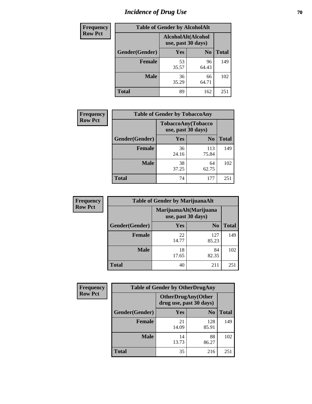# *Incidence of Drug Use* **70**

| <b>Frequency</b> | <b>Table of Gender by AlcoholAlt</b>     |             |                |              |  |
|------------------|------------------------------------------|-------------|----------------|--------------|--|
| <b>Row Pct</b>   | AlcoholAlt(Alcohol<br>use, past 30 days) |             |                |              |  |
|                  | Gender(Gender)                           | Yes         | N <sub>0</sub> | <b>Total</b> |  |
|                  | <b>Female</b>                            | 53<br>35.57 | 96<br>64.43    | 149          |  |
|                  | <b>Male</b>                              | 36<br>35.29 | 66<br>64.71    | 102          |  |
|                  | <b>Total</b>                             | 89          | 162            | 251          |  |

| Frequency      | <b>Table of Gender by TobaccoAny</b> |                    |                    |              |  |
|----------------|--------------------------------------|--------------------|--------------------|--------------|--|
| <b>Row Pct</b> |                                      | use, past 30 days) | TobaccoAny(Tobacco |              |  |
|                | Gender(Gender)                       | Yes                | N <sub>0</sub>     | <b>Total</b> |  |
|                | <b>Female</b>                        | 36<br>24.16        | 113<br>75.84       | 149          |  |
|                | <b>Male</b>                          | 38<br>37.25        | 64<br>62.75        | 102          |  |
|                | <b>Total</b>                         | 74                 | 177                | 251          |  |

| <b>Frequency</b> | <b>Table of Gender by MarijuanaAlt</b> |                                              |                |              |  |
|------------------|----------------------------------------|----------------------------------------------|----------------|--------------|--|
| <b>Row Pct</b>   |                                        | MarijuanaAlt(Marijuana<br>use, past 30 days) |                |              |  |
|                  | Gender(Gender)                         | <b>Yes</b>                                   | N <sub>0</sub> | <b>Total</b> |  |
|                  | <b>Female</b>                          | 22<br>14.77                                  | 127<br>85.23   | 149          |  |
|                  | <b>Male</b>                            | 18<br>17.65                                  | 84<br>82.35    | 102          |  |
|                  | <b>Total</b>                           | 40                                           | 211            | 251          |  |

| <b>Frequency</b> | <b>Table of Gender by OtherDrugAny</b> |                         |                           |              |  |
|------------------|----------------------------------------|-------------------------|---------------------------|--------------|--|
| <b>Row Pct</b>   |                                        | drug use, past 30 days) | <b>OtherDrugAny(Other</b> |              |  |
|                  | Gender(Gender)                         | <b>Yes</b>              | N <sub>0</sub>            | <b>Total</b> |  |
|                  | <b>Female</b>                          | 21<br>14.09             | 128<br>85.91              | 149          |  |
|                  | <b>Male</b>                            | 14<br>13.73             | 88<br>86.27               | 102          |  |
|                  | <b>Total</b>                           | 35                      | 216                       | 251          |  |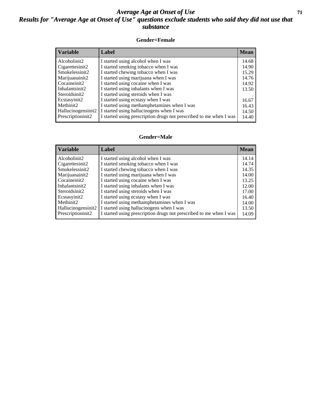#### *Average Age at Onset of Use* **71** *Results for "Average Age at Onset of Use" questions exclude students who said they did not use that substance*

#### **Gender=Female**

| <b>Variable</b>    | <b>Label</b>                                                       | <b>Mean</b> |
|--------------------|--------------------------------------------------------------------|-------------|
| Alcoholinit2       | I started using alcohol when I was                                 | 14.68       |
| Cigarettesinit2    | I started smoking tobacco when I was                               | 14.90       |
| Smokelessinit2     | I started chewing tobacco when I was                               | 15.29       |
| Marijuanainit2     | I started using marijuana when I was                               | 14.76       |
| Cocaineinit2       | I started using cocaine when I was                                 | 14.92       |
| Inhalantsinit2     | I started using inhalants when I was                               | 13.50       |
| Steroidsinit2      | I started using steroids when I was                                |             |
| Ecstasyinit2       | I started using ecstasy when I was                                 | 16.67       |
| Methinit2          | I started using methamphetamines when I was                        | 16.43       |
| Hallucinogensinit2 | I started using hallucinogens when I was                           | 14.50       |
| Prescription in t2 | I started using prescription drugs not prescribed to me when I was | 14.40       |

#### **Gender=Male**

| <b>Variable</b>                 | Label                                                              | <b>Mean</b> |
|---------------------------------|--------------------------------------------------------------------|-------------|
| Alcoholinit2                    | I started using alcohol when I was                                 | 14.14       |
| Cigarettesinit2                 | I started smoking tobacco when I was                               | 14.74       |
| Smokelessinit2                  | I started chewing tobacco when I was                               | 14.35       |
| Marijuanainit2                  | I started using marijuana when I was                               | 14.00       |
| Cocaineinit2                    | I started using cocaine when I was                                 | 13.25       |
| Inhalantsinit2                  | I started using inhalants when I was                               | 12.00       |
| Steroidsinit2                   | I started using steroids when I was                                | 17.00       |
| Ecstasyinit2                    | I started using ecstasy when I was                                 | 16.40       |
| Methinit2                       | I started using methamphetamines when I was                        | 14.00       |
| Hallucinogensinit2              | I started using hallucinogens when I was                           | 13.50       |
| Prescription in it <sub>2</sub> | I started using prescription drugs not prescribed to me when I was | 14.09       |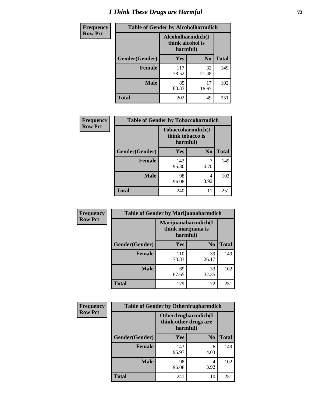# *I Think These Drugs are Harmful* **72**

| <b>Frequency</b> | <b>Table of Gender by Alcoholharmdich</b> |                                                   |                |              |  |
|------------------|-------------------------------------------|---------------------------------------------------|----------------|--------------|--|
| <b>Row Pct</b>   |                                           | Alcoholharmdich(I<br>think alcohol is<br>harmful) |                |              |  |
|                  | Gender(Gender)                            | Yes                                               | N <sub>0</sub> | <b>Total</b> |  |
|                  | <b>Female</b>                             | 117<br>78.52                                      | 32<br>21.48    | 149          |  |
|                  | <b>Male</b>                               | 85<br>83.33                                       | 17<br>16.67    | 102          |  |
|                  | Total                                     | 202                                               | 49             | 251          |  |

| Frequency      | <b>Table of Gender by Tobaccoharmdich</b> |                  |                               |              |  |
|----------------|-------------------------------------------|------------------|-------------------------------|--------------|--|
| <b>Row Pct</b> |                                           | think tobacco is | Tobaccoharmdich(I<br>harmful) |              |  |
|                | Gender(Gender)                            | <b>Yes</b>       | N <sub>0</sub>                | <b>Total</b> |  |
|                | <b>Female</b>                             | 142<br>95.30     | 4.70                          | 149          |  |
|                | <b>Male</b>                               | 98<br>96.08      | 4<br>3.92                     | 102          |  |
|                | <b>Total</b>                              | 240              | 11                            | 251          |  |

| Frequency      | <b>Table of Gender by Marijuanaharmdich</b> |                                                       |                |              |  |
|----------------|---------------------------------------------|-------------------------------------------------------|----------------|--------------|--|
| <b>Row Pct</b> |                                             | Marijuanaharmdich(I<br>think marijuana is<br>harmful) |                |              |  |
|                | Gender(Gender)                              | <b>Yes</b>                                            | N <sub>0</sub> | <b>Total</b> |  |
|                | <b>Female</b>                               | 110<br>73.83                                          | 39<br>26.17    | 149          |  |
|                | <b>Male</b>                                 | 69<br>67.65                                           | 33<br>32.35    | 102          |  |
|                | <b>Total</b>                                | 179                                                   | 72             | 251          |  |

| Frequency      | <b>Table of Gender by Otherdrugharmdich</b> |                                                          |                |              |  |
|----------------|---------------------------------------------|----------------------------------------------------------|----------------|--------------|--|
| <b>Row Pct</b> |                                             | Otherdrugharmdich(I<br>think other drugs are<br>harmful) |                |              |  |
|                | Gender(Gender)                              | Yes                                                      | N <sub>0</sub> | <b>Total</b> |  |
|                | <b>Female</b>                               | 143<br>95.97                                             | 6<br>4.03      | 149          |  |
|                | <b>Male</b>                                 | 98<br>96.08                                              | 4<br>3.92      | 102          |  |
|                | <b>Total</b>                                | 241                                                      | 10             | 251          |  |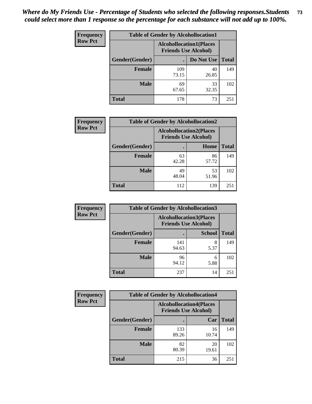| <b>Frequency</b> | <b>Table of Gender by Alcohollocation1</b> |                                                               |             |              |
|------------------|--------------------------------------------|---------------------------------------------------------------|-------------|--------------|
| <b>Row Pct</b>   |                                            | <b>Alcohollocation1(Places</b><br><b>Friends Use Alcohol)</b> |             |              |
|                  | Gender(Gender)                             |                                                               | Do Not Use  | <b>Total</b> |
|                  | <b>Female</b>                              | 109<br>73.15                                                  | 40<br>26.85 | 149          |
|                  | <b>Male</b>                                | 69<br>67.65                                                   | 33<br>32.35 | 102          |
|                  | <b>Total</b>                               | 178                                                           | 73          | 251          |

| <b>Frequency</b> | <b>Table of Gender by Alcohollocation2</b> |                                                               |             |              |
|------------------|--------------------------------------------|---------------------------------------------------------------|-------------|--------------|
| <b>Row Pct</b>   |                                            | <b>Alcohollocation2(Places</b><br><b>Friends Use Alcohol)</b> |             |              |
|                  | Gender(Gender)                             |                                                               | Home        | <b>Total</b> |
|                  | <b>Female</b>                              | 63<br>42.28                                                   | 86<br>57.72 | 149          |
|                  | <b>Male</b>                                | 49<br>48.04                                                   | 53<br>51.96 | 102          |
|                  | <b>Total</b>                               | 112                                                           | 139         | 251          |

| Frequency      | <b>Table of Gender by Alcohollocation3</b> |                             |                                |              |
|----------------|--------------------------------------------|-----------------------------|--------------------------------|--------------|
| <b>Row Pct</b> |                                            | <b>Friends Use Alcohol)</b> | <b>Alcohollocation3(Places</b> |              |
|                | Gender(Gender)                             |                             | <b>School</b>                  | <b>Total</b> |
|                | <b>Female</b>                              | 141<br>94.63                | 8<br>5.37                      | 149          |
|                | <b>Male</b>                                | 96<br>94.12                 | 6<br>5.88                      | 102          |
|                | <b>Total</b>                               | 237                         | 14                             | 251          |

| <b>Frequency</b> | <b>Table of Gender by Alcohollocation4</b> |                                                               |             |              |  |
|------------------|--------------------------------------------|---------------------------------------------------------------|-------------|--------------|--|
| <b>Row Pct</b>   |                                            | <b>Alcohollocation4(Places</b><br><b>Friends Use Alcohol)</b> |             |              |  |
|                  | Gender(Gender)                             |                                                               | Car         | <b>Total</b> |  |
|                  | <b>Female</b>                              | 133<br>89.26                                                  | 16<br>10.74 | 149          |  |
|                  | <b>Male</b>                                | 82<br>80.39                                                   | 20<br>19.61 | 102          |  |
|                  | <b>Total</b>                               | 215                                                           | 36          | 251          |  |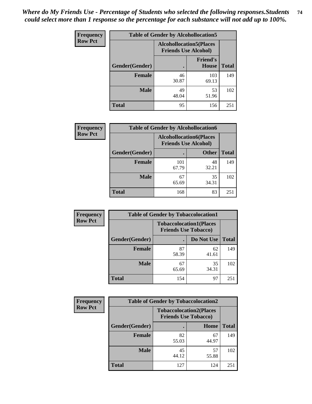| <b>Frequency</b> | <b>Table of Gender by Alcohollocation5</b> |                                                                |                                 |              |
|------------------|--------------------------------------------|----------------------------------------------------------------|---------------------------------|--------------|
| <b>Row Pct</b>   |                                            | <b>Alcohollocation5</b> (Places<br><b>Friends Use Alcohol)</b> |                                 |              |
|                  | Gender(Gender)                             |                                                                | <b>Friend's</b><br><b>House</b> | <b>Total</b> |
|                  | <b>Female</b>                              | 46<br>30.87                                                    | 103<br>69.13                    | 149          |
|                  | <b>Male</b>                                | 49<br>48.04                                                    | 53<br>51.96                     | 102          |
|                  | <b>Total</b>                               | 95                                                             | 156                             | 251          |

| Frequency      |                | <b>Table of Gender by Alcohollocation6</b>                    |              |              |  |
|----------------|----------------|---------------------------------------------------------------|--------------|--------------|--|
| <b>Row Pct</b> |                | <b>Alcohollocation6(Places</b><br><b>Friends Use Alcohol)</b> |              |              |  |
|                | Gender(Gender) |                                                               | <b>Other</b> | <b>Total</b> |  |
|                | <b>Female</b>  | 101<br>67.79                                                  | 48<br>32.21  | 149          |  |
|                | <b>Male</b>    | 67<br>65.69                                                   | 35<br>34.31  | 102          |  |
|                | <b>Total</b>   | 168                                                           | 83           | 251          |  |

| Frequency      | <b>Table of Gender by Tobaccolocation1</b> |                                                               |             |              |  |
|----------------|--------------------------------------------|---------------------------------------------------------------|-------------|--------------|--|
| <b>Row Pct</b> |                                            | <b>Tobaccolocation1(Places</b><br><b>Friends Use Tobacco)</b> |             |              |  |
|                | Gender(Gender)                             |                                                               | Do Not Use  | <b>Total</b> |  |
|                | <b>Female</b>                              | 87<br>58.39                                                   | 62<br>41.61 | 149          |  |
|                | <b>Male</b>                                | 67<br>65.69                                                   | 35<br>34.31 | 102          |  |
|                | <b>Total</b>                               | 154                                                           | 97          | 251          |  |

| <b>Frequency</b> | <b>Table of Gender by Tobaccolocation2</b> |                                                               |             |              |  |
|------------------|--------------------------------------------|---------------------------------------------------------------|-------------|--------------|--|
| <b>Row Pct</b>   |                                            | <b>Tobaccolocation2(Places</b><br><b>Friends Use Tobacco)</b> |             |              |  |
|                  | Gender(Gender)                             |                                                               | Home        | <b>Total</b> |  |
|                  | Female                                     | 82<br>55.03                                                   | 67<br>44.97 | 149          |  |
|                  | <b>Male</b>                                | 45<br>44.12                                                   | 57<br>55.88 | 102          |  |
|                  | <b>Total</b>                               | 127                                                           | 124         | 251          |  |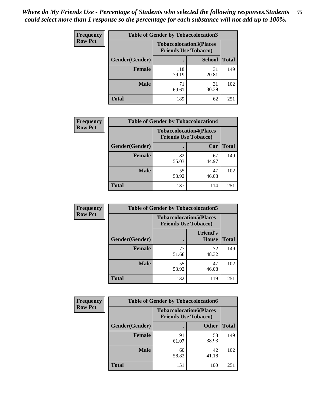| <b>Frequency</b> |                | <b>Table of Gender by Tobaccolocation3</b> |                                                               |              |
|------------------|----------------|--------------------------------------------|---------------------------------------------------------------|--------------|
| <b>Row Pct</b>   |                |                                            | <b>Tobaccolocation3(Places</b><br><b>Friends Use Tobacco)</b> |              |
|                  | Gender(Gender) |                                            | <b>School</b>                                                 | <b>Total</b> |
|                  | <b>Female</b>  | 118<br>79.19                               | 31<br>20.81                                                   | 149          |
|                  | <b>Male</b>    | 71<br>69.61                                | 31<br>30.39                                                   | 102          |
|                  | Total          | 189                                        | 62                                                            | 251          |

| <b>Frequency</b> | <b>Table of Gender by Tobaccolocation4</b> |                                                               |             |              |
|------------------|--------------------------------------------|---------------------------------------------------------------|-------------|--------------|
| <b>Row Pct</b>   |                                            | <b>Tobaccolocation4(Places</b><br><b>Friends Use Tobacco)</b> |             |              |
|                  | Gender(Gender)                             |                                                               | Car         | <b>Total</b> |
|                  | Female                                     | 82<br>55.03                                                   | 67<br>44.97 | 149          |
|                  | <b>Male</b>                                | 55<br>53.92                                                   | 47<br>46.08 | 102          |
|                  | <b>Total</b>                               | 137                                                           | 114         | 251          |

| <b>Frequency</b> | <b>Table of Gender by Tobaccolocation5</b> |                                                               |                          |              |  |
|------------------|--------------------------------------------|---------------------------------------------------------------|--------------------------|--------------|--|
| <b>Row Pct</b>   |                                            | <b>Tobaccolocation5(Places</b><br><b>Friends Use Tobacco)</b> |                          |              |  |
|                  | Gender(Gender)                             |                                                               | <b>Friend's</b><br>House | <b>Total</b> |  |
|                  | <b>Female</b>                              | 77<br>51.68                                                   | 72<br>48.32              | 149          |  |
|                  | <b>Male</b>                                | 55<br>53.92                                                   | 47<br>46.08              | 102          |  |
|                  | <b>Total</b>                               | 132                                                           | 119                      | 251          |  |

| <b>Frequency</b> | <b>Table of Gender by Tobaccolocation6</b> |                             |                                |              |
|------------------|--------------------------------------------|-----------------------------|--------------------------------|--------------|
| <b>Row Pct</b>   |                                            | <b>Friends Use Tobacco)</b> | <b>Tobaccolocation6(Places</b> |              |
|                  | Gender(Gender)                             |                             | <b>Other</b>                   | <b>Total</b> |
|                  | Female                                     | 91<br>61.07                 | 58<br>38.93                    | 149          |
|                  | <b>Male</b>                                | 60<br>58.82                 | 42<br>41.18                    | 102          |
|                  | <b>Total</b>                               | 151                         | 100                            | 251          |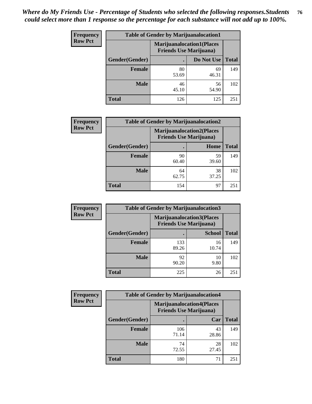| <b>Frequency</b> | <b>Table of Gender by Marijuanalocation1</b> |                                |                                  |              |
|------------------|----------------------------------------------|--------------------------------|----------------------------------|--------------|
| <b>Row Pct</b>   |                                              | <b>Friends Use Marijuana</b> ) | <b>Marijuanalocation1(Places</b> |              |
|                  | <b>Gender</b> (Gender)                       |                                | Do Not Use                       | <b>Total</b> |
|                  | <b>Female</b>                                | 80<br>53.69                    | 69<br>46.31                      | 149          |
|                  | <b>Male</b>                                  | 46<br>45.10                    | 56<br>54.90                      | 102          |
|                  | <b>Total</b>                                 | 126                            | 125                              | 251          |

| <b>Frequency</b> | <b>Table of Gender by Marijuanalocation2</b> |                                                                    |             |              |
|------------------|----------------------------------------------|--------------------------------------------------------------------|-------------|--------------|
| <b>Row Pct</b>   |                                              | <b>Marijuanalocation2(Places</b><br><b>Friends Use Marijuana</b> ) |             |              |
|                  | Gender(Gender)                               |                                                                    | Home        | <b>Total</b> |
|                  | Female                                       | 90<br>60.40                                                        | 59<br>39.60 | 149          |
|                  | <b>Male</b>                                  | 64<br>62.75                                                        | 38<br>37.25 | 102          |
|                  | <b>Total</b>                                 | 154                                                                | 97          | 251          |

| Frequency      | <b>Table of Gender by Marijuanalocation3</b> |              |                                                                    |              |  |
|----------------|----------------------------------------------|--------------|--------------------------------------------------------------------|--------------|--|
| <b>Row Pct</b> |                                              |              | <b>Marijuanalocation3(Places</b><br><b>Friends Use Marijuana</b> ) |              |  |
|                | Gender(Gender)                               |              | <b>School</b>                                                      | <b>Total</b> |  |
|                | Female                                       | 133<br>89.26 | 16<br>10.74                                                        | 149          |  |
|                | <b>Male</b>                                  | 92<br>90.20  | 10<br>9.80                                                         | 102          |  |
|                | <b>Total</b>                                 | 225          | 26                                                                 | 251          |  |

| <b>Frequency</b> |                | <b>Table of Gender by Marijuanalocation4</b> |                                  |              |
|------------------|----------------|----------------------------------------------|----------------------------------|--------------|
| <b>Row Pct</b>   |                | <b>Friends Use Marijuana</b> )               | <b>Marijuanalocation4(Places</b> |              |
|                  | Gender(Gender) |                                              | Car                              | <b>Total</b> |
|                  | <b>Female</b>  | 106<br>71.14                                 | 43<br>28.86                      | 149          |
|                  | <b>Male</b>    | 74<br>72.55                                  | 28<br>27.45                      | 102          |
|                  | <b>Total</b>   | 180                                          | 71                               | 251          |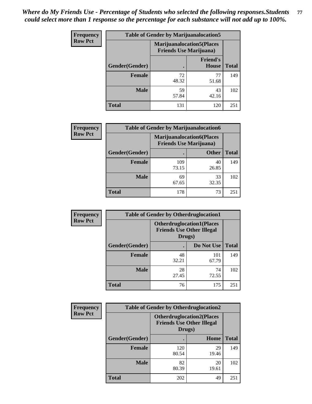| <b>Frequency</b> | <b>Table of Gender by Marijuanalocation5</b> |                                                                    |                          |              |
|------------------|----------------------------------------------|--------------------------------------------------------------------|--------------------------|--------------|
| <b>Row Pct</b>   |                                              | <b>Marijuanalocation5(Places</b><br><b>Friends Use Marijuana</b> ) |                          |              |
|                  | Gender(Gender)                               |                                                                    | <b>Friend's</b><br>House | <b>Total</b> |
|                  | <b>Female</b>                                | 72<br>48.32                                                        | 77<br>51.68              | 149          |
|                  | <b>Male</b>                                  | 59<br>57.84                                                        | 43<br>42.16              | 102          |
|                  | <b>Total</b>                                 | 131                                                                | 120                      | 251          |

| <b>Frequency</b> | <b>Table of Gender by Marijuanalocation6</b> |                                |                                  |              |
|------------------|----------------------------------------------|--------------------------------|----------------------------------|--------------|
| <b>Row Pct</b>   |                                              | <b>Friends Use Marijuana</b> ) | <b>Marijuanalocation6(Places</b> |              |
|                  | <b>Gender</b> (Gender)                       |                                | <b>Other</b>                     | <b>Total</b> |
|                  | Female                                       | 109<br>73.15                   | 40<br>26.85                      | 149          |
|                  | <b>Male</b>                                  | 69<br>67.65                    | 33<br>32.35                      | 102          |
|                  | Total                                        | 178                            | 73                               | 251          |

| <b>Frequency</b> | <b>Table of Gender by Otherdruglocation1</b> |                                                                                |              |              |
|------------------|----------------------------------------------|--------------------------------------------------------------------------------|--------------|--------------|
| <b>Row Pct</b>   |                                              | <b>Otherdruglocation1(Places</b><br><b>Friends Use Other Illegal</b><br>Drugs) |              |              |
|                  | Gender(Gender)                               |                                                                                | Do Not Use   | <b>Total</b> |
|                  | Female                                       | 48<br>32.21                                                                    | 101<br>67.79 | 149          |
|                  | <b>Male</b>                                  | 28<br>27.45                                                                    | 74<br>72.55  | 102          |
|                  | <b>Total</b>                                 | 76                                                                             | 175          | 251          |

| <b>Frequency</b> | <b>Table of Gender by Otherdruglocation2</b> |                                                                                |             |              |
|------------------|----------------------------------------------|--------------------------------------------------------------------------------|-------------|--------------|
| <b>Row Pct</b>   |                                              | <b>Otherdruglocation2(Places</b><br><b>Friends Use Other Illegal</b><br>Drugs) |             |              |
|                  | Gender(Gender)                               |                                                                                | Home        | <b>Total</b> |
|                  | Female                                       | 120<br>80.54                                                                   | 29<br>19.46 | 149          |
|                  | <b>Male</b>                                  | 82<br>80.39                                                                    | 20<br>19.61 | 102          |
|                  | <b>Total</b>                                 | 202                                                                            | 49          | 251          |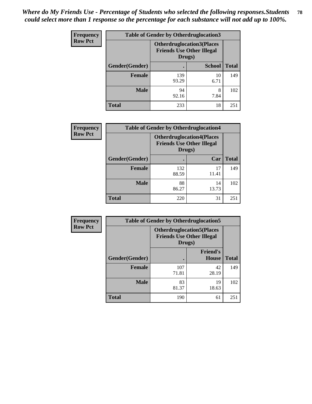| <b>Frequency</b> | <b>Table of Gender by Otherdruglocation3</b> |                                                                                |               |              |
|------------------|----------------------------------------------|--------------------------------------------------------------------------------|---------------|--------------|
| <b>Row Pct</b>   |                                              | <b>Otherdruglocation3(Places</b><br><b>Friends Use Other Illegal</b><br>Drugs) |               |              |
|                  | Gender(Gender)                               |                                                                                | <b>School</b> | <b>Total</b> |
|                  | <b>Female</b>                                | 139<br>93.29                                                                   | 10<br>6.71    | 149          |
|                  | <b>Male</b>                                  | 94<br>92.16                                                                    | 8<br>7.84     | 102          |
|                  | <b>Total</b>                                 | 233                                                                            | 18            | 251          |

| Frequency      | <b>Table of Gender by Otherdruglocation4</b> |                                                                                |             |              |
|----------------|----------------------------------------------|--------------------------------------------------------------------------------|-------------|--------------|
| <b>Row Pct</b> |                                              | <b>Otherdruglocation4(Places</b><br><b>Friends Use Other Illegal</b><br>Drugs) |             |              |
|                | Gender(Gender)                               |                                                                                | Car         | <b>Total</b> |
|                | Female                                       | 132<br>88.59                                                                   | 17<br>11.41 | 149          |
|                | <b>Male</b>                                  | 88<br>86.27                                                                    | 14<br>13.73 | 102          |
|                | <b>Total</b>                                 | 220                                                                            | 31          | 251          |

| Frequency      | <b>Table of Gender by Otherdruglocation5</b> |                                                                                |                                 |              |
|----------------|----------------------------------------------|--------------------------------------------------------------------------------|---------------------------------|--------------|
| <b>Row Pct</b> |                                              | <b>Otherdruglocation5(Places</b><br><b>Friends Use Other Illegal</b><br>Drugs) |                                 |              |
|                | Gender(Gender)                               |                                                                                | <b>Friend's</b><br><b>House</b> | <b>Total</b> |
|                | <b>Female</b>                                | 107<br>71.81                                                                   | 42<br>28.19                     | 149          |
|                | <b>Male</b>                                  | 83<br>81.37                                                                    | 19<br>18.63                     | 102          |
|                | <b>Total</b>                                 | 190                                                                            | 61                              | 251          |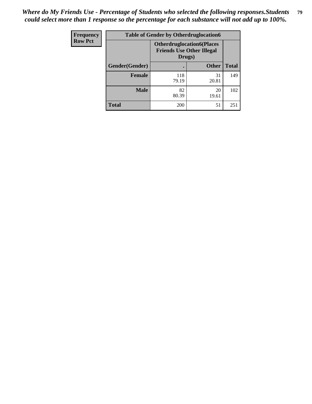| Frequency      | <b>Table of Gender by Otherdruglocation6</b> |                                                                                |              |              |
|----------------|----------------------------------------------|--------------------------------------------------------------------------------|--------------|--------------|
| <b>Row Pct</b> |                                              | <b>Otherdruglocation6(Places</b><br><b>Friends Use Other Illegal</b><br>Drugs) |              |              |
|                | Gender(Gender)                               |                                                                                | <b>Other</b> | <b>Total</b> |
|                | <b>Female</b>                                | 118<br>79.19                                                                   | 31<br>20.81  | 149          |
|                | <b>Male</b>                                  | 82<br>80.39                                                                    | 20<br>19.61  | 102          |
|                | <b>Total</b>                                 | 200                                                                            | 51           | 251          |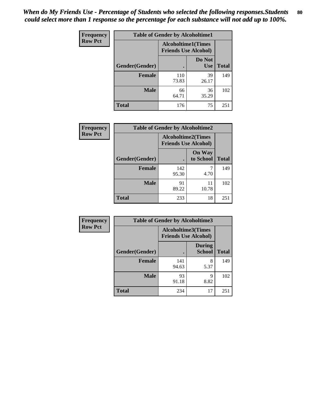| <b>Frequency</b> | <b>Table of Gender by Alcoholtime1</b> |                                                          |                      |              |
|------------------|----------------------------------------|----------------------------------------------------------|----------------------|--------------|
| <b>Row Pct</b>   |                                        | <b>Alcoholtime1(Times</b><br><b>Friends Use Alcohol)</b> |                      |              |
|                  | Gender(Gender)                         | $\bullet$                                                | Do Not<br><b>Use</b> | <b>Total</b> |
|                  | <b>Female</b>                          | 110<br>73.83                                             | 39<br>26.17          | 149          |
|                  | <b>Male</b>                            | 66<br>64.71                                              | 36<br>35.29          | 102          |
|                  | <b>Total</b>                           | 176                                                      | 75                   | 251          |

| Frequency      | <b>Table of Gender by Alcoholtime2</b> |                                                          |                            |              |
|----------------|----------------------------------------|----------------------------------------------------------|----------------------------|--------------|
| <b>Row Pct</b> |                                        | <b>Alcoholtime2(Times</b><br><b>Friends Use Alcohol)</b> |                            |              |
|                | Gender(Gender)                         |                                                          | <b>On Way</b><br>to School | <b>Total</b> |
|                | <b>Female</b>                          | 142<br>95.30                                             | 7<br>4.70                  | 149          |
|                | <b>Male</b>                            | 91<br>89.22                                              | 11<br>10.78                | 102          |
|                | Total                                  | 233                                                      | 18                         | 251          |

| Frequency      | <b>Table of Gender by Alcoholtime3</b> |                                                          |                                |              |
|----------------|----------------------------------------|----------------------------------------------------------|--------------------------------|--------------|
| <b>Row Pct</b> |                                        | <b>Alcoholtime3(Times</b><br><b>Friends Use Alcohol)</b> |                                |              |
|                | Gender(Gender)                         |                                                          | <b>During</b><br><b>School</b> | <b>Total</b> |
|                | Female                                 | 141<br>94.63                                             | 8<br>5.37                      | 149          |
|                | <b>Male</b>                            | 93<br>91.18                                              | 9<br>8.82                      | 102          |
|                | <b>Total</b>                           | 234                                                      | 17                             | 251          |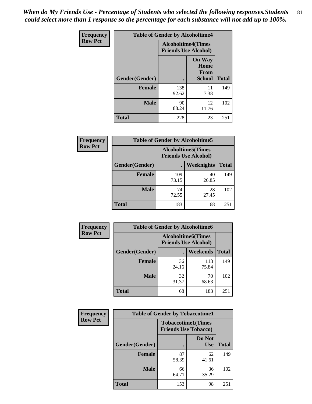*When do My Friends Use - Percentage of Students who selected the following responses.Students could select more than 1 response so the percentage for each substance will not add up to 100%.* **81**

| <b>Frequency</b> | <b>Table of Gender by Alcoholtime4</b> |                                                          |                                                |              |
|------------------|----------------------------------------|----------------------------------------------------------|------------------------------------------------|--------------|
| <b>Row Pct</b>   |                                        | <b>Alcoholtime4(Times</b><br><b>Friends Use Alcohol)</b> |                                                |              |
|                  | Gender(Gender)                         |                                                          | <b>On Way</b><br>Home<br>From<br><b>School</b> | <b>Total</b> |
|                  | <b>Female</b>                          | 138<br>92.62                                             | 11<br>7.38                                     | 149          |
|                  | <b>Male</b>                            | 90<br>88.24                                              | 12<br>11.76                                    | 102          |
|                  | <b>Total</b>                           | 228                                                      | 23                                             | 251          |

| <b>Frequency</b> | <b>Table of Gender by Alcoholtime5</b> |                                                           |                   |              |
|------------------|----------------------------------------|-----------------------------------------------------------|-------------------|--------------|
| <b>Row Pct</b>   |                                        | <b>Alcoholtime5</b> (Times<br><b>Friends Use Alcohol)</b> |                   |              |
|                  | Gender(Gender)                         |                                                           | <b>Weeknights</b> | <b>Total</b> |
|                  | <b>Female</b>                          | 109<br>73.15                                              | 40<br>26.85       | 149          |
|                  | <b>Male</b>                            | 74<br>72.55                                               | 28<br>27.45       | 102          |
|                  | <b>Total</b>                           | 183                                                       | 68                | 251          |

| <b>Frequency</b> |                | <b>Table of Gender by Alcoholtime6</b> |                             |              |
|------------------|----------------|----------------------------------------|-----------------------------|--------------|
| <b>Row Pct</b>   |                | <b>Alcoholtime6</b> (Times             | <b>Friends Use Alcohol)</b> |              |
|                  | Gender(Gender) |                                        | Weekends                    | <b>Total</b> |
|                  | Female         | 36<br>24.16                            | 113<br>75.84                | 149          |
|                  | <b>Male</b>    | 32<br>31.37                            | 70<br>68.63                 | 102          |
|                  | <b>Total</b>   | 68                                     | 183                         | 251          |

| Frequency      | <b>Table of Gender by Tobaccotime1</b> |                                                          |                      |              |
|----------------|----------------------------------------|----------------------------------------------------------|----------------------|--------------|
| <b>Row Pct</b> |                                        | <b>Tobaccotime1(Times</b><br><b>Friends Use Tobacco)</b> |                      |              |
|                | Gender(Gender)                         |                                                          | Do Not<br><b>Use</b> | <b>Total</b> |
|                | Female                                 | 87<br>58.39                                              | 62<br>41.61          | 149          |
|                | <b>Male</b>                            | 66<br>64.71                                              | 36<br>35.29          | 102          |
|                | <b>Total</b>                           | 153                                                      | 98                   | 251          |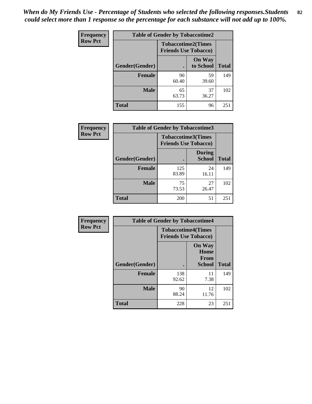| <b>Frequency</b> | <b>Table of Gender by Tobaccotime2</b> |                                                          |                            |              |
|------------------|----------------------------------------|----------------------------------------------------------|----------------------------|--------------|
| <b>Row Pct</b>   |                                        | <b>Tobaccotime2(Times</b><br><b>Friends Use Tobacco)</b> |                            |              |
|                  | Gender(Gender)                         |                                                          | <b>On Way</b><br>to School | <b>Total</b> |
|                  | <b>Female</b>                          | 90<br>60.40                                              | 59<br>39.60                | 149          |
|                  | <b>Male</b>                            | 65<br>63.73                                              | 37<br>36.27                | 102          |
|                  | <b>Total</b>                           | 155                                                      | 96                         | 251          |

| <b>Frequency</b> | <b>Table of Gender by Tobaccotime3</b> |                             |                                |              |
|------------------|----------------------------------------|-----------------------------|--------------------------------|--------------|
| <b>Row Pct</b>   |                                        | <b>Friends Use Tobacco)</b> | <b>Tobaccotime3(Times</b>      |              |
|                  | Gender(Gender)                         |                             | <b>During</b><br><b>School</b> | <b>Total</b> |
|                  | <b>Female</b>                          | 125<br>83.89                | 24<br>16.11                    | 149          |
|                  | <b>Male</b>                            | 75<br>73.53                 | 27<br>26.47                    | 102          |
|                  | <b>Total</b>                           | 200                         | 51                             | 251          |

| <b>Frequency</b> | <b>Table of Gender by Tobaccotime4</b> |                                                          |                                                       |              |
|------------------|----------------------------------------|----------------------------------------------------------|-------------------------------------------------------|--------------|
| <b>Row Pct</b>   |                                        | <b>Tobaccotime4(Times</b><br><b>Friends Use Tobacco)</b> |                                                       |              |
|                  | Gender(Gender)                         |                                                          | <b>On Way</b><br>Home<br><b>From</b><br><b>School</b> | <b>Total</b> |
|                  | <b>Female</b>                          | 138<br>92.62                                             | 11<br>7.38                                            | 149          |
|                  | <b>Male</b>                            | 90<br>88.24                                              | 12<br>11.76                                           | 102          |
|                  | <b>Total</b>                           | 228                                                      | 23                                                    | 251          |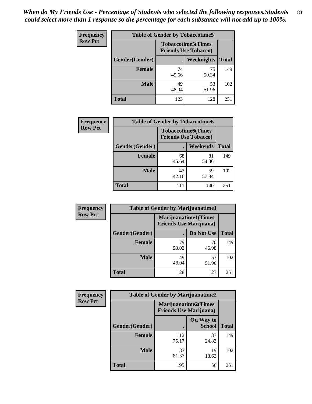| Frequency      | <b>Table of Gender by Tobaccotime5</b> |             |                                                           |              |  |
|----------------|----------------------------------------|-------------|-----------------------------------------------------------|--------------|--|
| <b>Row Pct</b> |                                        |             | <b>Tobaccotime5</b> (Times<br><b>Friends Use Tobacco)</b> |              |  |
|                | Gender(Gender)                         |             | Weeknights                                                | <b>Total</b> |  |
|                | <b>Female</b>                          | 74<br>49.66 | 75<br>50.34                                               | 149          |  |
|                | <b>Male</b>                            | 49<br>48.04 | 53<br>51.96                                               | 102          |  |
|                | <b>Total</b>                           | 123         | 128                                                       | 251          |  |

| <b>Frequency</b> | <b>Table of Gender by Tobaccotime6</b> |                                                          |                 |              |
|------------------|----------------------------------------|----------------------------------------------------------|-----------------|--------------|
| <b>Row Pct</b>   |                                        | <b>Tobaccotime6(Times</b><br><b>Friends Use Tobacco)</b> |                 |              |
|                  | Gender(Gender)                         |                                                          | <b>Weekends</b> | <b>Total</b> |
|                  | Female                                 | 68<br>45.64                                              | 81<br>54.36     | 149          |
|                  | <b>Male</b>                            | 43<br>42.16                                              | 59<br>57.84     | 102          |
|                  | <b>Total</b>                           |                                                          | 140             | 251          |

| Frequency      | <b>Table of Gender by Marijuanatime1</b> |                                                               |             |              |
|----------------|------------------------------------------|---------------------------------------------------------------|-------------|--------------|
| <b>Row Pct</b> |                                          | <b>Marijuanatime1(Times</b><br><b>Friends Use Marijuana</b> ) |             |              |
|                | Gender(Gender)                           |                                                               | Do Not Use  | <b>Total</b> |
|                | <b>Female</b>                            | 79<br>53.02                                                   | 70<br>46.98 | 149          |
|                | <b>Male</b>                              | 49<br>48.04                                                   | 53<br>51.96 | 102          |
|                | <b>Total</b>                             | 128                                                           | 123         | 251          |

| <b>Frequency</b> | <b>Table of Gender by Marijuanatime2</b> |                                                               |                            |              |
|------------------|------------------------------------------|---------------------------------------------------------------|----------------------------|--------------|
| <b>Row Pct</b>   |                                          | <b>Marijuanatime2(Times</b><br><b>Friends Use Marijuana</b> ) |                            |              |
|                  | Gender(Gender)                           |                                                               | On Way to<br><b>School</b> | <b>Total</b> |
|                  | <b>Female</b>                            | 112<br>75.17                                                  | 37<br>24.83                | 149          |
|                  | <b>Male</b>                              | 83<br>81.37                                                   | 19<br>18.63                | 102          |
|                  | <b>Total</b>                             | 195                                                           | 56                         | 251          |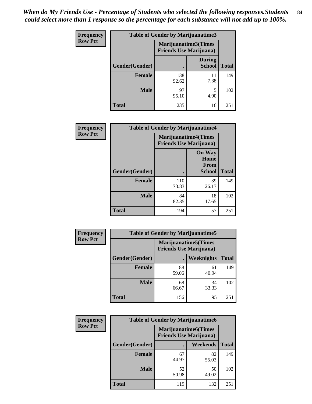| Frequency      | Table of Gender by Marijuanatime3 |                                                        |                                |              |
|----------------|-----------------------------------|--------------------------------------------------------|--------------------------------|--------------|
| <b>Row Pct</b> |                                   | Marijuanatime3(Times<br><b>Friends Use Marijuana</b> ) |                                |              |
|                | Gender(Gender)                    |                                                        | <b>During</b><br><b>School</b> | <b>Total</b> |
|                | <b>Female</b>                     | 138<br>92.62                                           | 11<br>7.38                     | 149          |
|                | <b>Male</b>                       | 97<br>95.10                                            | 5<br>4.90                      | 102          |
|                | <b>Total</b>                      | 235                                                    | 16                             | 251          |

| Frequency      | <b>Table of Gender by Marijuanatime4</b> |                                |                                                       |              |
|----------------|------------------------------------------|--------------------------------|-------------------------------------------------------|--------------|
| <b>Row Pct</b> |                                          | <b>Friends Use Marijuana</b> ) | <b>Marijuanatime4(Times</b>                           |              |
|                | Gender(Gender)                           |                                | <b>On Way</b><br>Home<br><b>From</b><br><b>School</b> | <b>Total</b> |
|                | <b>Female</b>                            | 110<br>73.83                   | 39<br>26.17                                           | 149          |
|                | <b>Male</b>                              | 84<br>82.35                    | 18<br>17.65                                           | 102          |
|                | <b>Total</b>                             | 194                            | 57                                                    | 251          |

| Frequency      | <b>Table of Gender by Marijuanatime5</b> |                                                                |                   |              |  |
|----------------|------------------------------------------|----------------------------------------------------------------|-------------------|--------------|--|
| <b>Row Pct</b> |                                          | <b>Marijuanatime5</b> (Times<br><b>Friends Use Marijuana</b> ) |                   |              |  |
|                | Gender(Gender)                           |                                                                | <b>Weeknights</b> | <b>Total</b> |  |
|                | <b>Female</b>                            | 88<br>59.06                                                    | 61<br>40.94       | 149          |  |
|                | <b>Male</b>                              | 68<br>66.67                                                    | 34<br>33.33       | 102          |  |
|                | <b>Total</b>                             | 156                                                            | 95                | 251          |  |

| Frequency      | <b>Table of Gender by Marijuanatime6</b> |                                                               |                 |              |  |
|----------------|------------------------------------------|---------------------------------------------------------------|-----------------|--------------|--|
| <b>Row Pct</b> |                                          | <b>Marijuanatime6(Times</b><br><b>Friends Use Marijuana</b> ) |                 |              |  |
|                | Gender(Gender)                           |                                                               | <b>Weekends</b> | <b>Total</b> |  |
|                | <b>Female</b>                            | 67<br>44.97                                                   | 82<br>55.03     | 149          |  |
|                | <b>Male</b>                              | 52<br>50.98                                                   | 50<br>49.02     | 102          |  |
|                | <b>Total</b>                             | 119                                                           | 132             | 251          |  |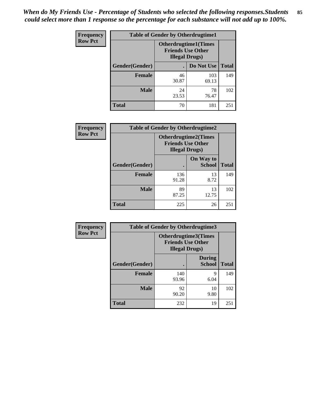| <b>Frequency</b> | <b>Table of Gender by Otherdrugtime1</b> |                                                                                    |              |              |
|------------------|------------------------------------------|------------------------------------------------------------------------------------|--------------|--------------|
| <b>Row Pct</b>   |                                          | <b>Otherdrugtime1</b> (Times<br><b>Friends Use Other</b><br><b>Illegal Drugs</b> ) |              |              |
|                  | Gender(Gender)                           |                                                                                    | Do Not Use   | <b>Total</b> |
|                  | <b>Female</b>                            | 46<br>30.87                                                                        | 103<br>69.13 | 149          |
|                  | <b>Male</b>                              | 24<br>23.53                                                                        | 78<br>76.47  | 102          |
|                  | <b>Total</b>                             | 70                                                                                 | 181          | 251          |

| Frequency      | <b>Table of Gender by Otherdrugtime2</b> |                                                                                   |                            |              |
|----------------|------------------------------------------|-----------------------------------------------------------------------------------|----------------------------|--------------|
| <b>Row Pct</b> |                                          | <b>Otherdrugtime2(Times</b><br><b>Friends Use Other</b><br><b>Illegal Drugs</b> ) |                            |              |
|                | Gender(Gender)                           |                                                                                   | On Way to<br><b>School</b> | <b>Total</b> |
|                | <b>Female</b>                            | 136<br>91.28                                                                      | 13<br>8.72                 | 149          |
|                | <b>Male</b>                              | 89<br>87.25                                                                       | 13<br>12.75                | 102          |
|                | <b>Total</b>                             | 225                                                                               | 26                         | 251          |

| Frequency      | <b>Table of Gender by Otherdrugtime3</b> |                        |                                                  |              |
|----------------|------------------------------------------|------------------------|--------------------------------------------------|--------------|
| <b>Row Pct</b> |                                          | <b>Illegal Drugs</b> ) | Otherdrugtime3(Times<br><b>Friends Use Other</b> |              |
|                | Gender(Gender)                           |                        | <b>During</b><br><b>School</b>                   | <b>Total</b> |
|                | <b>Female</b>                            | 140<br>93.96           | 9<br>6.04                                        | 149          |
|                | <b>Male</b>                              | 92<br>90.20            | 10<br>9.80                                       | 102          |
|                | <b>Total</b>                             | 232                    | 19                                               | 251          |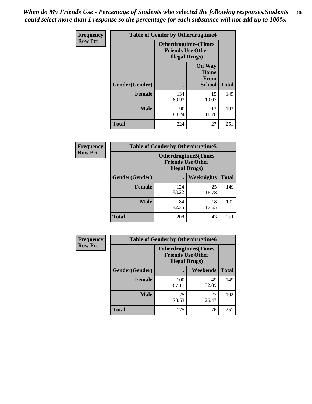*When do My Friends Use - Percentage of Students who selected the following responses.Students could select more than 1 response so the percentage for each substance will not add up to 100%.* **86**

| <b>Frequency</b> | <b>Table of Gender by Otherdrugtime4</b> |              |                                                                                   |              |
|------------------|------------------------------------------|--------------|-----------------------------------------------------------------------------------|--------------|
| <b>Row Pct</b>   |                                          |              | <b>Otherdrugtime4(Times</b><br><b>Friends Use Other</b><br><b>Illegal Drugs</b> ) |              |
|                  | Gender(Gender)                           |              | <b>On Way</b><br>Home<br><b>From</b><br><b>School</b>                             | <b>Total</b> |
|                  | <b>Female</b>                            | 134<br>89.93 | 15<br>10.07                                                                       | 149          |
|                  | <b>Male</b>                              | 90<br>88.24  | 12<br>11.76                                                                       | 102          |
|                  | <b>Total</b>                             | 224          | 27                                                                                | 251          |

| <b>Frequency</b> | <b>Table of Gender by Otherdrugtime5</b> |                                                                                    |                   |              |
|------------------|------------------------------------------|------------------------------------------------------------------------------------|-------------------|--------------|
| <b>Row Pct</b>   |                                          | <b>Otherdrugtime5</b> (Times<br><b>Friends Use Other</b><br><b>Illegal Drugs</b> ) |                   |              |
|                  | Gender(Gender)                           |                                                                                    | <b>Weeknights</b> | <b>Total</b> |
|                  | <b>Female</b>                            | 124<br>83.22                                                                       | 25<br>16.78       | 149          |
|                  | <b>Male</b>                              | 84<br>82.35                                                                        | 18<br>17.65       | 102          |
|                  | <b>Total</b>                             | 208                                                                                | 43                | 251          |

| <b>Frequency</b> | <b>Table of Gender by Otherdrugtime6</b> |                                                                                   |             |              |
|------------------|------------------------------------------|-----------------------------------------------------------------------------------|-------------|--------------|
| <b>Row Pct</b>   |                                          | <b>Otherdrugtime6(Times</b><br><b>Friends Use Other</b><br><b>Illegal Drugs</b> ) |             |              |
|                  | Gender(Gender)                           |                                                                                   | Weekends    | <b>Total</b> |
|                  | <b>Female</b>                            | 100<br>67.11                                                                      | 49<br>32.89 | 149          |
|                  | <b>Male</b>                              | 75<br>73.53                                                                       | 27<br>26.47 | 102          |
|                  | <b>Total</b>                             | 175                                                                               | 76          | 251          |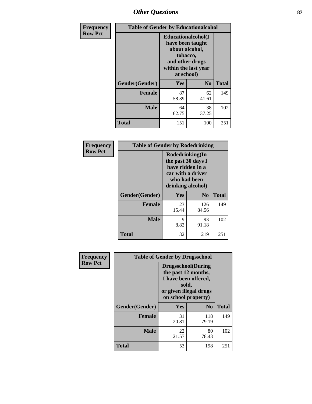# *Other Questions* **87**

| <b>Frequency</b> | <b>Table of Gender by Educationalcohol</b> |                                                                                                                                       |                |              |  |
|------------------|--------------------------------------------|---------------------------------------------------------------------------------------------------------------------------------------|----------------|--------------|--|
| <b>Row Pct</b>   |                                            | <b>Educationalcohol</b> (I<br>have been taught<br>about alcohol,<br>tobacco,<br>and other drugs<br>within the last year<br>at school) |                |              |  |
|                  | Gender(Gender)                             | <b>Yes</b>                                                                                                                            | N <sub>0</sub> | <b>Total</b> |  |
|                  | <b>Female</b>                              | 87<br>58.39                                                                                                                           | 62<br>41.61    | 149          |  |
|                  | <b>Male</b>                                | 64<br>62.75                                                                                                                           | 38<br>37.25    | 102          |  |
|                  | <b>Total</b>                               | 151                                                                                                                                   | 100            | 251          |  |

| Frequency      | <b>Table of Gender by Rodedrinking</b> |                                                                                                                     |              |              |  |
|----------------|----------------------------------------|---------------------------------------------------------------------------------------------------------------------|--------------|--------------|--|
| <b>Row Pct</b> |                                        | Rodedrinking(In<br>the past 30 days I<br>have ridden in a<br>car with a driver<br>who had been<br>drinking alcohol) |              |              |  |
|                | Gender(Gender)                         | Yes                                                                                                                 | $\bf No$     | <b>Total</b> |  |
|                | <b>Female</b>                          | 23<br>15.44                                                                                                         | 126<br>84.56 | 149          |  |
|                | <b>Male</b>                            | 9<br>8.82                                                                                                           | 93<br>91.18  | 102          |  |
|                | <b>Total</b>                           | 32                                                                                                                  | 219          | 251          |  |

| Frequency      | <b>Table of Gender by Drugsschool</b> |                                                                                                                                     |                |              |  |
|----------------|---------------------------------------|-------------------------------------------------------------------------------------------------------------------------------------|----------------|--------------|--|
| <b>Row Pct</b> |                                       | <b>Drugsschool</b> (During<br>the past 12 months,<br>I have been offered,<br>sold,<br>or given illegal drugs<br>on school property) |                |              |  |
|                | Gender(Gender)                        | Yes                                                                                                                                 | N <sub>0</sub> | <b>Total</b> |  |
|                | <b>Female</b>                         | 31<br>20.81                                                                                                                         | 118<br>79.19   | 149          |  |
|                | <b>Male</b>                           | 22<br>21.57                                                                                                                         | 80<br>78.43    | 102          |  |
|                | <b>Total</b>                          | 53                                                                                                                                  | 198            | 251          |  |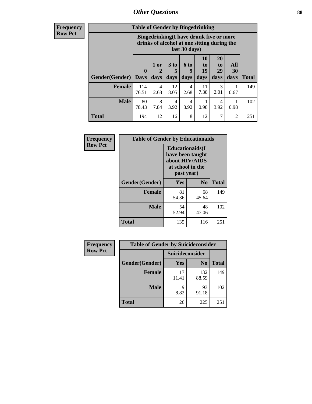# *Other Questions* **88**

**Frequency Row Pct**

| <b>Table of Gender by Bingedrinking</b> |                         |                                                                                                         |                   |                        |                               |                               |                   |              |
|-----------------------------------------|-------------------------|---------------------------------------------------------------------------------------------------------|-------------------|------------------------|-------------------------------|-------------------------------|-------------------|--------------|
|                                         |                         | Bingedrinking(I have drunk five or more<br>drinks of alcohol at one sitting during the<br>last 30 days) |                   |                        |                               |                               |                   |              |
| <b>Gender</b> (Gender)                  | $\bf{0}$<br><b>Days</b> | 1 or<br>days                                                                                            | 3 to<br>5<br>days | 6 to<br>9<br>days      | <b>10</b><br>to<br>19<br>days | <b>20</b><br>to<br>29<br>days | All<br>30<br>days | <b>Total</b> |
| <b>Female</b>                           | 114<br>76.51            | 4<br>2.68                                                                                               | 12<br>8.05        | 4<br>2.68              | 11<br>7.38                    | 3<br>2.01                     | 0.67              | 149          |
| <b>Male</b>                             | 80<br>78.43             | 8<br>7.84                                                                                               | 4<br>3.92         | $\overline{4}$<br>3.92 | 0.98                          | 4<br>3.92                     | 0.98              | 102          |
| <b>Total</b>                            | 194                     | 12                                                                                                      | 16                | 8                      | 12                            | 7                             | $\overline{2}$    | 251          |

| Frequency      | <b>Table of Gender by Educationaids</b> |                                                                                                 |                |              |  |
|----------------|-----------------------------------------|-------------------------------------------------------------------------------------------------|----------------|--------------|--|
| <b>Row Pct</b> |                                         | <b>Educationaids</b> (I<br>have been taught<br>about HIV/AIDS<br>at school in the<br>past year) |                |              |  |
|                | Gender(Gender)                          | Yes                                                                                             | N <sub>0</sub> | <b>Total</b> |  |
|                | <b>Female</b>                           | 81<br>54.36                                                                                     | 68<br>45.64    | 149          |  |
|                | <b>Male</b>                             | 54<br>52.94                                                                                     | 48<br>47.06    | 102          |  |
|                | <b>Total</b>                            | 135                                                                                             | 116            | 251          |  |

| <b>Frequency</b> | <b>Table of Gender by Suicideconsider</b> |                 |                |       |  |
|------------------|-------------------------------------------|-----------------|----------------|-------|--|
| <b>Row Pct</b>   |                                           | Suicideconsider |                |       |  |
|                  | Gender(Gender)                            | Yes             | N <sub>0</sub> | Total |  |
|                  | <b>Female</b>                             | 17<br>11.41     | 132<br>88.59   | 149   |  |
|                  | <b>Male</b>                               | Q<br>8.82       | 93<br>91.18    | 102   |  |
|                  | <b>Total</b>                              | 26              | 225            | 251   |  |